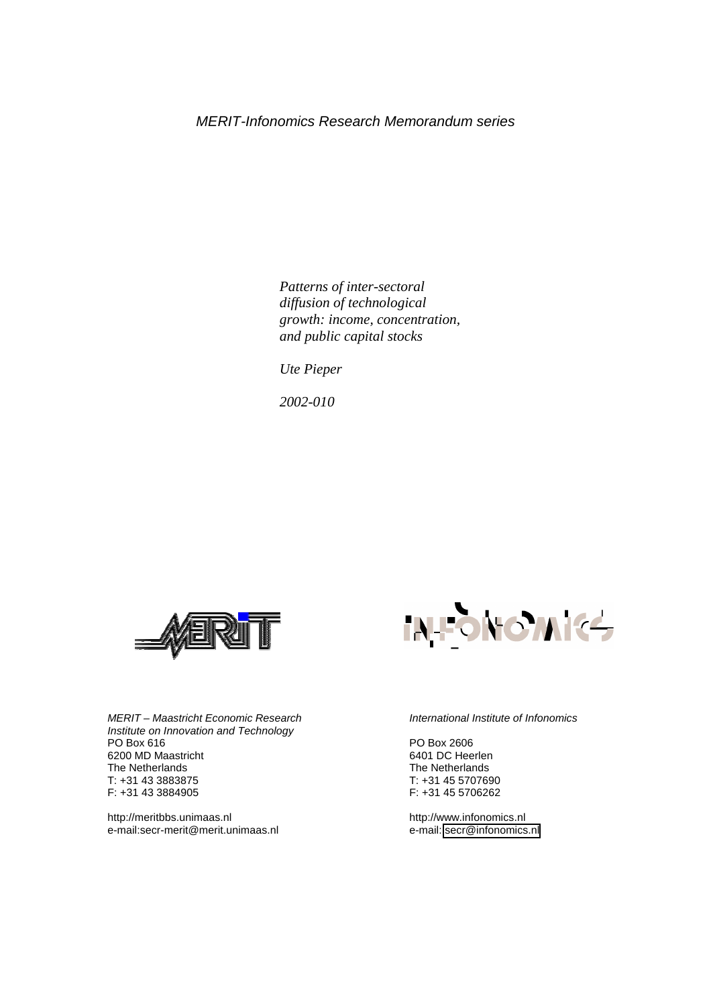*Patterns of inter-sectoral diffusion of technological growth: income, concentration, and public capital stocks* 

 *Ute Pieper* 

*2002-010* 



*MERIT – Maastricht Economic Research Institute on Innovation and Technology*  PO Box 616 6200 MD Maastricht The Netherlands T: +31 43 3883875 F: +31 43 3884905

http://meritbbs.unimaas.nl e-mail:secr-merit@merit.unimaas.nl



#### *International Institute of Infonomics*

PO Box 2606 6401 DC Heerlen The Netherlands T: +31 45 5707690 F: +31 45 5706262

http://www.infonomics.nl e-mail: [secr@infonomics.nl](mailto:secr@infonomics.nl)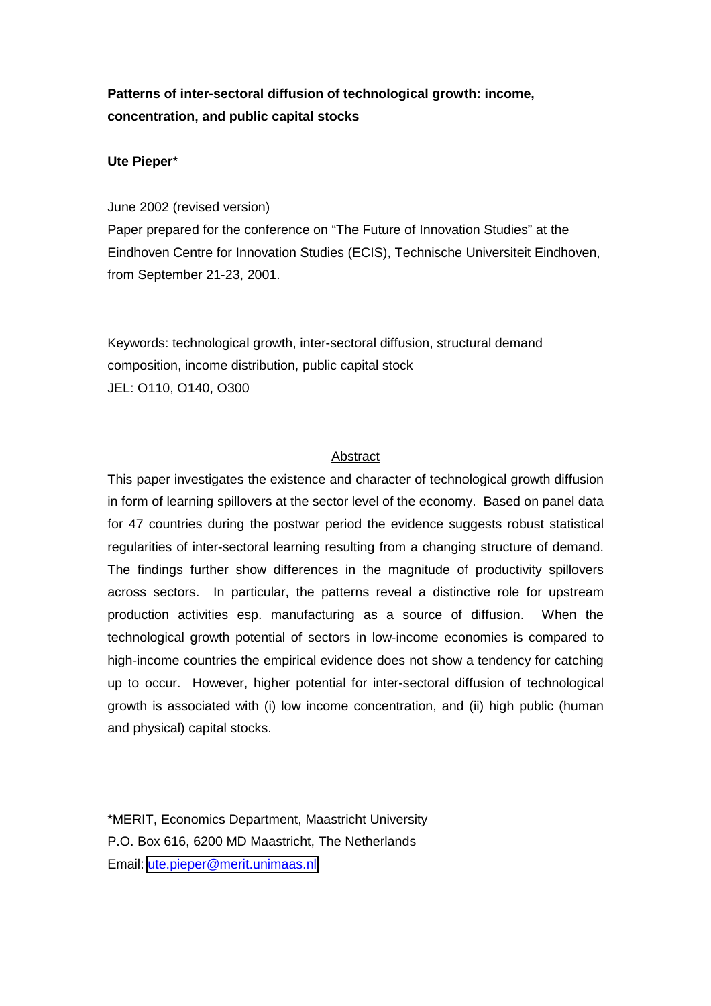# **Patterns of inter-sectoral diffusion of technological growth: income, concentration, and public capital stocks**

## **Ute Pieper**\*

## June 2002 (revised version)

Paper prepared for the conference on "The Future of Innovation Studies" at the Eindhoven Centre for Innovation Studies (ECIS), Technische Universiteit Eindhoven, from September 21-23, 2001.

Keywords: technological growth, inter-sectoral diffusion, structural demand composition, income distribution, public capital stock JEL: O110, O140, O300

## Abstract

This paper investigates the existence and character of technological growth diffusion in form of learning spillovers at the sector level of the economy. Based on panel data for 47 countries during the postwar period the evidence suggests robust statistical regularities of inter-sectoral learning resulting from a changing structure of demand. The findings further show differences in the magnitude of productivity spillovers across sectors. In particular, the patterns reveal a distinctive role for upstream production activities esp. manufacturing as a source of diffusion. When the technological growth potential of sectors in low-income economies is compared to high-income countries the empirical evidence does not show a tendency for catching up to occur. However, higher potential for inter-sectoral diffusion of technological growth is associated with (i) low income concentration, and (ii) high public (human and physical) capital stocks.

\*MERIT, Economics Department, Maastricht University P.O. Box 616, 6200 MD Maastricht, The Netherlands Email: [ute.pieper@merit.unimaas.nl](mailto:ute.pieper@merit.unimaas.nl)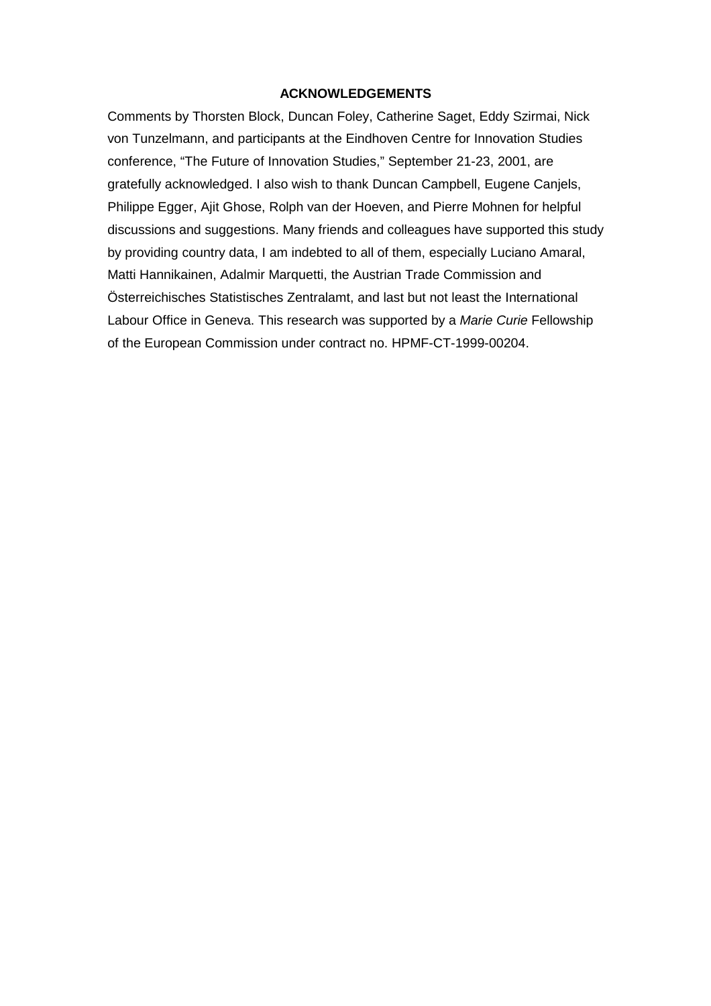## **ACKNOWLEDGEMENTS**

Comments by Thorsten Block, Duncan Foley, Catherine Saget, Eddy Szirmai, Nick von Tunzelmann, and participants at the Eindhoven Centre for Innovation Studies conference, "The Future of Innovation Studies," September 21-23, 2001, are gratefully acknowledged. I also wish to thank Duncan Campbell, Eugene Canjels, Philippe Egger, Ajit Ghose, Rolph van der Hoeven, and Pierre Mohnen for helpful discussions and suggestions. Many friends and colleagues have supported this study by providing country data, I am indebted to all of them, especially Luciano Amaral, Matti Hannikainen, Adalmir Marquetti, the Austrian Trade Commission and Österreichisches Statistisches Zentralamt, and last but not least the International Labour Office in Geneva. This research was supported by a *Marie Curie* Fellowship of the European Commission under contract no. HPMF-CT-1999-00204.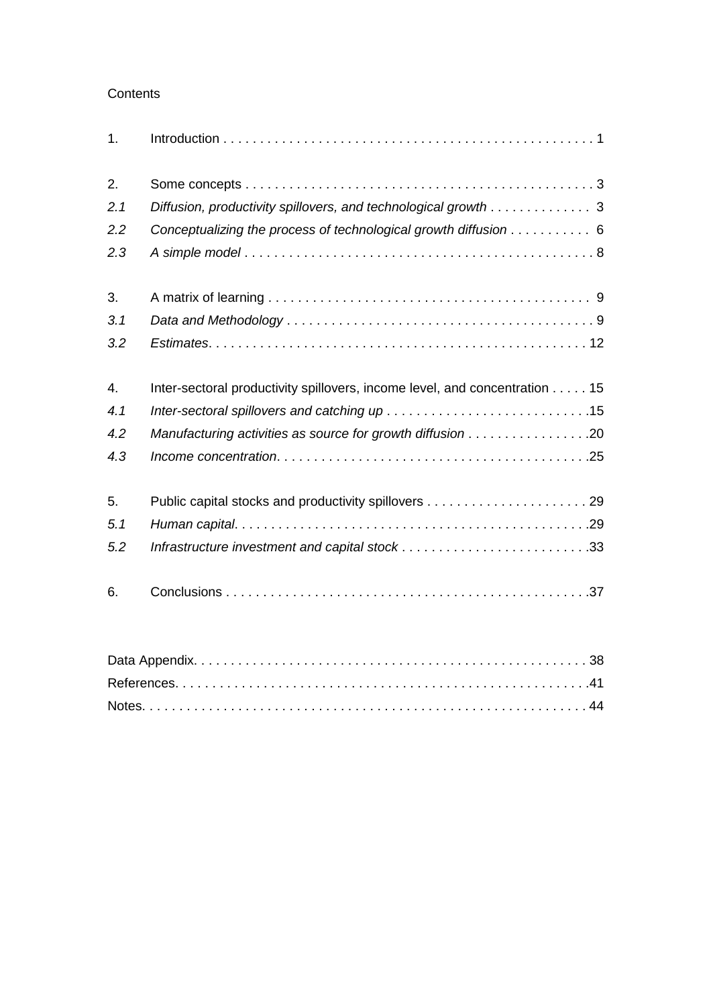## **Contents**

| 1.  |                                                                            |
|-----|----------------------------------------------------------------------------|
| 2.  |                                                                            |
| 2.1 | Diffusion, productivity spillovers, and technological growth 3             |
| 2.2 | Conceptualizing the process of technological growth diffusion 6            |
| 2.3 |                                                                            |
| 3.  |                                                                            |
| 3.1 |                                                                            |
| 3.2 |                                                                            |
| 4.  | Inter-sectoral productivity spillovers, income level, and concentration 15 |
| 4.1 |                                                                            |
| 4.2 | Manufacturing activities as source for growth diffusion 20                 |
| 4.3 |                                                                            |
| 5.  |                                                                            |
| 5.1 |                                                                            |
| 5.2 |                                                                            |
| 6.  |                                                                            |
|     | Data Appendix<br>38.                                                       |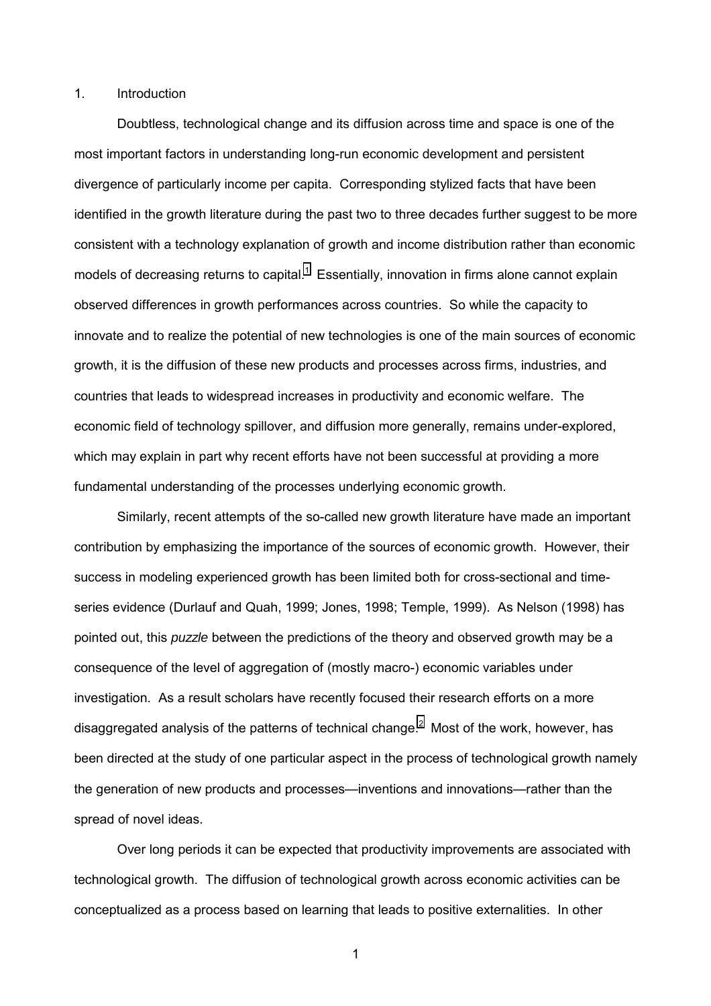## 1. Introduction

Doubtless, technological change and its diffusion across time and space is one of the most important factors in understanding long-run economic development and persistent divergence of particularly income per capita. Corresponding stylized facts that have been identified in the growth literature during the past two to three decades further suggest to be more consistent with a technology explanation of growth and income distribution rather than economic models of decreasing returns to capital. $1$  Essentially, innovation in firms alone cannot explain observed differences in growth performances across countries. So while the capacity to innovate and to realize the potential of new technologies is one of the main sources of economic growth, it is the diffusion of these new products and processes across firms, industries, and countries that leads to widespread increases in productivity and economic welfare. The economic field of technology spillover, and diffusion more generally, remains under-explored, which may explain in part why recent efforts have not been successful at providing a more fundamental understanding of the processes underlying economic growth.

Similarly, recent attempts of the so-called new growth literature have made an important contribution by emphasizing the importance of the sources of economic growth. However, their success in modeling experienced growth has been limited both for cross-sectional and timeseries evidence (Durlauf and Quah, 1999; Jones, 1998; Temple, 1999). As Nelson (1998) has pointed out, this *puzzle* between the predictions of the theory and observed growth may be a consequence of the level of aggregation of (mostly macro-) economic variables under investigation. As a result scholars have recently focused their research efforts on a more disaggregated analysis of the patterns of technical change.<sup>[2](#page-48-0)</sup> Most of the work, however, has been directed at the study of one particular aspect in the process of technological growth namely the generation of new products and processes—inventions and innovations—rather than the spread of novel ideas.

Over long periods it can be expected that productivity improvements are associated with technological growth. The diffusion of technological growth across economic activities can be conceptualized as a process based on learning that leads to positive externalities. In other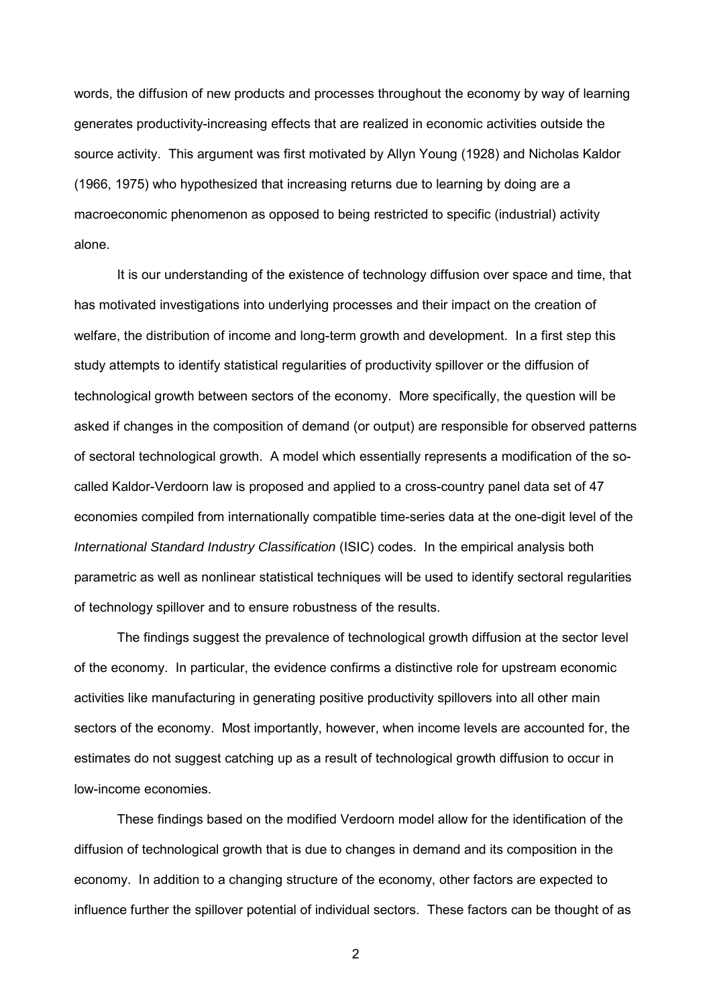words, the diffusion of new products and processes throughout the economy by way of learning generates productivity-increasing effects that are realized in economic activities outside the source activity. This argument was first motivated by Allyn Young (1928) and Nicholas Kaldor (1966, 1975) who hypothesized that increasing returns due to learning by doing are a macroeconomic phenomenon as opposed to being restricted to specific (industrial) activity alone.

It is our understanding of the existence of technology diffusion over space and time, that has motivated investigations into underlying processes and their impact on the creation of welfare, the distribution of income and long-term growth and development. In a first step this study attempts to identify statistical regularities of productivity spillover or the diffusion of technological growth between sectors of the economy. More specifically, the question will be asked if changes in the composition of demand (or output) are responsible for observed patterns of sectoral technological growth. A model which essentially represents a modification of the socalled Kaldor-Verdoorn law is proposed and applied to a cross-country panel data set of 47 economies compiled from internationally compatible time-series data at the one-digit level of the *International Standard Industry Classification* (ISIC) codes. In the empirical analysis both parametric as well as nonlinear statistical techniques will be used to identify sectoral regularities of technology spillover and to ensure robustness of the results.

The findings suggest the prevalence of technological growth diffusion at the sector level of the economy. In particular, the evidence confirms a distinctive role for upstream economic activities like manufacturing in generating positive productivity spillovers into all other main sectors of the economy. Most importantly, however, when income levels are accounted for, the estimates do not suggest catching up as a result of technological growth diffusion to occur in low-income economies.

These findings based on the modified Verdoorn model allow for the identification of the diffusion of technological growth that is due to changes in demand and its composition in the economy. In addition to a changing structure of the economy, other factors are expected to influence further the spillover potential of individual sectors. These factors can be thought of as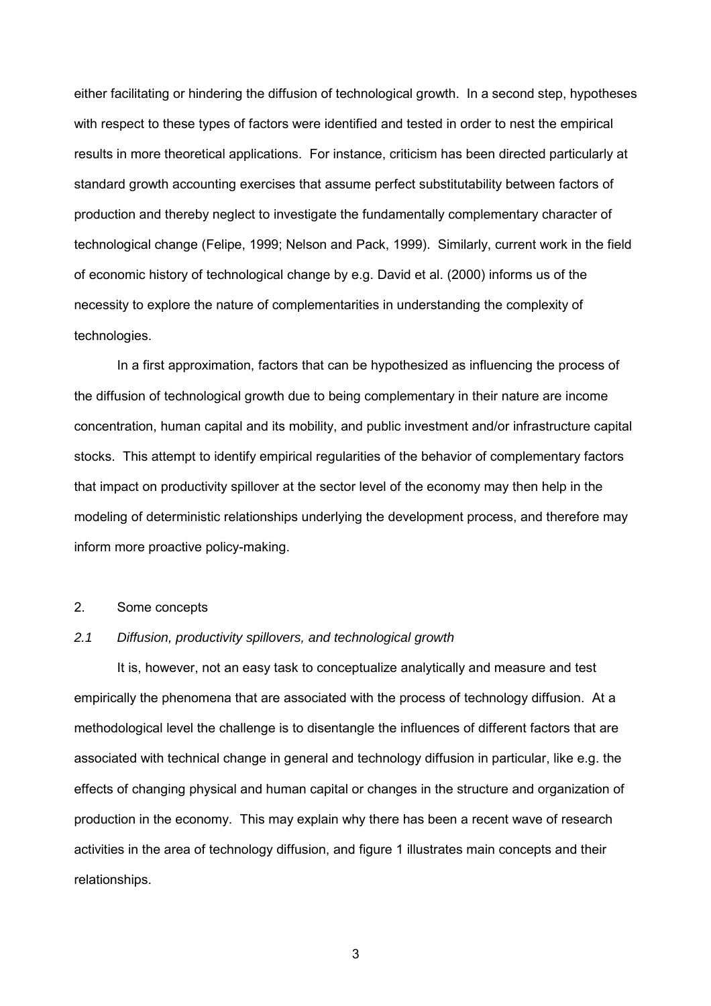either facilitating or hindering the diffusion of technological growth. In a second step, hypotheses with respect to these types of factors were identified and tested in order to nest the empirical results in more theoretical applications. For instance, criticism has been directed particularly at standard growth accounting exercises that assume perfect substitutability between factors of production and thereby neglect to investigate the fundamentally complementary character of technological change (Felipe, 1999; Nelson and Pack, 1999). Similarly, current work in the field of economic history of technological change by e.g. David et al. (2000) informs us of the necessity to explore the nature of complementarities in understanding the complexity of technologies.

In a first approximation, factors that can be hypothesized as influencing the process of the diffusion of technological growth due to being complementary in their nature are income concentration, human capital and its mobility, and public investment and/or infrastructure capital stocks. This attempt to identify empirical regularities of the behavior of complementary factors that impact on productivity spillover at the sector level of the economy may then help in the modeling of deterministic relationships underlying the development process, and therefore may inform more proactive policy-making.

## 2. Some concepts

## *2.1 Diffusion, productivity spillovers, and technological growth*

It is, however, not an easy task to conceptualize analytically and measure and test empirically the phenomena that are associated with the process of technology diffusion. At a methodological level the challenge is to disentangle the influences of different factors that are associated with technical change in general and technology diffusion in particular, like e.g. the effects of changing physical and human capital or changes in the structure and organization of production in the economy. This may explain why there has been a recent wave of research activities in the area of technology diffusion, and figure 1 illustrates main concepts and their relationships.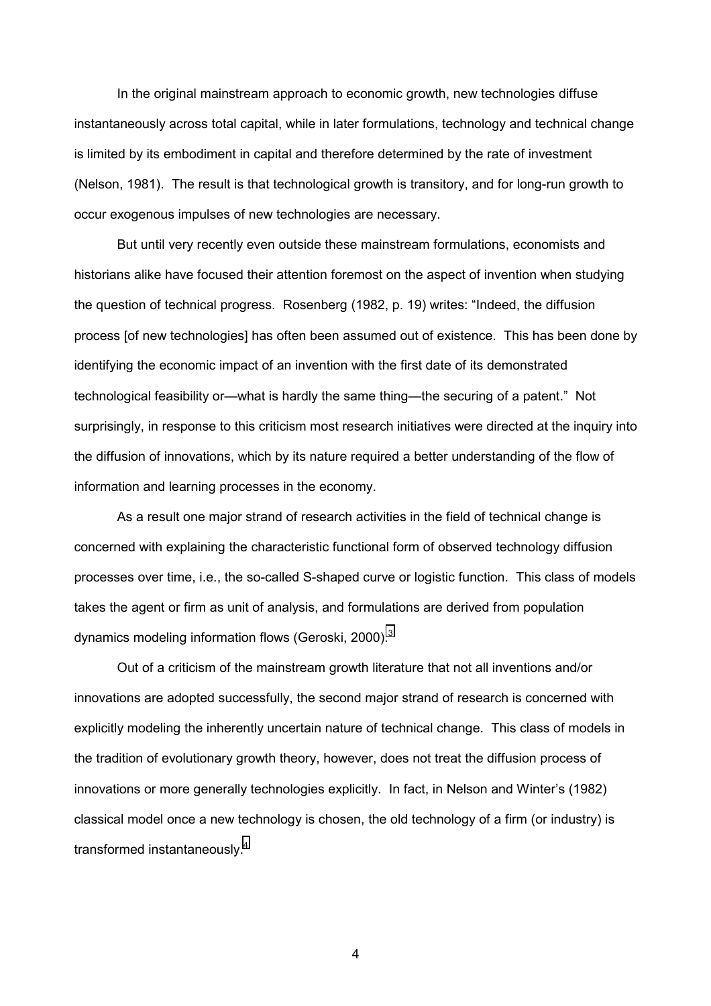In the original mainstream approach to economic growth, new technologies diffuse instantaneously across total capital, while in later formulations, technology and technical change is limited by its embodiment in capital and therefore determined by the rate of investment (Nelson, 1981). The result is that technological growth is transitory, and for long-run growth to occur exogenous impulses of new technologies are necessary.

But until very recently even outside these mainstream formulations, economists and historians alike have focused their attention foremost on the aspect of invention when studying the question of technical progress. Rosenberg (1982, p. 19) writes: "Indeed, the diffusion process [of new technologies] has often been assumed out of existence. This has been done by identifying the economic impact of an invention with the first date of its demonstrated technological feasibility or—what is hardly the same thing—the securing of a patent." Not surprisingly, in response to this criticism most research initiatives were directed at the inquiry into the diffusion of innovations, which by its nature required a better understanding of the flow of information and learning processes in the economy.

As a result one major strand of research activities in the field of technical change is concerned with explaining the characteristic functional form of observed technology diffusion processes over time, i.e., the so-called S-shaped curve or logistic function. This class of models takes the agent or firm as unit of analysis, and formulations are derived from population dynamics modeling information flows (Geroski, 2000).<sup>[3](#page-48-0)</sup>

Out of a criticism of the mainstream growth literature that not all inventions and/or innovations are adopted successfully, the second major strand of research is concerned with explicitly modeling the inherently uncertain nature of technical change. This class of models in the tradition of evolutionary growth theory, however, does not treat the diffusion process of innovations or more generally technologies explicitly. In fact, in Nelson and Winter's (1982) classical model once a new technology is chosen, the old technology of a firm (or industry) is transformed instantaneously.[4](#page-48-0)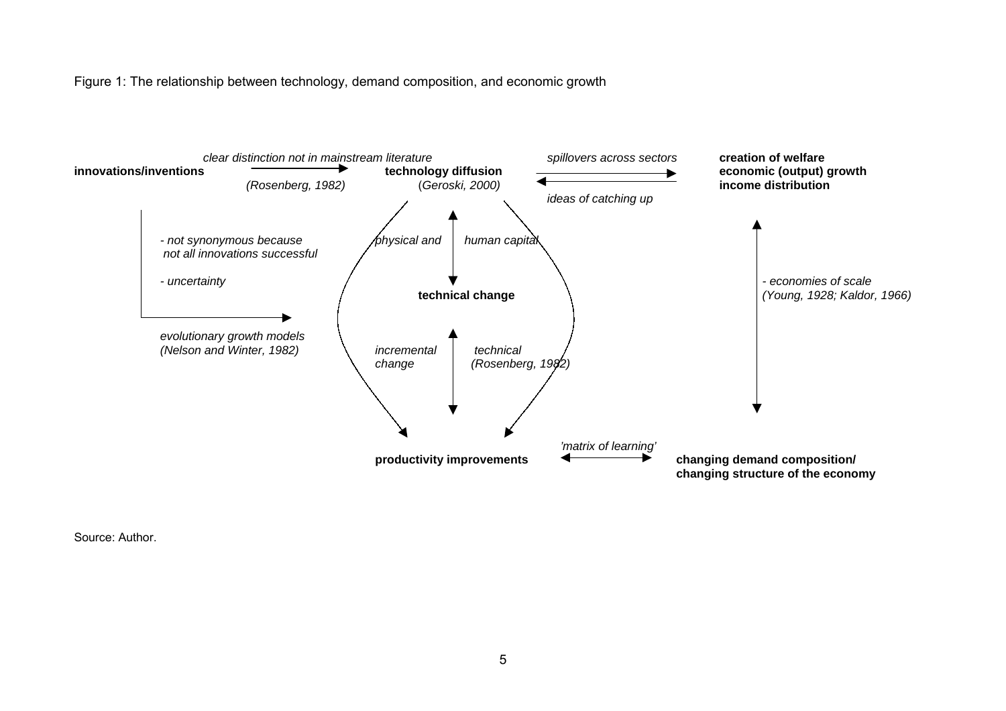Figure 1: The relationship between technology, demand composition, and economic growth



Source: Author.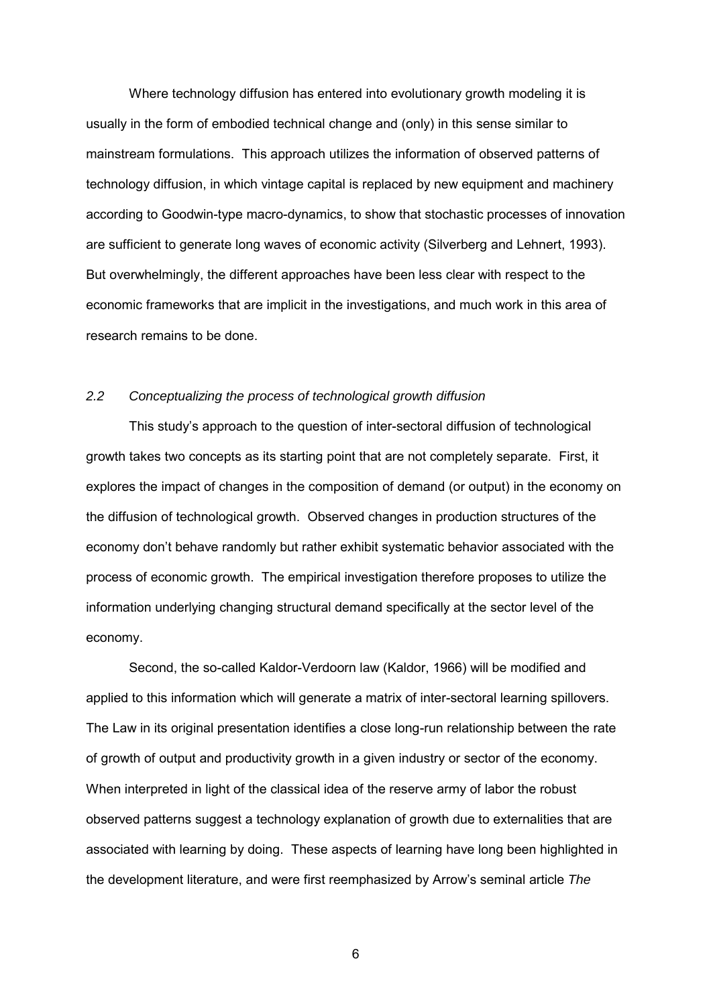Where technology diffusion has entered into evolutionary growth modeling it is usually in the form of embodied technical change and (only) in this sense similar to mainstream formulations. This approach utilizes the information of observed patterns of technology diffusion, in which vintage capital is replaced by new equipment and machinery according to Goodwin-type macro-dynamics, to show that stochastic processes of innovation are sufficient to generate long waves of economic activity (Silverberg and Lehnert, 1993). But overwhelmingly, the different approaches have been less clear with respect to the economic frameworks that are implicit in the investigations, and much work in this area of research remains to be done.

## *2.2 Conceptualizing the process of technological growth diffusion*

This studyís approach to the question of inter-sectoral diffusion of technological growth takes two concepts as its starting point that are not completely separate. First, it explores the impact of changes in the composition of demand (or output) in the economy on the diffusion of technological growth. Observed changes in production structures of the economy donít behave randomly but rather exhibit systematic behavior associated with the process of economic growth. The empirical investigation therefore proposes to utilize the information underlying changing structural demand specifically at the sector level of the economy.

Second, the so-called Kaldor-Verdoorn law (Kaldor, 1966) will be modified and applied to this information which will generate a matrix of inter-sectoral learning spillovers. The Law in its original presentation identifies a close long-run relationship between the rate of growth of output and productivity growth in a given industry or sector of the economy. When interpreted in light of the classical idea of the reserve army of labor the robust observed patterns suggest a technology explanation of growth due to externalities that are associated with learning by doing. These aspects of learning have long been highlighted in the development literature, and were first reemphasized by Arrowís seminal article *The*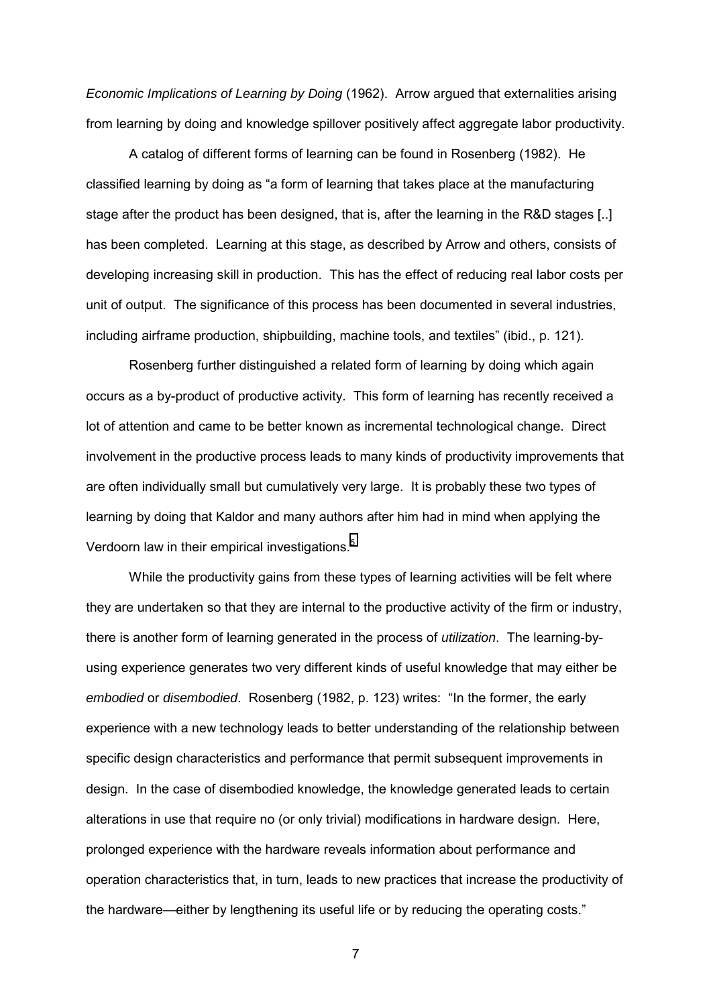*Economic Implications of Learning by Doing* (1962). Arrow argued that externalities arising from learning by doing and knowledge spillover positively affect aggregate labor productivity.

A catalog of different forms of learning can be found in Rosenberg (1982). He classified learning by doing as "a form of learning that takes place at the manufacturing stage after the product has been designed, that is, after the learning in the R&D stages [..] has been completed. Learning at this stage, as described by Arrow and others, consists of developing increasing skill in production. This has the effect of reducing real labor costs per unit of output. The significance of this process has been documented in several industries, including airframe production, shipbuilding, machine tools, and textiles" (ibid., p. 121).

Rosenberg further distinguished a related form of learning by doing which again occurs as a by-product of productive activity. This form of learning has recently received a lot of attention and came to be better known as incremental technological change. Direct involvement in the productive process leads to many kinds of productivity improvements that are often individually small but cumulatively very large. It is probably these two types of learning by doing that Kaldor and many authors after him had in mind when applying the Verdoorn law in their empirical investigations.<sup>[5](#page-48-0)</sup>

While the productivity gains from these types of learning activities will be felt where they are undertaken so that they are internal to the productive activity of the firm or industry, there is another form of learning generated in the process of *utilization*. The learning-byusing experience generates two very different kinds of useful knowledge that may either be *embodied* or *disembodied*. Rosenberg (1982, p. 123) writes: "In the former, the early experience with a new technology leads to better understanding of the relationship between specific design characteristics and performance that permit subsequent improvements in design. In the case of disembodied knowledge, the knowledge generated leads to certain alterations in use that require no (or only trivial) modifications in hardware design. Here, prolonged experience with the hardware reveals information about performance and operation characteristics that, in turn, leads to new practices that increase the productivity of the hardware—either by lengthening its useful life or by reducing the operating costs."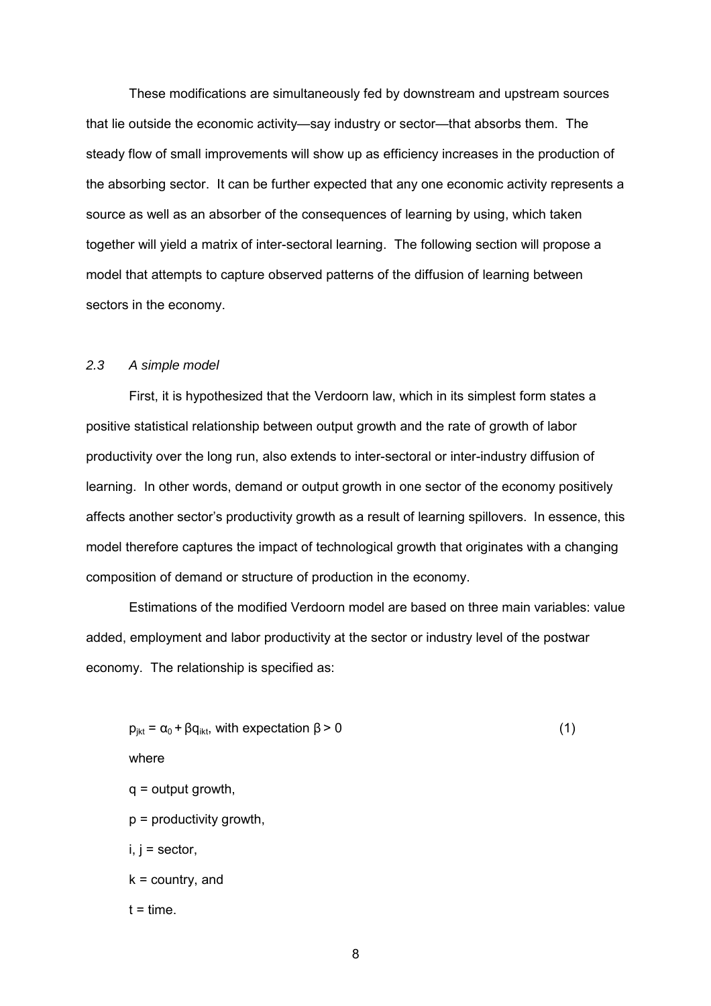These modifications are simultaneously fed by downstream and upstream sources that lie outside the economic activity—say industry or sector—that absorbs them. The steady flow of small improvements will show up as efficiency increases in the production of the absorbing sector. It can be further expected that any one economic activity represents a source as well as an absorber of the consequences of learning by using, which taken together will yield a matrix of inter-sectoral learning. The following section will propose a model that attempts to capture observed patterns of the diffusion of learning between sectors in the economy.

## *2.3 A simple model*

First, it is hypothesized that the Verdoorn law, which in its simplest form states a positive statistical relationship between output growth and the rate of growth of labor productivity over the long run, also extends to inter-sectoral or inter-industry diffusion of learning. In other words, demand or output growth in one sector of the economy positively affects another sectorís productivity growth as a result of learning spillovers. In essence, this model therefore captures the impact of technological growth that originates with a changing composition of demand or structure of production in the economy.

Estimations of the modified Verdoorn model are based on three main variables: value added, employment and labor productivity at the sector or industry level of the postwar economy. The relationship is specified as:

$$
p_{jkt} = \alpha_0 + \beta q_{ikt}, \text{ with expectation } \beta > 0 \tag{1}
$$
\n
$$
q = \text{output growth},
$$
\n
$$
p = \text{productivity growth},
$$
\n
$$
i, j = \text{sector},
$$
\n
$$
k = \text{country}, \text{ and}
$$
\n
$$
t = \text{time}.
$$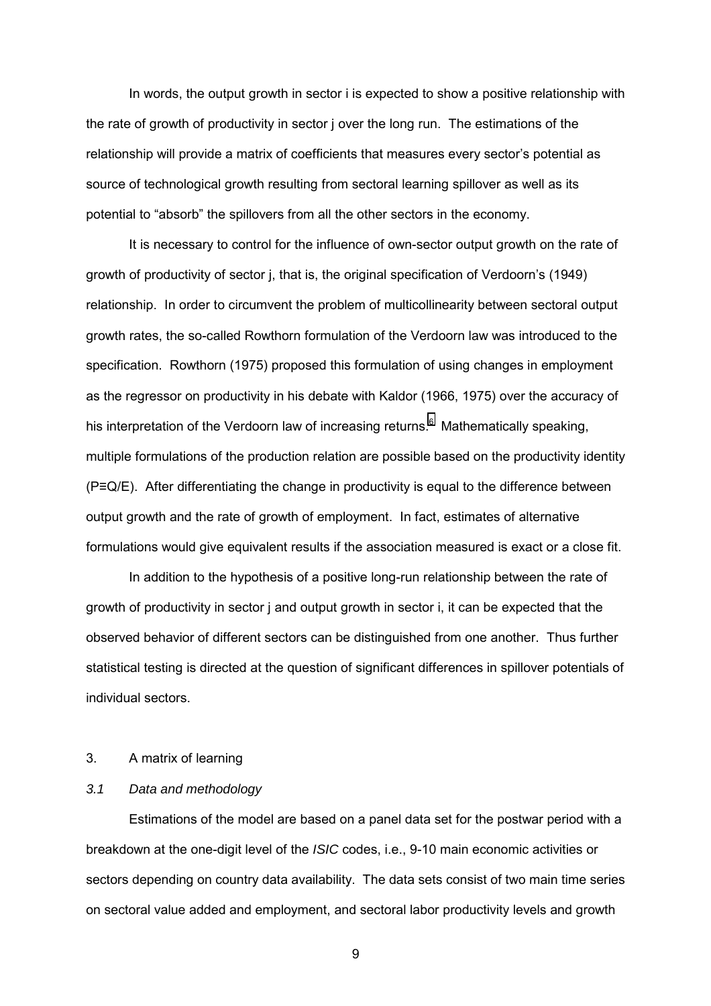In words, the output growth in sector i is expected to show a positive relationship with the rate of growth of productivity in sector j over the long run. The estimations of the relationship will provide a matrix of coefficients that measures every sector's potential as source of technological growth resulting from sectoral learning spillover as well as its potential to "absorb" the spillovers from all the other sectors in the economy.

It is necessary to control for the influence of own-sector output growth on the rate of growth of productivity of sector j, that is, the original specification of Verdoorn's (1949) relationship. In order to circumvent the problem of multicollinearity between sectoral output growth rates, the so-called Rowthorn formulation of the Verdoorn law was introduced to the specification. Rowthorn (1975) proposed this formulation of using changes in employment as the regressor on productivity in his debate with Kaldor (1966, 1975) over the accuracy of his interpretation of the Verdoorn law of increasing returns.<sup>[6](#page-48-0)</sup> Mathematically speaking, multiple formulations of the production relation are possible based on the productivity identity (P≡Q/E). After differentiating the change in productivity is equal to the difference between output growth and the rate of growth of employment. In fact, estimates of alternative formulations would give equivalent results if the association measured is exact or a close fit.

In addition to the hypothesis of a positive long-run relationship between the rate of growth of productivity in sector j and output growth in sector i, it can be expected that the observed behavior of different sectors can be distinguished from one another. Thus further statistical testing is directed at the question of significant differences in spillover potentials of individual sectors.

## 3. A matrix of learning

## *3.1 Data and methodology*

Estimations of the model are based on a panel data set for the postwar period with a breakdown at the one-digit level of the *ISIC* codes, i.e., 9-10 main economic activities or sectors depending on country data availability. The data sets consist of two main time series on sectoral value added and employment, and sectoral labor productivity levels and growth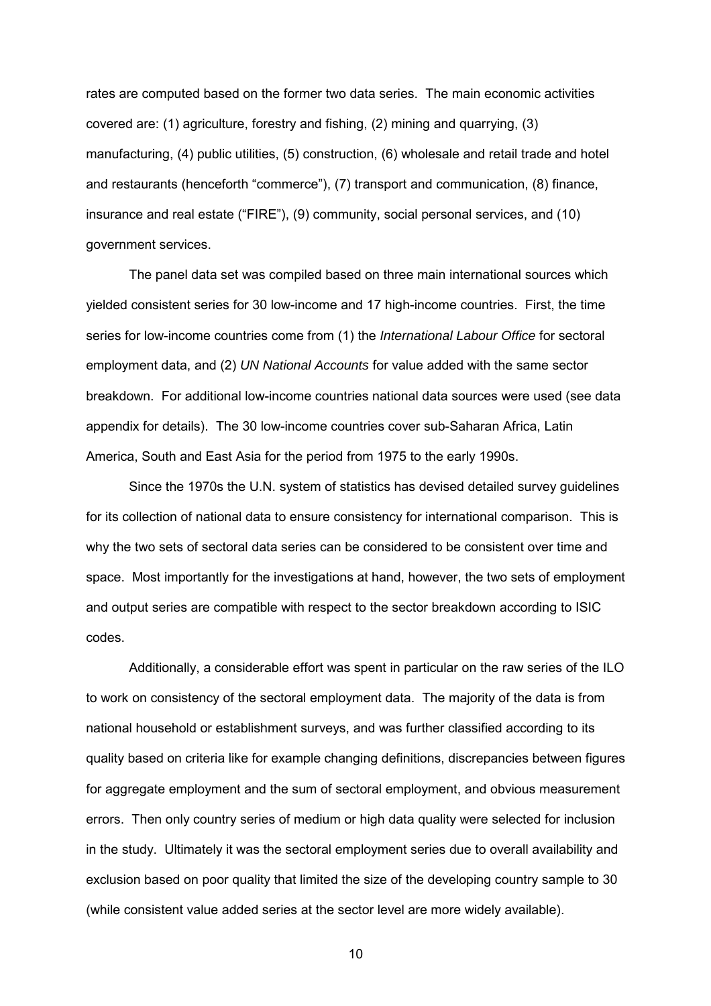rates are computed based on the former two data series. The main economic activities covered are: (1) agriculture, forestry and fishing, (2) mining and quarrying, (3) manufacturing, (4) public utilities, (5) construction, (6) wholesale and retail trade and hotel and restaurants (henceforth "commerce"),  $(7)$  transport and communication,  $(8)$  finance, insurance and real estate ("FIRE"), (9) community, social personal services, and (10) government services.

The panel data set was compiled based on three main international sources which yielded consistent series for 30 low-income and 17 high-income countries. First, the time series for low-income countries come from (1) the *International Labour Office* for sectoral employment data, and (2) *UN National Accounts* for value added with the same sector breakdown. For additional low-income countries national data sources were used (see data appendix for details). The 30 low-income countries cover sub-Saharan Africa, Latin America, South and East Asia for the period from 1975 to the early 1990s.

Since the 1970s the U.N. system of statistics has devised detailed survey guidelines for its collection of national data to ensure consistency for international comparison. This is why the two sets of sectoral data series can be considered to be consistent over time and space. Most importantly for the investigations at hand, however, the two sets of employment and output series are compatible with respect to the sector breakdown according to ISIC codes.

Additionally, a considerable effort was spent in particular on the raw series of the ILO to work on consistency of the sectoral employment data. The majority of the data is from national household or establishment surveys, and was further classified according to its quality based on criteria like for example changing definitions, discrepancies between figures for aggregate employment and the sum of sectoral employment, and obvious measurement errors. Then only country series of medium or high data quality were selected for inclusion in the study. Ultimately it was the sectoral employment series due to overall availability and exclusion based on poor quality that limited the size of the developing country sample to 30 (while consistent value added series at the sector level are more widely available).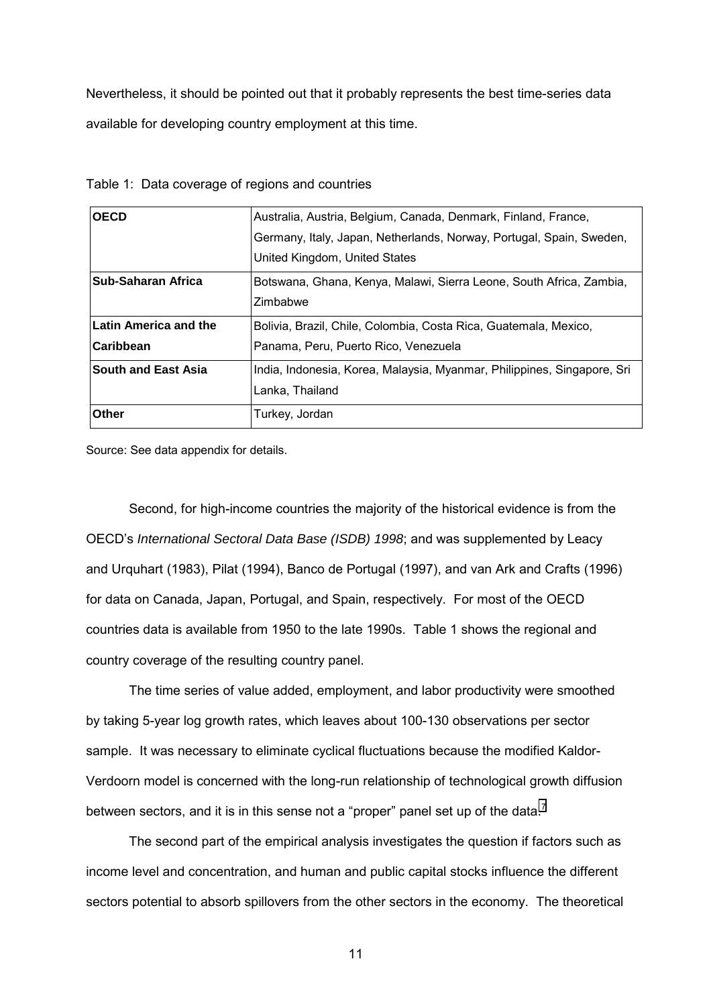Nevertheless, it should be pointed out that it probably represents the best time-series data available for developing country employment at this time.

| <b>OECD</b>                | Australia, Austria, Belgium, Canada, Denmark, Finland, France,          |
|----------------------------|-------------------------------------------------------------------------|
|                            | Germany, Italy, Japan, Netherlands, Norway, Portugal, Spain, Sweden,    |
|                            | United Kingdom, United States                                           |
| Sub-Saharan Africa         | Botswana, Ghana, Kenya, Malawi, Sierra Leone, South Africa, Zambia,     |
|                            | Zimbabwe                                                                |
| Latin America and the      | Bolivia, Brazil, Chile, Colombia, Costa Rica, Guatemala, Mexico,        |
| Caribbean                  | Panama, Peru, Puerto Rico, Venezuela                                    |
| <b>South and East Asia</b> | India, Indonesia, Korea, Malaysia, Myanmar, Philippines, Singapore, Sri |
|                            | Lanka, Thailand                                                         |
| <b>Other</b>               | Turkey, Jordan                                                          |

Table 1: Data coverage of regions and countries

Source: See data appendix for details.

Second, for high-income countries the majority of the historical evidence is from the OECDís *International Sectoral Data Base (ISDB) 1998*; and was supplemented by Leacy and Urquhart (1983), Pilat (1994), Banco de Portugal (1997), and van Ark and Crafts (1996) for data on Canada, Japan, Portugal, and Spain, respectively. For most of the OECD countries data is available from 1950 to the late 1990s. Table 1 shows the regional and country coverage of the resulting country panel.

The time series of value added, employment, and labor productivity were smoothed by taking 5-year log growth rates, which leaves about 100-130 observations per sector sample. It was necessary to eliminate cyclical fluctuations because the modified Kaldor-Verdoorn model is concerned with the long-run relationship of technological growth diffusion between sectors, and it is in this sense not a "proper" panel set up of the data.<sup>[7](#page-48-0)</sup>

The second part of the empirical analysis investigates the question if factors such as income level and concentration, and human and public capital stocks influence the different sectors potential to absorb spillovers from the other sectors in the economy. The theoretical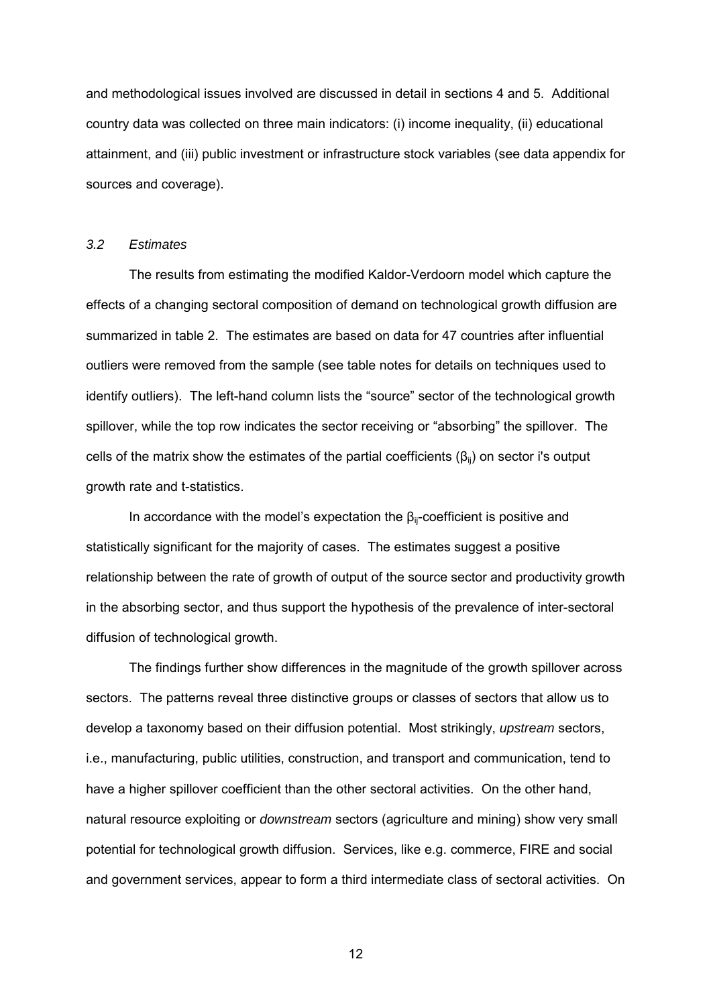and methodological issues involved are discussed in detail in sections 4 and 5. Additional country data was collected on three main indicators: (i) income inequality, (ii) educational attainment, and (iii) public investment or infrastructure stock variables (see data appendix for sources and coverage).

### *3.2 Estimates*

The results from estimating the modified Kaldor-Verdoorn model which capture the effects of a changing sectoral composition of demand on technological growth diffusion are summarized in table 2. The estimates are based on data for 47 countries after influential outliers were removed from the sample (see table notes for details on techniques used to identify outliers). The left-hand column lists the "source" sector of the technological growth spillover, while the top row indicates the sector receiving or "absorbing" the spillover. The cells of the matrix show the estimates of the partial coefficients ( $\beta_{ii}$ ) on sector i's output growth rate and t-statistics.

In accordance with the model's expectation the  $\beta_{ii}$ -coefficient is positive and statistically significant for the majority of cases. The estimates suggest a positive relationship between the rate of growth of output of the source sector and productivity growth in the absorbing sector, and thus support the hypothesis of the prevalence of inter-sectoral diffusion of technological growth.

The findings further show differences in the magnitude of the growth spillover across sectors. The patterns reveal three distinctive groups or classes of sectors that allow us to develop a taxonomy based on their diffusion potential. Most strikingly, *upstream* sectors, i.e., manufacturing, public utilities, construction, and transport and communication, tend to have a higher spillover coefficient than the other sectoral activities. On the other hand, natural resource exploiting or *downstream* sectors (agriculture and mining) show very small potential for technological growth diffusion. Services, like e.g. commerce, FIRE and social and government services, appear to form a third intermediate class of sectoral activities. On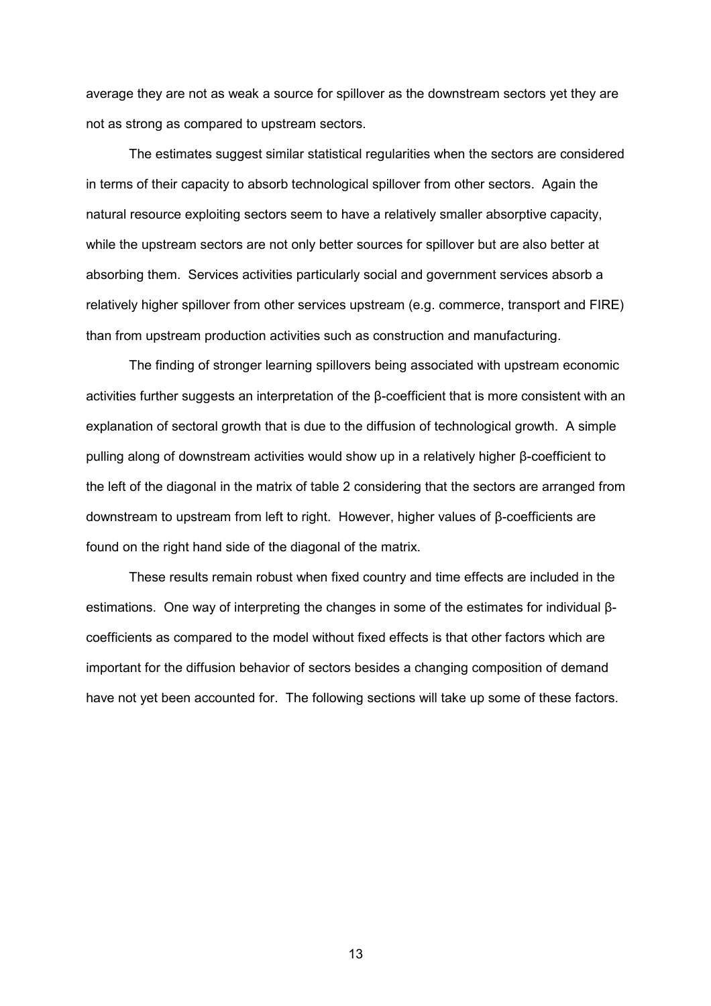average they are not as weak a source for spillover as the downstream sectors yet they are not as strong as compared to upstream sectors.

The estimates suggest similar statistical regularities when the sectors are considered in terms of their capacity to absorb technological spillover from other sectors. Again the natural resource exploiting sectors seem to have a relatively smaller absorptive capacity, while the upstream sectors are not only better sources for spillover but are also better at absorbing them. Services activities particularly social and government services absorb a relatively higher spillover from other services upstream (e.g. commerce, transport and FIRE) than from upstream production activities such as construction and manufacturing.

The finding of stronger learning spillovers being associated with upstream economic activities further suggests an interpretation of the β-coefficient that is more consistent with an explanation of sectoral growth that is due to the diffusion of technological growth. A simple pulling along of downstream activities would show up in a relatively higher β-coefficient to the left of the diagonal in the matrix of table 2 considering that the sectors are arranged from downstream to upstream from left to right. However, higher values of β-coefficients are found on the right hand side of the diagonal of the matrix.

These results remain robust when fixed country and time effects are included in the estimations. One way of interpreting the changes in some of the estimates for individual βcoefficients as compared to the model without fixed effects is that other factors which are important for the diffusion behavior of sectors besides a changing composition of demand have not yet been accounted for. The following sections will take up some of these factors.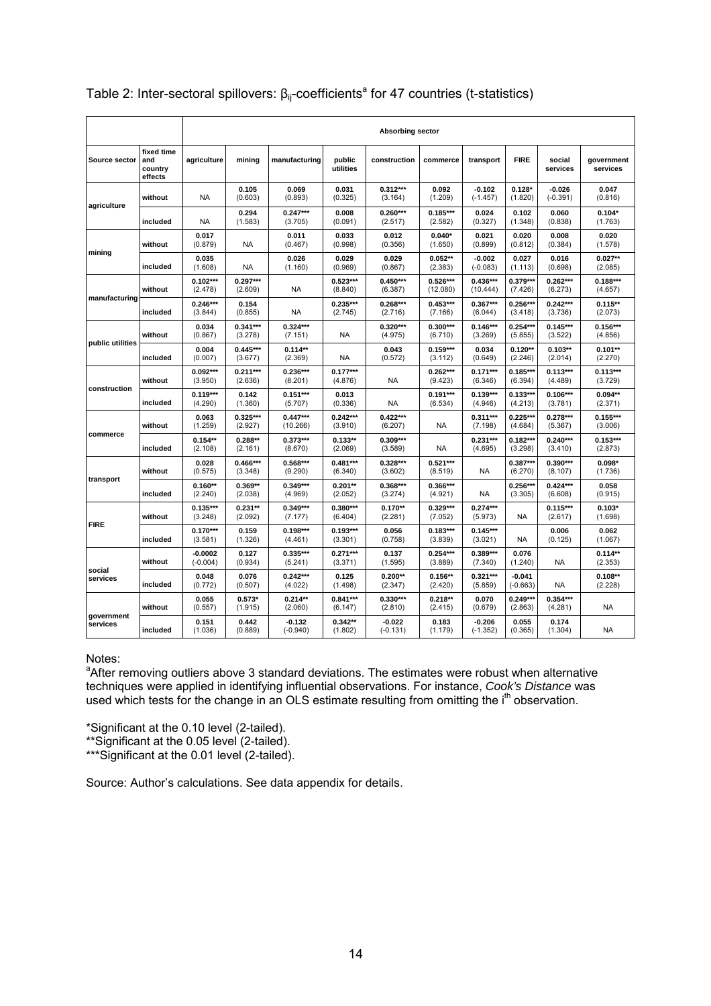|                        |                                         |                         | <b>Absorbing sector</b> |                        |                       |                        |                        |                        |                        |                        |                        |  |  |  |  |
|------------------------|-----------------------------------------|-------------------------|-------------------------|------------------------|-----------------------|------------------------|------------------------|------------------------|------------------------|------------------------|------------------------|--|--|--|--|
| Source sector          | fixed time<br>and<br>country<br>effects | agriculture             | mining                  | manufacturing          | public<br>utilities   | construction           | commerce               | transport              | <b>FIRE</b>            | social<br>services     | government<br>services |  |  |  |  |
|                        | without                                 | <b>NA</b>               | 0.105<br>(0.603)        | 0.069<br>(0.893)       | 0.031<br>(0.325)      | $0.312***$<br>(3.164)  | 0.092<br>(1.209)       | $-0.102$<br>$(-1.457)$ | $0.128*$<br>(1.820)    | $-0.026$<br>$(-0.391)$ | 0.047<br>(0.816)       |  |  |  |  |
| agriculture            | included                                | <b>NA</b>               | 0.294<br>(1.583)        | $0.247***$<br>(3.705)  | 0.008<br>(0.091)      | $0.260***$<br>(2.517)  | $0.185***$<br>(2.582)  | 0.024<br>(0.327)       | 0.102<br>(1.348)       | 0.060<br>(0.838)       | $0.104*$<br>(1.763)    |  |  |  |  |
|                        | without                                 | 0.017<br>(0.879)        | <b>NA</b>               | 0.011<br>(0.467)       | 0.033<br>(0.998)      | 0.012<br>(0.356)       | $0.040*$<br>(1.650)    | 0.021<br>(0.899)       | 0.020<br>(0.812)       | 0.008<br>(0.384)       | 0.020<br>(1.578)       |  |  |  |  |
| mining                 | included                                | 0.035<br>(1.608)        | NA                      | 0.026<br>(1.160)       | 0.029<br>(0.969)      | 0.029<br>(0.867)       | $0.052**$<br>(2.383)   | $-0.002$<br>$(-0.083)$ | 0.027<br>(1.113)       | 0.016<br>(0.698)       | $0.027**$<br>(2.085)   |  |  |  |  |
|                        | without                                 | $0.102***$<br>(2.478)   | $0.297***$<br>(2.609)   | NA                     | $0.523***$<br>(8.840) | $0.450***$<br>(6.387)  | $0.526***$<br>(12.080) | $0.436***$<br>(10.444) | $0.379***$<br>(7.426)  | $0.262***$<br>(6.273)  | $0.188***$<br>(4.657)  |  |  |  |  |
| manufacturing          | included                                | $0.246***$<br>(3.844)   | 0.154<br>(0.855)        | <b>NA</b>              | $0.235***$<br>(2.745) | $0.268***$<br>(2.716)  | $0.453***$<br>(7.166)  | $0.367***$<br>(6.044)  | $0.256***$<br>(3.418)  | $0.242***$<br>(3.736)  | $0.115**$<br>(2.073)   |  |  |  |  |
| public utilities       | without                                 | 0.034<br>(0.867)        | $0.341***$<br>(3.278)   | $0.324***$<br>(7.151)  | <b>NA</b>             | $0.320***$<br>(4.975)  | $0.300***$<br>(6.710)  | $0.146***$<br>(3.269)  | $0.254***$<br>(5.855)  | $0.145***$<br>(3.522)  | $0.156***$<br>(4.856)  |  |  |  |  |
|                        | included                                | 0.004<br>(0.007)        | $0.445***$<br>(3.677)   | $0.114**$<br>(2.369)   | <b>NA</b>             | 0.043<br>(0.572)       | $0.159***$<br>(3.112)  | 0.034<br>(0.649)       | $0.120**$<br>(2.246)   | $0.103**$<br>(2.014)   | $0.101**$<br>(2.270)   |  |  |  |  |
|                        | without                                 | $0.092***$<br>(3.950)   | $0.211***$<br>(2.636)   | $0.236***$<br>(8.201)  | $0.177***$<br>(4.876) | <b>NA</b>              | $0.262***$<br>(9.423)  | $0.171***$<br>(6.346)  | $0.185***$<br>(6.394)  | $0.113***$<br>(4.489)  | $0.113***$<br>(3.729)  |  |  |  |  |
| construction           | included                                | $0.119***$<br>(4.290)   | 0.142<br>(1.360)        | $0.151***$<br>(5.707)  | 0.013<br>(0.336)      | <b>NA</b>              | $0.191***$<br>(6.534)  | $0.139***$<br>(4.946)  | $0.133***$<br>(4.213)  | $0.106***$<br>(3.781)  | $0.094**$<br>(2.371)   |  |  |  |  |
|                        | without                                 | 0.063<br>(1.259)        | $0.325***$<br>(2.927)   | $0.447***$<br>(10.266) | $0.242***$<br>(3.910) | $0.422***$<br>(6.207)  | NA                     | $0.311***$<br>(7.198)  | $0.225***$<br>(4.684)  | $0.278***$<br>(5.367)  | $0.155***$<br>(3.006)  |  |  |  |  |
| commerce               | included                                | $0.154**$<br>(2.108)    | $0.288**$<br>(2.161)    | $0.373***$<br>(8.670)  | $0.133**$<br>(2.069)  | $0.309***$<br>(3.589)  | <b>NA</b>              | $0.231***$<br>(4.695)  | $0.182***$<br>(3.298)  | $0.240***$<br>(3.410)  | $0.153***$<br>(2.873)  |  |  |  |  |
|                        | without                                 | 0.028<br>(0.575)        | $0.466***$<br>(3.348)   | $0.568***$<br>(9.290)  | $0.481***$<br>(6.340) | $0.328***$<br>(3.602)  | $0.521***$<br>(8.519)  | NA                     | $0.387***$<br>(6.270)  | $0.390***$<br>(8.107)  | $0.098*$<br>(1.736)    |  |  |  |  |
| transport              | included                                | $0.160**$<br>(2.240)    | $0.369**$<br>(2.038)    | $0.349***$<br>(4.969)  | $0.201**$<br>(2.052)  | 0.368***<br>(3.274)    | 0.366***<br>(4.921)    | NA                     | $0.256***$<br>(3.305)  | $0.424***$<br>(6.608)  | 0.058<br>(0.915)       |  |  |  |  |
|                        | without                                 | $0.135***$<br>(3.248)   | $0.231**$<br>(2.092)    | $0.349***$<br>(7.177)  | $0.380***$<br>(6.404) | $0.170**$<br>(2.281)   | $0.329***$<br>(7.052)  | $0.274***$<br>(5.973)  | <b>NA</b>              | $0.115***$<br>(2.617)  | $0.103*$<br>(1.698)    |  |  |  |  |
| <b>FIRE</b>            | included                                | $0.170***$<br>(3.581)   | 0.159<br>(1.326)        | $0.198***$<br>(4.461)  | $0.193***$<br>(3.301) | 0.056<br>(0.758)       | $0.183***$<br>(3.839)  | $0.145***$<br>(3.021)  | <b>NA</b>              | 0.006<br>(0.125)       | 0.062<br>(1.067)       |  |  |  |  |
|                        | without                                 | $-0.0002$<br>$(-0.004)$ | 0.127<br>(0.934)        | $0.335***$<br>(5.241)  | $0.271***$<br>(3.371) | 0.137<br>(1.595)       | $0.254***$<br>(3.889)  | 0.389***<br>(7.340)    | 0.076<br>(1.240)       | <b>NA</b>              | $0.114**$<br>(2.353)   |  |  |  |  |
| social<br>services     | included                                | 0.048<br>(0.772)        | 0.076<br>(0.507)        | $0.242***$<br>(4.022)  | 0.125<br>(1.498)      | $0.200**$<br>(2.347)   | $0.156**$<br>(2.420)   | $0.321***$<br>(5.859)  | $-0.041$<br>$(-0.663)$ | NA                     | $0.108**$<br>(2.228)   |  |  |  |  |
|                        | without                                 | 0.055<br>(0.557)        | $0.573*$<br>(1.915)     | $0.214**$<br>(2.060)   | $0.841***$<br>(6.147) | $0.330***$<br>(2.810)  | $0.218**$<br>(2.415)   | 0.070<br>(0.679)       | $0.249***$<br>(2.863)  | $0.354***$<br>(4.281)  | NA                     |  |  |  |  |
| government<br>services | included                                | 0.151<br>(1.036)        | 0.442<br>(0.889)        | $-0.132$<br>$(-0.940)$ | $0.342**$<br>(1.802)  | $-0.022$<br>$(-0.131)$ | 0.183<br>(1.179)       | $-0.206$<br>$(-1.352)$ | 0.055<br>(0.365)       | 0.174<br>(1.304)       | <b>NA</b>              |  |  |  |  |

## Table 2: Inter-sectoral spillovers:  $\beta_{ij}$ -coefficients<sup>a</sup> for 47 countries (t-statistics)

## Notes:

<sup>a</sup>After removing outliers above 3 standard deviations. The estimates were robust when alternative techniques were applied in identifying influential observations. For instance, *Cook's Distance* was used which tests for the change in an OLS estimate resulting from omitting the i<sup>th</sup> observation.

\*Significant at the 0.10 level (2-tailed).

\*\*Significant at the 0.05 level (2-tailed).

\*\*\*Significant at the 0.01 level (2-tailed).

Source: Author's calculations. See data appendix for details.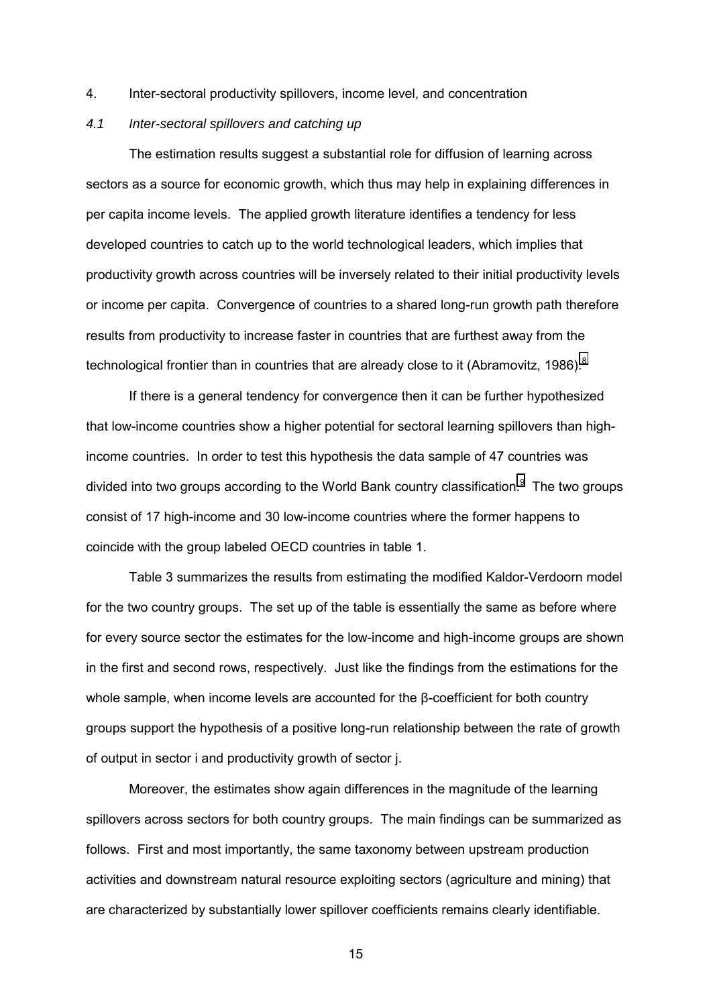4. Inter-sectoral productivity spillovers, income level, and concentration

### *4.1 Inter-sectoral spillovers and catching up*

The estimation results suggest a substantial role for diffusion of learning across sectors as a source for economic growth, which thus may help in explaining differences in per capita income levels. The applied growth literature identifies a tendency for less developed countries to catch up to the world technological leaders, which implies that productivity growth across countries will be inversely related to their initial productivity levels or income per capita. Convergence of countries to a shared long-run growth path therefore results from productivity to increase faster in countries that are furthest away from the technological frontier than in countries that are already close to it (Abramovitz, 19[8](#page-48-0)6).<sup>8</sup>

If there is a general tendency for convergence then it can be further hypothesized that low-income countries show a higher potential for sectoral learning spillovers than highincome countries. In order to test this hypothesis the data sample of 47 countries was divided into two groups according to the World Bank country classification.<sup>[9](#page-48-0)</sup> The two groups consist of 17 high-income and 30 low-income countries where the former happens to coincide with the group labeled OECD countries in table 1.

Table 3 summarizes the results from estimating the modified Kaldor-Verdoorn model for the two country groups. The set up of the table is essentially the same as before where for every source sector the estimates for the low-income and high-income groups are shown in the first and second rows, respectively. Just like the findings from the estimations for the whole sample, when income levels are accounted for the β-coefficient for both country groups support the hypothesis of a positive long-run relationship between the rate of growth of output in sector i and productivity growth of sector j.

Moreover, the estimates show again differences in the magnitude of the learning spillovers across sectors for both country groups. The main findings can be summarized as follows. First and most importantly, the same taxonomy between upstream production activities and downstream natural resource exploiting sectors (agriculture and mining) that are characterized by substantially lower spillover coefficients remains clearly identifiable.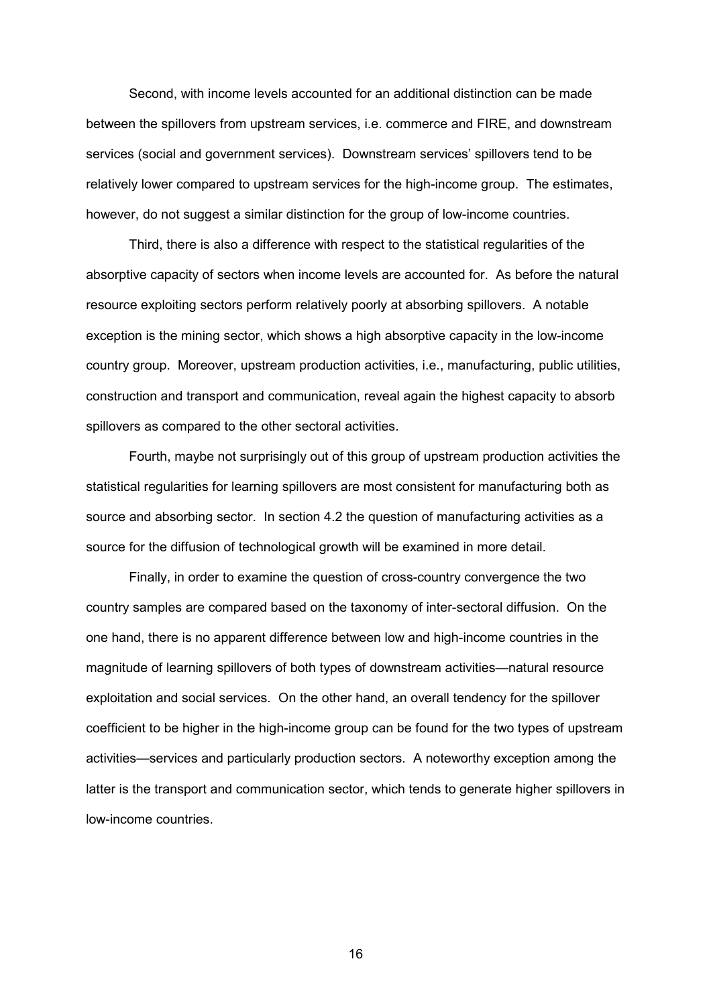Second, with income levels accounted for an additional distinction can be made between the spillovers from upstream services, i.e. commerce and FIRE, and downstream services (social and government services). Downstream services' spillovers tend to be relatively lower compared to upstream services for the high-income group. The estimates, however, do not suggest a similar distinction for the group of low-income countries.

Third, there is also a difference with respect to the statistical regularities of the absorptive capacity of sectors when income levels are accounted for. As before the natural resource exploiting sectors perform relatively poorly at absorbing spillovers. A notable exception is the mining sector, which shows a high absorptive capacity in the low-income country group. Moreover, upstream production activities, i.e., manufacturing, public utilities, construction and transport and communication, reveal again the highest capacity to absorb spillovers as compared to the other sectoral activities.

Fourth, maybe not surprisingly out of this group of upstream production activities the statistical regularities for learning spillovers are most consistent for manufacturing both as source and absorbing sector. In section 4.2 the question of manufacturing activities as a source for the diffusion of technological growth will be examined in more detail.

Finally, in order to examine the question of cross-country convergence the two country samples are compared based on the taxonomy of inter-sectoral diffusion. On the one hand, there is no apparent difference between low and high-income countries in the magnitude of learning spillovers of both types of downstream activities—natural resource exploitation and social services. On the other hand, an overall tendency for the spillover coefficient to be higher in the high-income group can be found for the two types of upstream activities—services and particularly production sectors. A noteworthy exception among the latter is the transport and communication sector, which tends to generate higher spillovers in low-income countries.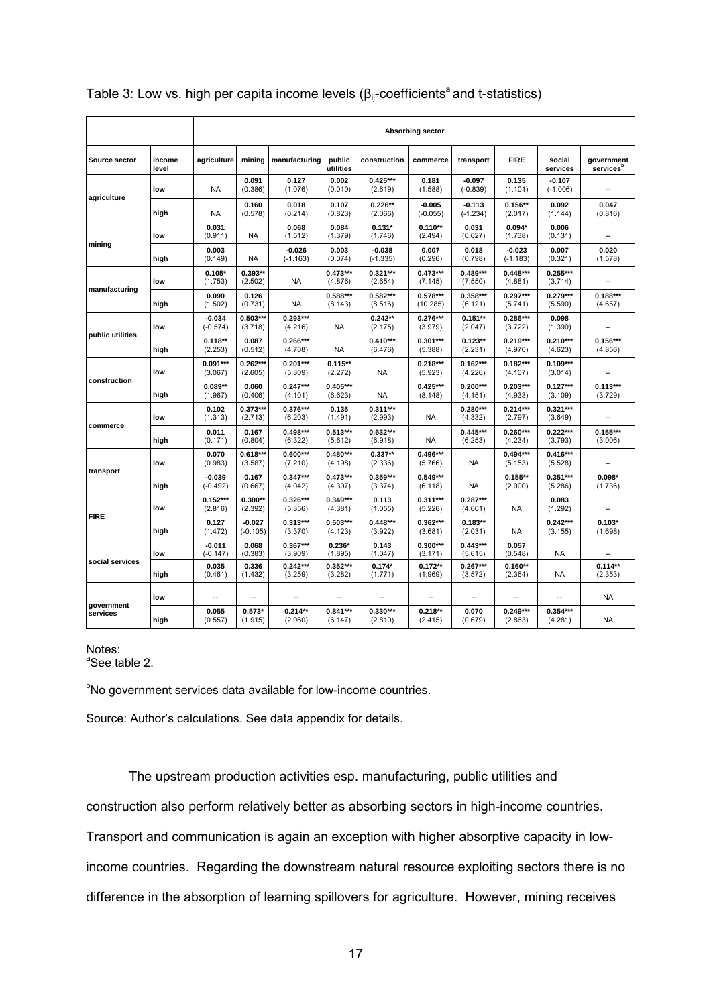|                      |                 | Absorbing sector       |                        |                        |                       |                        |                        |                        |                        |                        |                                     |  |  |
|----------------------|-----------------|------------------------|------------------------|------------------------|-----------------------|------------------------|------------------------|------------------------|------------------------|------------------------|-------------------------------------|--|--|
| <b>Source sector</b> | income<br>level | agriculture            | mining                 | manufacturing          | public<br>utilities   | construction           | commerce               | transport              | <b>FIRE</b>            | social<br>services     | government<br>services <sup>b</sup> |  |  |
|                      | low             | NA                     | 0.091<br>(0.386)       | 0.127<br>(1.076)       | 0.002<br>(0.010)      | $0.425***$<br>(2.619)  | 0.181<br>(1.588)       | $-0.097$<br>$(-0.839)$ | 0.135<br>(1.101)       | $-0.107$<br>$(-1.006)$ |                                     |  |  |
| agriculture          | high            | <b>NA</b>              | 0.160<br>(0.578)       | 0.018<br>(0.214)       | 0.107<br>(0.823)      | $0.226**$<br>(2.066)   | $-0.005$<br>$(-0.055)$ | $-0.113$<br>$(-1.234)$ | $0.156**$<br>(2.017)   | 0.092<br>(1.144)       | 0.047<br>(0.816)                    |  |  |
|                      | low             | 0.031<br>(0.911)       | <b>NA</b>              | 0.068<br>(1.512)       | 0.084<br>(1.379)      | $0.131*$<br>(1.746)    | $0.110**$<br>(2.494)   | 0.031<br>(0.627)       | $0.094*$<br>(1.738)    | 0.006<br>(0.131)       |                                     |  |  |
| mining               | high            | 0.003<br>(0.149)       | <b>NA</b>              | $-0.026$<br>$(-1.163)$ | 0.003<br>(0.074)      | $-0.038$<br>$(-1.335)$ | 0.007<br>(0.296)       | 0.018<br>(0.798)       | $-0.023$<br>$(-1.183)$ | 0.007<br>(0.321)       | 0.020<br>(1.578)                    |  |  |
| manufacturing        | low             | $0.105*$<br>(1.753)    | $0.393**$<br>(2.502)   | NA                     | $0.473***$<br>(4.876) | $0.321***$<br>(2.654)  | $0.473***$<br>(7.145)  | $0.489***$<br>(7.550)  | $0.448***$<br>(4.881)  | $0.255***$<br>(3.714)  |                                     |  |  |
|                      | high            | 0.090<br>(1.502)       | 0.126<br>(0.731)       | <b>NA</b>              | 0.588***<br>(8.143)   | $0.582***$<br>(8.516)  | $0.578***$<br>(10.285) | $0.358***$<br>(6.121)  | $0.297***$<br>(5.741)  | $0.279***$<br>(5.590)  | $0.188***$<br>(4.657)               |  |  |
| public utilities     | low             | $-0.034$<br>$(-0.574)$ | $0.503***$<br>(3.718)  | $0.293***$<br>(4.216)  | <b>NA</b>             | $0.242**$<br>(2.175)   | $0.276***$<br>(3.979)  | $0.151**$<br>(2.047)   | $0.286***$<br>(3.722)  | 0.098<br>(1.390)       |                                     |  |  |
|                      | high            | $0.118**$<br>(2.253)   | 0.087<br>(0.512)       | $0.266***$<br>(4.708)  | <b>NA</b>             | $0.410***$<br>(6.476)  | $0.301***$<br>(5.388)  | $0.123**$<br>(2.231)   | $0.219***$<br>(4.970)  | $0.210***$<br>(4.623)  | $0.156***$<br>(4.856)               |  |  |
|                      | low             | $0.091***$<br>(3.067)  | $0.262***$<br>(2.605)  | $0.201***$<br>(5.309)  | $0.115**$<br>(2.272)  | <b>NA</b>              | $0.218***$<br>(5.923)  | $0.162***$<br>(4.226)  | $0.182***$<br>(4.107)  | $0.109***$<br>(3.014)  |                                     |  |  |
| construction         | high            | $0.089**$<br>(1.967)   | 0.060<br>(0.406)       | $0.247***$<br>(4.101)  | $0.405***$<br>(6.623) | <b>NA</b>              | $0.425***$<br>(8.148)  | $0.200***$<br>(4.151)  | $0.203***$<br>(4.933)  | $0.127***$<br>(3.109)  | $0.113***$<br>(3.729)               |  |  |
|                      | low             | 0.102<br>(1.313)       | 0.373***<br>(2.713)    | 0.376***<br>(6.203)    | 0.135<br>(1.491)      | $0.311***$<br>(2.993)  | <b>NA</b>              | $0.280***$<br>(4.332)  | $0.214***$<br>(2.797)  | $0.321***$<br>(3.649)  | $\overline{a}$                      |  |  |
| commerce             | high            | 0.011<br>(0.171)       | 0.167<br>(0.804)       | $0.498***$<br>(6.322)  | $0.513***$<br>(5.612) | $0.632***$<br>(6.918)  | <b>NA</b>              | $0.445***$<br>(6.253)  | $0.260***$<br>(4.234)  | $0.222***$<br>(3.793)  | $0.155***$<br>(3.006)               |  |  |
|                      | low             | 0.070<br>(0.983)       | $0.618***$<br>(3.587)  | $0.600***$<br>(7.210)  | 0.480***<br>(4.198)   | $0.337**$<br>(2.336)   | $0.496***$<br>(5.766)  | <b>NA</b>              | $0.494***$<br>(5.153)  | $0.416***$<br>(5.528)  | $\overline{a}$                      |  |  |
| transport            | high            | $-0.039$<br>$(-0.492)$ | 0.167<br>(0.667)       | $0.347***$<br>(4.042)  | $0.473***$<br>(4.307) | $0.359***$<br>(3.374)  | $0.549***$<br>(6.118)  | NA                     | $0.155**$<br>(2.000)   | $0.351***$<br>(5.286)  | $0.098*$<br>(1.736)                 |  |  |
| <b>FIRE</b>          | low             | $0.152***$<br>(2.816)  | $0.300**$<br>(2.392)   | $0.326***$<br>(5.356)  | $0.349***$<br>(4.381) | 0.113<br>(1.055)       | $0.311***$<br>(5.226)  | $0.287***$<br>(4.601)  | <b>NA</b>              | 0.083<br>(1.292)       |                                     |  |  |
|                      | high            | 0.127<br>(1.472)       | $-0.027$<br>$(-0.105)$ | $0.313***$<br>(3.370)  | $0.503***$<br>(4.123) | $0.448***$<br>(3.922)  | $0.362***$<br>(3.681)  | $0.183**$<br>(2.031)   | NA                     | $0.242***$<br>(3.155)  | $0.103*$<br>(1.698)                 |  |  |
|                      | low             | $-0.011$<br>$(-0.147)$ | 0.068<br>(0.383)       | $0.367***$<br>(3.909)  | $0.236*$<br>(1.895)   | 0.143<br>(1.047)       | $0.300***$<br>(3.171)  | $0.443***$<br>(5.615)  | 0.057<br>(0.548)       | <b>NA</b>              |                                     |  |  |
| social services      | high            | 0.035<br>(0.461)       | 0.336<br>(1.432)       | $0.242***$<br>(3.259)  | $0.352***$<br>(3.282) | $0.174*$<br>(1.771)    | $0.172**$<br>(1.969)   | $0.267***$<br>(3.572)  | $0.160**$<br>(2.364)   | <b>NA</b>              | $0.114**$<br>(2.353)                |  |  |
| government           | low             | $\overline{a}$         |                        |                        |                       | Ξ.                     | --                     | Ш,                     |                        | --                     | <b>NA</b>                           |  |  |
| services             | high            | 0.055<br>(0.557)       | $0.573*$<br>(1.915)    | $0.214**$<br>(2.060)   | $0.841***$<br>(6.147) | 0.330***<br>(2.810)    | $0.218**$<br>(2.415)   | 0.070<br>(0.679)       | $0.249***$<br>(2.863)  | $0.354***$<br>(4.281)  | <b>NA</b>                           |  |  |

## Table 3: Low vs. high per capita income levels ( $\beta_{ij}$ -coefficients<sup>a</sup> and t-statistics)

## Notes:

<sup>a</sup>See table 2.

<sup>b</sup>No government services data available for low-income countries.

Source: Author's calculations. See data appendix for details.

The upstream production activities esp. manufacturing, public utilities and construction also perform relatively better as absorbing sectors in high-income countries. Transport and communication is again an exception with higher absorptive capacity in lowincome countries. Regarding the downstream natural resource exploiting sectors there is no difference in the absorption of learning spillovers for agriculture. However, mining receives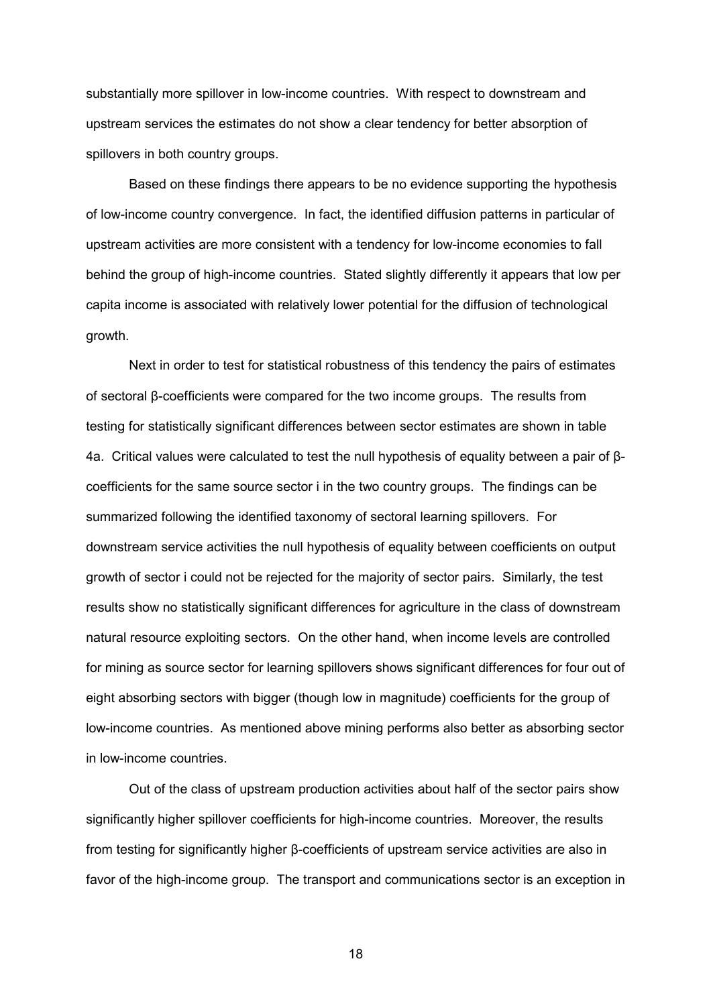substantially more spillover in low-income countries. With respect to downstream and upstream services the estimates do not show a clear tendency for better absorption of spillovers in both country groups.

Based on these findings there appears to be no evidence supporting the hypothesis of low-income country convergence. In fact, the identified diffusion patterns in particular of upstream activities are more consistent with a tendency for low-income economies to fall behind the group of high-income countries. Stated slightly differently it appears that low per capita income is associated with relatively lower potential for the diffusion of technological growth.

Next in order to test for statistical robustness of this tendency the pairs of estimates of sectoral β-coefficients were compared for the two income groups. The results from testing for statistically significant differences between sector estimates are shown in table 4a. Critical values were calculated to test the null hypothesis of equality between a pair of βcoefficients for the same source sector i in the two country groups. The findings can be summarized following the identified taxonomy of sectoral learning spillovers. For downstream service activities the null hypothesis of equality between coefficients on output growth of sector i could not be rejected for the majority of sector pairs. Similarly, the test results show no statistically significant differences for agriculture in the class of downstream natural resource exploiting sectors. On the other hand, when income levels are controlled for mining as source sector for learning spillovers shows significant differences for four out of eight absorbing sectors with bigger (though low in magnitude) coefficients for the group of low-income countries. As mentioned above mining performs also better as absorbing sector in low-income countries.

Out of the class of upstream production activities about half of the sector pairs show significantly higher spillover coefficients for high-income countries. Moreover, the results from testing for significantly higher β-coefficients of upstream service activities are also in favor of the high-income group. The transport and communications sector is an exception in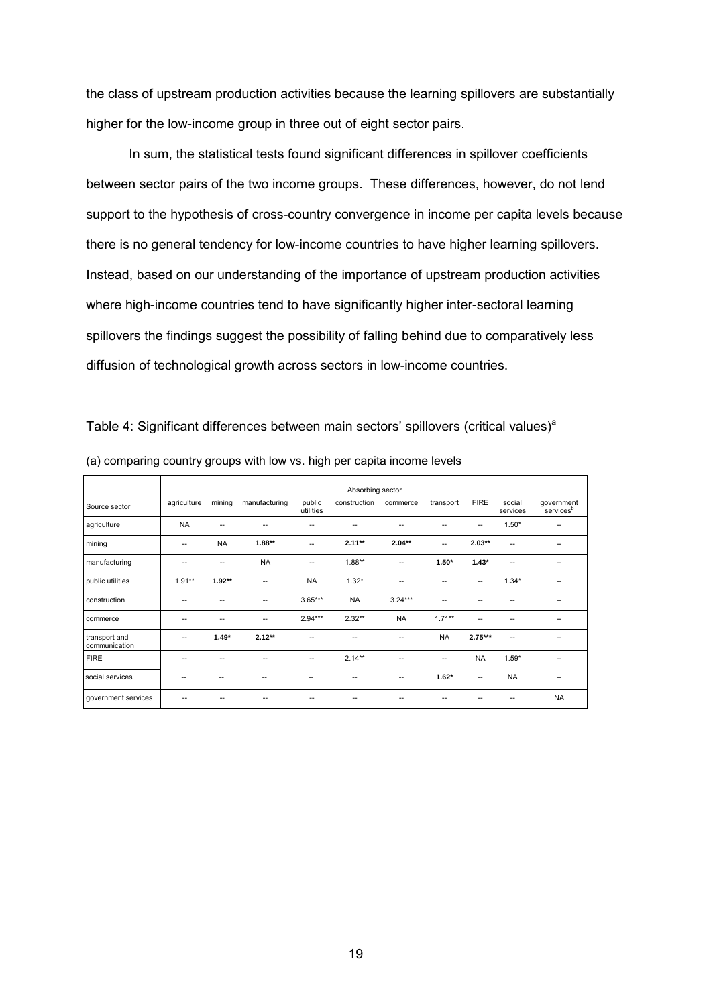the class of upstream production activities because the learning spillovers are substantially higher for the low-income group in three out of eight sector pairs.

In sum, the statistical tests found significant differences in spillover coefficients between sector pairs of the two income groups. These differences, however, do not lend support to the hypothesis of cross-country convergence in income per capita levels because there is no general tendency for low-income countries to have higher learning spillovers. Instead, based on our understanding of the importance of upstream production activities where high-income countries tend to have significantly higher inter-sectoral learning spillovers the findings suggest the possibility of falling behind due to comparatively less diffusion of technological growth across sectors in low-income countries.

|                                |             | Absorbing sector |               |                     |              |           |           |             |                    |                                     |  |  |  |
|--------------------------------|-------------|------------------|---------------|---------------------|--------------|-----------|-----------|-------------|--------------------|-------------------------------------|--|--|--|
| Source sector                  | agriculture | mining           | manufacturing | public<br>utilities | construction | commerce  | transport | <b>FIRE</b> | social<br>services | government<br>services <sup>b</sup> |  |  |  |
| agriculture                    | <b>NA</b>   | --               | --            |                     |              | ۰.        |           | --          | $1.50*$            | ٠.                                  |  |  |  |
| mining                         | --          | <b>NA</b>        | $1.88**$      | --                  | $2.11**$     | $2.04**$  | --        | $2.03**$    | --                 | --                                  |  |  |  |
| manufacturing                  |             | --               | <b>NA</b>     | --                  | $1.88**$     | --        | $1.50*$   | $1.43*$     | --                 |                                     |  |  |  |
| public utilities               | $1.91**$    | $1.92**$         | --            | <b>NA</b>           | $1.32*$      | --        |           | --          | $1.34*$            | --                                  |  |  |  |
| construction                   |             |                  | --            | $3.65***$           | <b>NA</b>    | $3.24***$ | --        |             |                    | --                                  |  |  |  |
| commerce                       |             | --               | --            | $2.94***$           | $2.32**$     | <b>NA</b> | $1.71**$  |             |                    | --                                  |  |  |  |
| transport and<br>communication |             | $1.49*$          | $2.12**$      | --                  |              | --        | <b>NA</b> | $2.75***$   | --                 | --                                  |  |  |  |
| <b>FIRE</b>                    |             | --               |               | --                  | $2.14***$    | --        | --        | <b>NA</b>   | $1.59*$            | --                                  |  |  |  |
| social services                |             |                  |               |                     |              | ۰.        | $1.62*$   | --          | <b>NA</b>          |                                     |  |  |  |
| government services            |             |                  |               |                     |              |           |           |             | --                 | <b>NA</b>                           |  |  |  |

(a) comparing country groups with low vs. high per capita income levels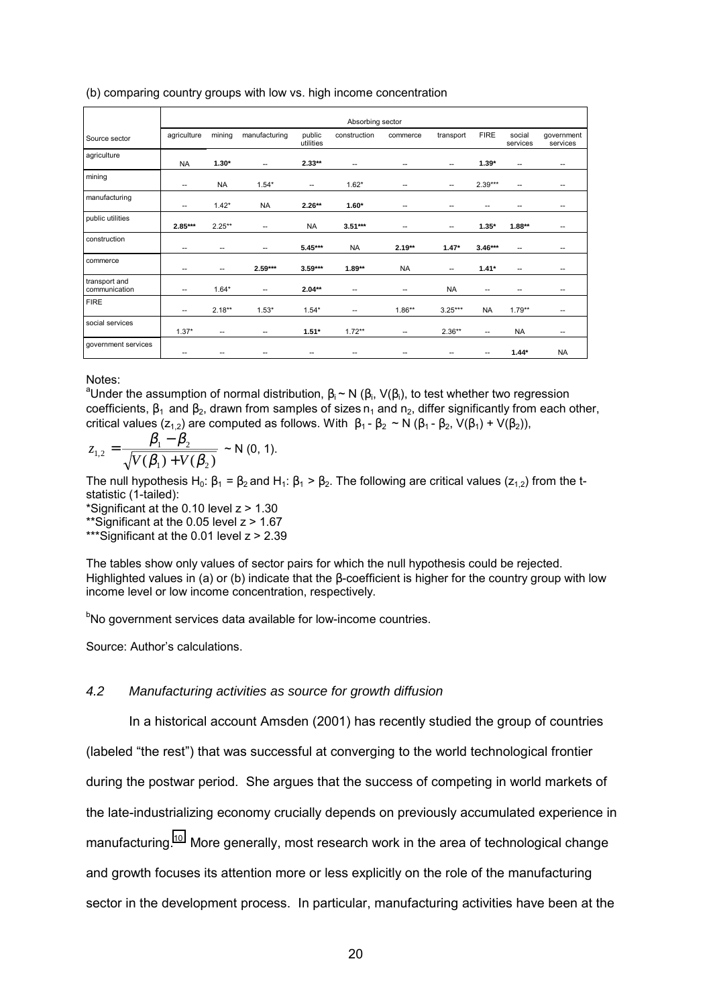(b) comparing country groups with low vs. high income concentration

|                                | Absorbing sector |                          |               |                          |              |           |                          |             |                          |                        |  |  |
|--------------------------------|------------------|--------------------------|---------------|--------------------------|--------------|-----------|--------------------------|-------------|--------------------------|------------------------|--|--|
| Source sector                  | agriculture      | mining                   | manufacturing | public<br>utilities      | construction | commerce  | transport                | <b>FIRE</b> | social<br>services       | government<br>services |  |  |
| agriculture                    | <b>NA</b>        | $1.30*$                  | --            | $2.33**$                 | --           | --        | --                       | $1.39*$     | $\overline{\phantom{a}}$ | --                     |  |  |
| mining                         | --               | <b>NA</b>                | $1.54*$       | $\overline{\phantom{a}}$ | $1.62*$      | --        | --                       | $2.39***$   | $\overline{\phantom{a}}$ | --                     |  |  |
| manufacturing                  | --               | $1.42*$                  | <b>NA</b>     | $2.26**$                 | $1.60*$      | --        | --                       | --          | $\overline{\phantom{a}}$ | --                     |  |  |
| public utilities               | 2.85***          | $2.25**$                 | --            | <b>NA</b>                | $3.51***$    | --        | --                       | $1.35*$     | $1.88**$                 | $- -$                  |  |  |
| construction                   | --               | --                       | --            | $5.45***$                | <b>NA</b>    | $2.19**$  | $1.47*$                  | $3.46***$   | $\overline{\phantom{a}}$ | $- -$                  |  |  |
| commerce                       | --               | $\overline{\phantom{a}}$ | $2.59***$     | $3.59***$                | $1.89**$     | <b>NA</b> | $\overline{\phantom{a}}$ | $1.41*$     | $\overline{\phantom{a}}$ | $- -$                  |  |  |
| transport and<br>communication | --               | $1.64*$                  | --            | $2.04**$                 | --           | --        | <b>NA</b>                | --          | --                       | --                     |  |  |
| <b>FIRE</b>                    | --               | $2.18**$                 | $1.53*$       | $1.54*$                  | --           | $1.86**$  | $3.25***$                | <b>NA</b>   | $1.79**$                 | --                     |  |  |
| social services                | $1.37*$          | $\overline{\phantom{a}}$ | --            | $1.51*$                  | $1.72**$     | --        | $2.36**$                 | --          | <b>NA</b>                | --                     |  |  |
| government services            | --               |                          |               |                          |              |           | --                       | --          | $1.44*$                  | <b>NA</b>              |  |  |

Notes:

<sup>a</sup>Under the assumption of normal distribution,  $\beta_i$  ~ N ( $\beta_i$ , V( $\beta_i$ ), to test whether two regression coefficients,  $\beta_1$  and  $\beta_2$ , drawn from samples of sizes  $n_1$  and  $n_2$ , differ significantly from each other, critical values (z<sub>1,2</sub>) are computed as follows. With  $\beta_1 - \beta_2 \sim N (\beta_1 - \beta_2, V(\beta_1) + V(\beta_2))$ ,

$$
z_{1,2} = \frac{\beta_1 - \beta_2}{\sqrt{V(\beta_1) + V(\beta_2)}} \sim N(0, 1).
$$

The null hypothesis H<sub>0</sub>:  $\beta_1 = \beta_2$  and H<sub>1</sub>:  $\beta_1 > \beta_2$ . The following are critical values (z<sub>1,2</sub>) from the tstatistic (1-tailed):

\*Significant at the 0.10 level z > 1.30

\*\*Significant at the 0.05 level z > 1.67

\*\*\*Significant at the 0.01 level z > 2.39

The tables show only values of sector pairs for which the null hypothesis could be rejected. Highlighted values in (a) or (b) indicate that the β-coefficient is higher for the country group with low income level or low income concentration, respectively.

<sup>b</sup>No government services data available for low-income countries.

Source: Author's calculations.

### *4.2 Manufacturing activities as source for growth diffusion*

In a historical account Amsden (2001) has recently studied the group of countries (labeled "the rest") that was successful at converging to the world technological frontier during the postwar period. She argues that the success of competing in world markets of the late-industrializing economy crucially depends on previously accumulated experience in manufacturing.<sup>10</sup> More generally, most research work in the area of technological change and growth focuses its attention more or less explicitly on the role of the manufacturing sector in the development process. In particular, manufacturing activities have been at the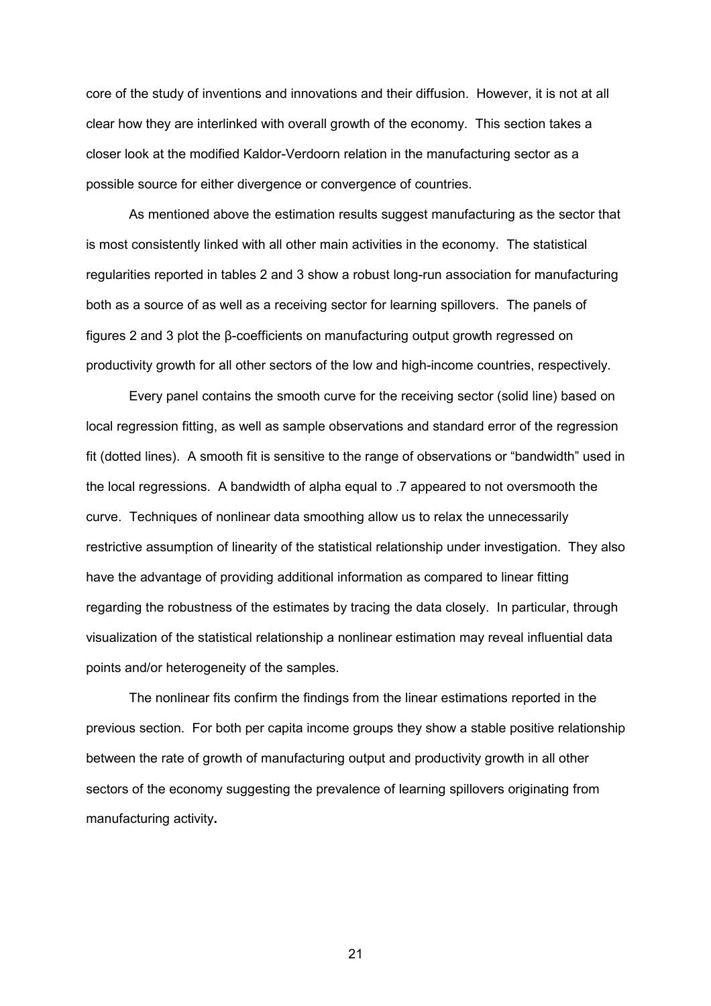core of the study of inventions and innovations and their diffusion. However, it is not at all clear how they are interlinked with overall growth of the economy. This section takes a closer look at the modified Kaldor-Verdoorn relation in the manufacturing sector as a possible source for either divergence or convergence of countries.

As mentioned above the estimation results suggest manufacturing as the sector that is most consistently linked with all other main activities in the economy. The statistical regularities reported in tables 2 and 3 show a robust long-run association for manufacturing both as a source of as well as a receiving sector for learning spillovers. The panels of figures 2 and 3 plot the β-coefficients on manufacturing output growth regressed on productivity growth for all other sectors of the low and high-income countries, respectively.

Every panel contains the smooth curve for the receiving sector (solid line) based on local regression fitting, as well as sample observations and standard error of the regression fit (dotted lines). A smooth fit is sensitive to the range of observations or "bandwidth" used in the local regressions. A bandwidth of alpha equal to .7 appeared to not oversmooth the curve. Techniques of nonlinear data smoothing allow us to relax the unnecessarily restrictive assumption of linearity of the statistical relationship under investigation. They also have the advantage of providing additional information as compared to linear fitting regarding the robustness of the estimates by tracing the data closely. In particular, through visualization of the statistical relationship a nonlinear estimation may reveal influential data points and/or heterogeneity of the samples.

The nonlinear fits confirm the findings from the linear estimations reported in the previous section. For both per capita income groups they show a stable positive relationship between the rate of growth of manufacturing output and productivity growth in all other sectors of the economy suggesting the prevalence of learning spillovers originating from manufacturing activity**.**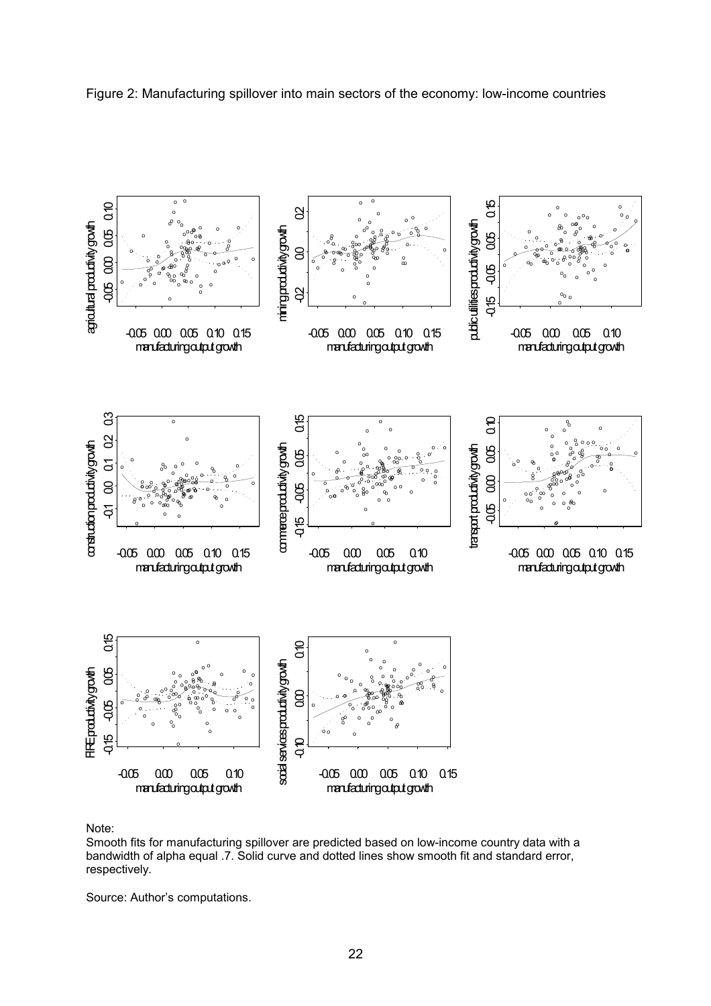



Note:

Smooth fits for manufacturing spillover are predicted based on low-income country data with a bandwidth of alpha equal .7. Solid curve and dotted lines show smooth fit and standard error, respectively.

Source: Author's computations.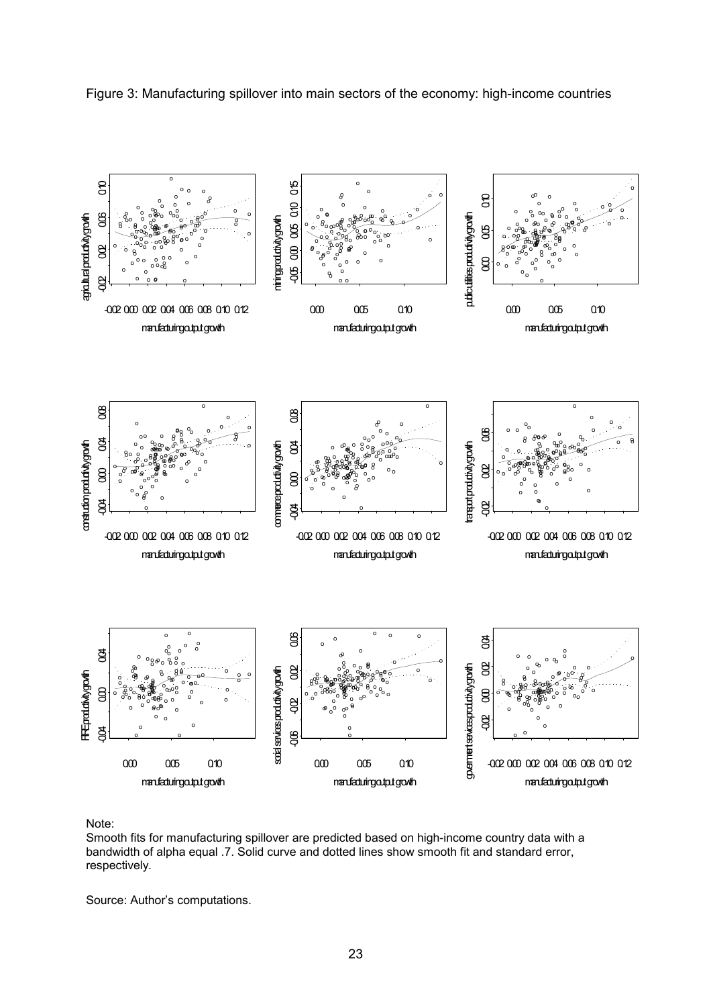![](_page_26_Figure_0.jpeg)

Figure 3: Manufacturing spillover into main sectors of the economy: high-income countries

Note:

Smooth fits for manufacturing spillover are predicted based on high-income country data with a bandwidth of alpha equal .7. Solid curve and dotted lines show smooth fit and standard error, respectively.

Source: Author's computations.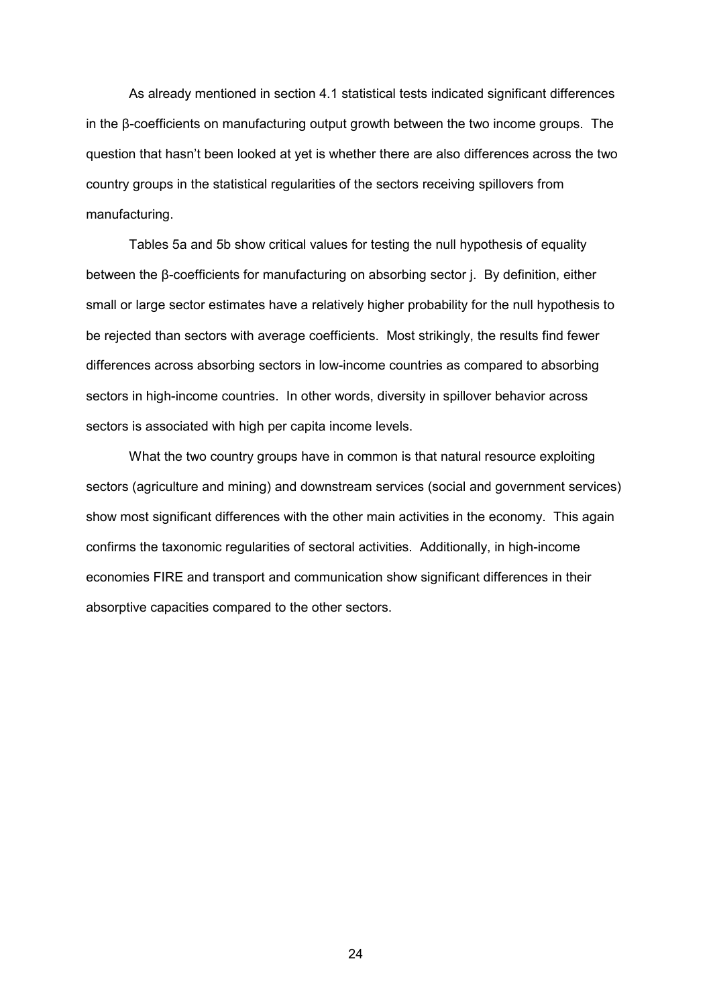As already mentioned in section 4.1 statistical tests indicated significant differences in the β-coefficients on manufacturing output growth between the two income groups. The question that hasnít been looked at yet is whether there are also differences across the two country groups in the statistical regularities of the sectors receiving spillovers from manufacturing.

Tables 5a and 5b show critical values for testing the null hypothesis of equality between the β-coefficients for manufacturing on absorbing sector j. By definition, either small or large sector estimates have a relatively higher probability for the null hypothesis to be rejected than sectors with average coefficients. Most strikingly, the results find fewer differences across absorbing sectors in low-income countries as compared to absorbing sectors in high-income countries. In other words, diversity in spillover behavior across sectors is associated with high per capita income levels.

What the two country groups have in common is that natural resource exploiting sectors (agriculture and mining) and downstream services (social and government services) show most significant differences with the other main activities in the economy. This again confirms the taxonomic regularities of sectoral activities. Additionally, in high-income economies FIRE and transport and communication show significant differences in their absorptive capacities compared to the other sectors.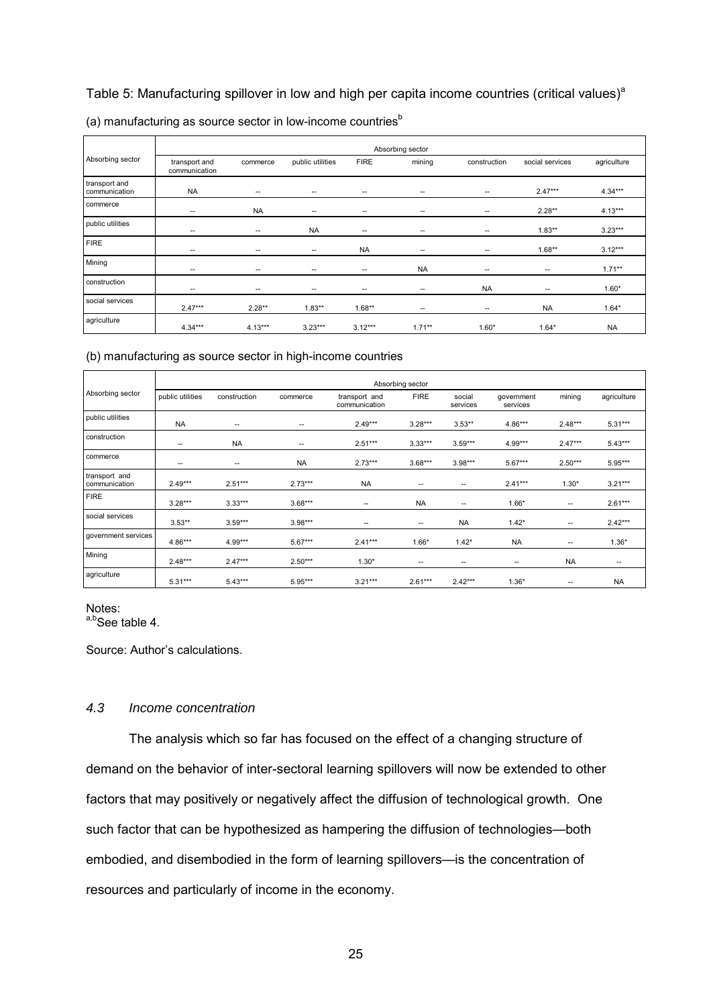## Table 5: Manufacturing spillover in low and high per capita income countries (critical values)<sup>a</sup>

|                                |                                |                          |                          |                          | Absorbing sector         |              |                          |             |
|--------------------------------|--------------------------------|--------------------------|--------------------------|--------------------------|--------------------------|--------------|--------------------------|-------------|
| Absorbing sector               | transport and<br>communication | commerce                 | public utilities         | <b>FIRE</b>              | mining                   | construction | social services          | agriculture |
| transport and<br>communication | <b>NA</b>                      | $\overline{\phantom{a}}$ | $\overline{\phantom{a}}$ | --                       | $\overline{\phantom{a}}$ | --           | $2.47***$                | $4.34***$   |
| commerce                       | $\overline{\phantom{a}}$       | <b>NA</b>                | $\overline{\phantom{a}}$ | --                       | $-$                      | --           | $2.28**$                 | $4.13***$   |
| public utilities               | $\overline{\phantom{m}}$       | $\sim$                   | <b>NA</b>                | --                       | --                       | --           | $1.83**$                 | $3.23***$   |
| <b>FIRE</b>                    | $\overline{\phantom{a}}$       | $\overline{\phantom{a}}$ | $\overline{\phantom{a}}$ | <b>NA</b>                | $\overline{\phantom{a}}$ | --           | $1.68**$                 | $3.12***$   |
| Mining                         | $\sim$                         | $\overline{\phantom{m}}$ | $\overline{\phantom{a}}$ | $\overline{\phantom{a}}$ | <b>NA</b>                | --           | $\overline{\phantom{a}}$ | $1.71***$   |
| construction                   | $\overline{\phantom{a}}$       | $\overline{\phantom{m}}$ | $\overline{\phantom{a}}$ | --                       | --                       | <b>NA</b>    | $\hspace{0.05cm}$        | $1.60*$     |
| social services                | $2.47***$                      | $2.28**$                 | $1.83**$                 | $1.68**$                 | $\overline{\phantom{a}}$ | $- -$        | <b>NA</b>                | $1.64*$     |
| agriculture                    | $4.34***$                      | $4.13***$                | $3.23***$                | $3.12***$                | $1.71***$                | $1.60*$      | $1.64*$                  | <b>NA</b>   |

## (a) manufacturing as source sector in low-income countries $<sup>b</sup>$ </sup>

#### (b) manufacturing as source sector in high-income countries

|                                |                          |                          |           |                                | Absorbing sector         |                          |                          |                          |                          |
|--------------------------------|--------------------------|--------------------------|-----------|--------------------------------|--------------------------|--------------------------|--------------------------|--------------------------|--------------------------|
| Absorbing sector               | public utilities         | construction             | commerce  | transport and<br>communication | <b>FIRE</b>              | social<br>services       | government<br>services   | mining                   | agriculture              |
| public utilities               | <b>NA</b>                | $\overline{\phantom{a}}$ | --        | $2.49***$                      | $3.28***$                | $3.53**$                 | $4.86***$                | $2.48***$                | $5.31***$                |
| construction                   | $\overline{\phantom{a}}$ | <b>NA</b>                | --        | $2.51***$                      | $3.33***$                | $3.59***$                | $4.99***$                | $2.47***$                | $5.43***$                |
| commerce                       | $\overline{\phantom{a}}$ | --                       | <b>NA</b> | $2.73***$                      | $3.68***$                | $3.98***$                | $5.67***$                | $2.50***$                | $5.95***$                |
| transport and<br>communication | $2.49***$                | $2.51***$                | $2.73***$ | <b>NA</b>                      | $\overline{\phantom{a}}$ | $\overline{\phantom{a}}$ | $2.41***$                | $1.30*$                  | $3.21***$                |
| <b>FIRE</b>                    | $3.28***$                | $3.33***$                | $3.68***$ | --                             | <b>NA</b>                | --                       | $1.66*$                  | $\overline{\phantom{a}}$ | $2.61***$                |
| social services                | $3.53**$                 | $3.59***$                | $3.98***$ | $\overline{\phantom{a}}$       | $\overline{\phantom{a}}$ | <b>NA</b>                | $1.42*$                  | $\overline{\phantom{a}}$ | $2.42***$                |
| government services            | $4.86***$                | 4.99***                  | $5.67***$ | $2.41***$                      | $1.66*$                  | $1.42*$                  | <b>NA</b>                | $\overline{\phantom{a}}$ | $1.36*$                  |
| Mining                         | $2.48***$                | $2.47***$                | $2.50***$ | $1.30*$                        | $\overline{\phantom{a}}$ | $\overline{\phantom{a}}$ | $\overline{\phantom{a}}$ | <b>NA</b>                | $\overline{\phantom{m}}$ |
| agriculture                    | $5.31***$                | $5.43***$                | $5.95***$ | $3.21***$                      | $2.61***$                | $2.42***$                | $1.36*$                  | $\overline{\phantom{a}}$ | <b>NA</b>                |

## Notes:

 $a,b$ See table 4.

Source: Author's calculations.

### *4.3 Income concentration*

The analysis which so far has focused on the effect of a changing structure of demand on the behavior of inter-sectoral learning spillovers will now be extended to other factors that may positively or negatively affect the diffusion of technological growth. One such factor that can be hypothesized as hampering the diffusion of technologies-both embodied, and disembodied in the form of learning spillovers- is the concentration of resources and particularly of income in the economy.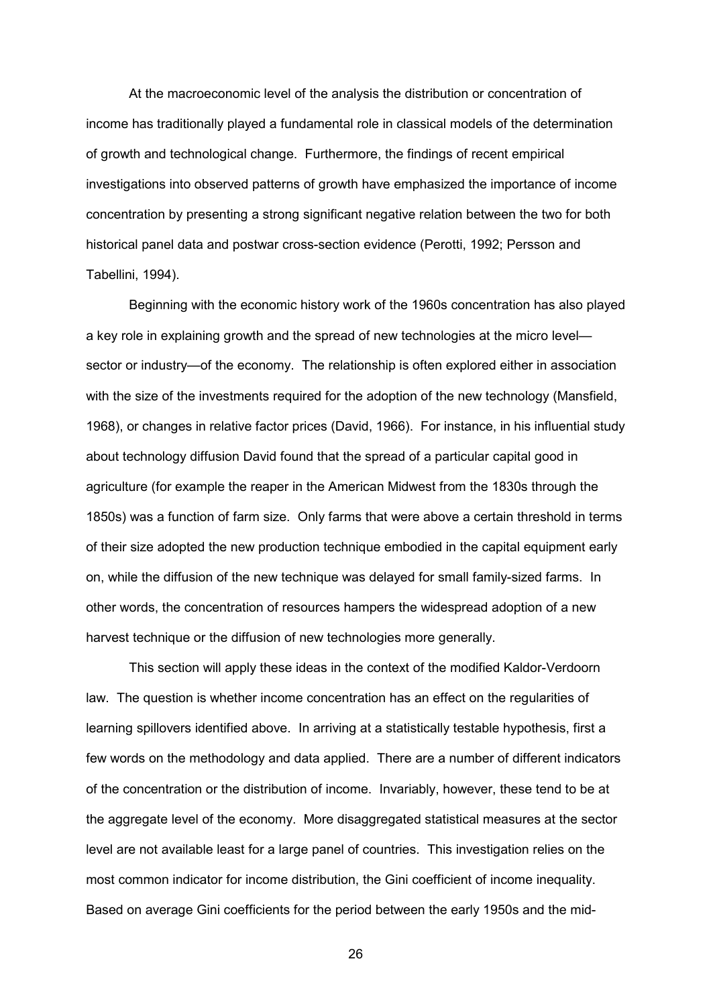At the macroeconomic level of the analysis the distribution or concentration of income has traditionally played a fundamental role in classical models of the determination of growth and technological change. Furthermore, the findings of recent empirical investigations into observed patterns of growth have emphasized the importance of income concentration by presenting a strong significant negative relation between the two for both historical panel data and postwar cross-section evidence (Perotti, 1992; Persson and Tabellini, 1994).

Beginning with the economic history work of the 1960s concentration has also played a key role in explaining growth and the spread of new technologies at the micro level sector or industry—of the economy. The relationship is often explored either in association with the size of the investments required for the adoption of the new technology (Mansfield, 1968), or changes in relative factor prices (David, 1966). For instance, in his influential study about technology diffusion David found that the spread of a particular capital good in agriculture (for example the reaper in the American Midwest from the 1830s through the 1850s) was a function of farm size. Only farms that were above a certain threshold in terms of their size adopted the new production technique embodied in the capital equipment early on, while the diffusion of the new technique was delayed for small family-sized farms. In other words, the concentration of resources hampers the widespread adoption of a new harvest technique or the diffusion of new technologies more generally.

This section will apply these ideas in the context of the modified Kaldor-Verdoorn law. The question is whether income concentration has an effect on the regularities of learning spillovers identified above. In arriving at a statistically testable hypothesis, first a few words on the methodology and data applied. There are a number of different indicators of the concentration or the distribution of income. Invariably, however, these tend to be at the aggregate level of the economy. More disaggregated statistical measures at the sector level are not available least for a large panel of countries. This investigation relies on the most common indicator for income distribution, the Gini coefficient of income inequality. Based on average Gini coefficients for the period between the early 1950s and the mid-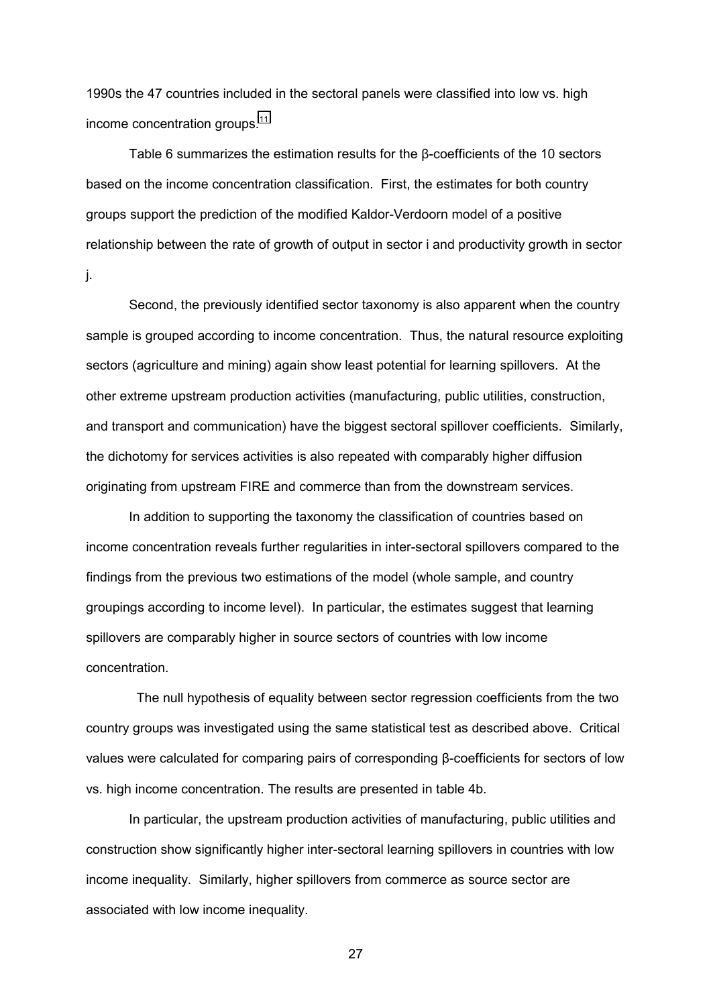1990s the 47 countries included in the sectoral panels were classified into low vs. high income concentration groups.<sup>[11](#page-48-0)</sup>

Table 6 summarizes the estimation results for the β-coefficients of the 10 sectors based on the income concentration classification. First, the estimates for both country groups support the prediction of the modified Kaldor-Verdoorn model of a positive relationship between the rate of growth of output in sector i and productivity growth in sector j.

Second, the previously identified sector taxonomy is also apparent when the country sample is grouped according to income concentration. Thus, the natural resource exploiting sectors (agriculture and mining) again show least potential for learning spillovers. At the other extreme upstream production activities (manufacturing, public utilities, construction, and transport and communication) have the biggest sectoral spillover coefficients. Similarly, the dichotomy for services activities is also repeated with comparably higher diffusion originating from upstream FIRE and commerce than from the downstream services.

In addition to supporting the taxonomy the classification of countries based on income concentration reveals further regularities in inter-sectoral spillovers compared to the findings from the previous two estimations of the model (whole sample, and country groupings according to income level). In particular, the estimates suggest that learning spillovers are comparably higher in source sectors of countries with low income concentration.

 The null hypothesis of equality between sector regression coefficients from the two country groups was investigated using the same statistical test as described above. Critical values were calculated for comparing pairs of corresponding β-coefficients for sectors of low vs. high income concentration. The results are presented in table 4b.

In particular, the upstream production activities of manufacturing, public utilities and construction show significantly higher inter-sectoral learning spillovers in countries with low income inequality. Similarly, higher spillovers from commerce as source sector are associated with low income inequality.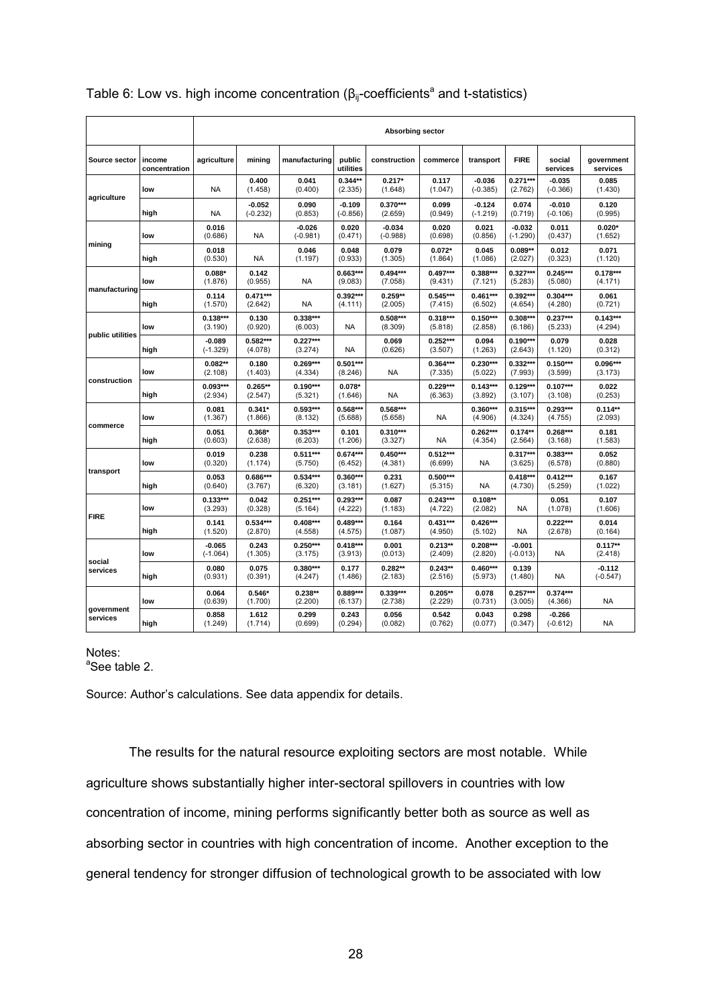|                        |                         |                        | Absorbing sector       |                        |                        |                        |                       |                        |                        |                        |                        |  |  |  |
|------------------------|-------------------------|------------------------|------------------------|------------------------|------------------------|------------------------|-----------------------|------------------------|------------------------|------------------------|------------------------|--|--|--|
| Source sector          | income<br>concentration | agriculture            | mining                 | manufacturing          | public<br>utilities    | construction           | commerce              | transport              | <b>FIRE</b>            | social<br>services     | government<br>services |  |  |  |
|                        | low                     | NA                     | 0.400<br>(1.458)       | 0.041<br>(0.400)       | $0.344**$<br>(2.335)   | $0.217*$<br>(1.648)    | 0.117<br>(1.047)      | $-0.036$<br>$(-0.385)$ | $0.271***$<br>(2.762)  | $-0.035$<br>$(-0.366)$ | 0.085<br>(1.430)       |  |  |  |
| agriculture            | high                    | <b>NA</b>              | $-0.052$<br>$(-0.232)$ | 0.090<br>(0.853)       | $-0.109$<br>$(-0.856)$ | 0.370***<br>(2.659)    | 0.099<br>(0.949)      | $-0.124$<br>$(-1.219)$ | 0.074<br>(0.719)       | $-0.010$<br>$(-0.106)$ | 0.120<br>(0.995)       |  |  |  |
|                        | low                     | 0.016<br>(0.686)       | <b>NA</b>              | $-0.026$<br>$(-0.981)$ | 0.020<br>(0.471)       | $-0.034$<br>$(-0.988)$ | 0.020<br>(0.698)      | 0.021<br>(0.856)       | $-0.032$<br>$(-1.290)$ | 0.011<br>(0.437)       | $0.020*$<br>(1.652)    |  |  |  |
| mining                 | high                    | 0.018<br>(0.530)       | <b>NA</b>              | 0.046<br>(1.197)       | 0.048<br>(0.933)       | 0.079<br>(1.305)       | $0.072*$<br>(1.864)   | 0.045<br>(1.086)       | $0.089**$<br>(2.027)   | 0.012<br>(0.323)       | 0.071<br>(1.120)       |  |  |  |
|                        | low                     | $0.088*$<br>(1.876)    | 0.142<br>(0.955)       | <b>NA</b>              | $0.663***$<br>(9.083)  | $0.494***$<br>(7.058)  | $0.497***$<br>(9.431) | $0.388***$<br>(7.121)  | $0.327***$<br>(5.283)  | $0.245***$<br>(5.080)  | $0.178***$<br>(4.171)  |  |  |  |
| manufacturing          | high                    | 0.114<br>(1.570)       | $0.471***$<br>(2.642)  | <b>NA</b>              | $0.392***$<br>(4.111)  | $0.259**$<br>(2.005)   | $0.545***$<br>(7.415) | $0.461***$<br>(6.502)  | $0.392***$<br>(4.654)  | $0.304***$<br>(4.280)  | 0.061<br>(0.721)       |  |  |  |
|                        | low                     | $0.138***$<br>(3.190)  | 0.130<br>(0.920)       | $0.338***$<br>(6.003)  | <b>NA</b>              | $0.508***$<br>(8.309)  | $0.318***$<br>(5.818) | $0.150***$<br>(2.858)  | $0.308***$<br>(6.186)  | $0.237***$<br>(5.233)  | $0.143***$<br>(4.294)  |  |  |  |
| public utilities       | high                    | $-0.089$<br>$(-1.329)$ | $0.582***$<br>(4.078)  | $0.227***$<br>(3.274)  | <b>NA</b>              | 0.069<br>(0.626)       | $0.252***$<br>(3.507) | 0.094<br>(1.263)       | $0.190***$<br>(2.643)  | 0.079<br>(1.120)       | 0.028<br>(0.312)       |  |  |  |
|                        | low                     | $0.082**$<br>(2.108)   | 0.180<br>(1.403)       | $0.269***$<br>(4.334)  | $0.501***$<br>(8.246)  | <b>NA</b>              | $0.364***$<br>(7.335) | $0.230***$<br>(5.022)  | $0.332***$<br>(7.993)  | $0.150***$<br>(3.599)  | $0.096***$<br>(3.173)  |  |  |  |
| construction           | high                    | $0.093***$<br>(2.934)  | $0.265**$<br>(2.547)   | $0.190***$<br>(5.321)  | $0.078*$<br>(1.646)    | NA                     | $0.229***$<br>(6.363) | $0.143***$<br>(3.892)  | $0.129***$<br>(3.107)  | $0.107***$<br>(3.108)  | 0.022<br>(0.253)       |  |  |  |
|                        | low                     | 0.081<br>(1.367)       | $0.341*$<br>(1.866)    | $0.593***$<br>(8.132)  | $0.568***$<br>(5.688)  | $0.568***$<br>(5.658)  | NA                    | 0.360***<br>(4.906)    | $0.315***$<br>(4.324)  | $0.293***$<br>(4.755)  | $0.114**$<br>(2.093)   |  |  |  |
| commerce               | high                    | 0.051<br>(0.603)       | $0.368*$<br>(2.638)    | $0.353***$<br>(6.203)  | 0.101<br>(1.206)       | $0.310***$<br>(3.327)  | NA                    | $0.262***$<br>(4.354)  | $0.174**$<br>(2.564)   | $0.268***$<br>(3.168)  | 0.181<br>(1.583)       |  |  |  |
|                        | low                     | 0.019<br>(0.320)       | 0.238<br>(1.174)       | $0.511***$<br>(5.750)  | $0.674***$<br>(6.452)  | $0.450***$<br>(4.381)  | $0.512***$<br>(6.699) | <b>NA</b>              | $0.317***$<br>(3.625)  | $0.383***$<br>(6.578)  | 0.052<br>(0.880)       |  |  |  |
| transport              | high                    | 0.053<br>(0.640)       | 0.686***<br>(3.767)    | $0.534***$<br>(6.320)  | $0.360***$<br>(3.181)  | 0.231<br>(1.627)       | $0.500***$<br>(5.315) | NA                     | $0.418***$<br>(4.730)  | $0.412***$<br>(5.259)  | 0.167<br>(1.022)       |  |  |  |
|                        | low                     | $0.133***$<br>(3.293)  | 0.042<br>(0.328)       | $0.251***$<br>(5.164)  | $0.293***$<br>(4.222)  | 0.087<br>(1.183)       | $0.243***$<br>(4.722) | $0.108**$<br>(2.082)   | NA                     | 0.051<br>(1.078)       | 0.107<br>(1.606)       |  |  |  |
| <b>FIRE</b>            | high                    | 0.141<br>(1.520)       | $0.534***$<br>(2.870)  | $0.408***$<br>(4.558)  | $0.489***$<br>(4.575)  | 0.164<br>(1.087)       | $0.431***$<br>(4.950) | $0.426***$<br>(5.102)  | <b>NA</b>              | $0.222***$<br>(2.678)  | 0.014<br>(0.164)       |  |  |  |
|                        | low                     | $-0.065$<br>$(-1.064)$ | 0.243<br>(1.305)       | $0.250***$<br>(3.175)  | $0.418***$<br>(3.913)  | 0.001<br>(0.013)       | $0.213**$<br>(2.409)  | $0.208***$<br>(2.820)  | $-0.001$<br>$(-0.013)$ | <b>NA</b>              | $0.117**$<br>(2.418)   |  |  |  |
| social<br>services     | high                    | 0.080<br>(0.931)       | 0.075<br>(0.391)       | $0.380***$<br>(4.247)  | 0.177<br>(1.486)       | $0.282**$<br>(2.183)   | $0.243**$<br>(2.516)  | $0.460***$<br>(5.973)  | 0.139<br>(1.480)       | <b>NA</b>              | $-0.112$<br>$(-0.547)$ |  |  |  |
|                        | low                     | 0.064<br>(0.639)       | $0.546*$<br>(1.700)    | $0.238**$<br>(2.200)   | 0.889***<br>(6.137)    | $0.339***$<br>(2.738)  | $0.205**$<br>(2.229)  | 0.078<br>(0.731)       | $0.257***$<br>(3.005)  | $0.374***$<br>(4.366)  | <b>NA</b>              |  |  |  |
| government<br>services | high                    | 0.858<br>(1.249)       | 1.612<br>(1.714)       | 0.299<br>(0.699)       | 0.243<br>(0.294)       | 0.056<br>(0.082)       | 0.542<br>(0.762)      | 0.043<br>(0.077)       | 0.298<br>(0.347)       | $-0.266$<br>$(-0.612)$ | <b>NA</b>              |  |  |  |

## Table 6: Low vs. high income concentration ( $\beta_{ij}$ -coefficients<sup>a</sup> and t-statistics)

## Notes:

<sup>a</sup>See table 2.

Source: Author's calculations. See data appendix for details.

The results for the natural resource exploiting sectors are most notable. While agriculture shows substantially higher inter-sectoral spillovers in countries with low concentration of income, mining performs significantly better both as source as well as absorbing sector in countries with high concentration of income. Another exception to the general tendency for stronger diffusion of technological growth to be associated with low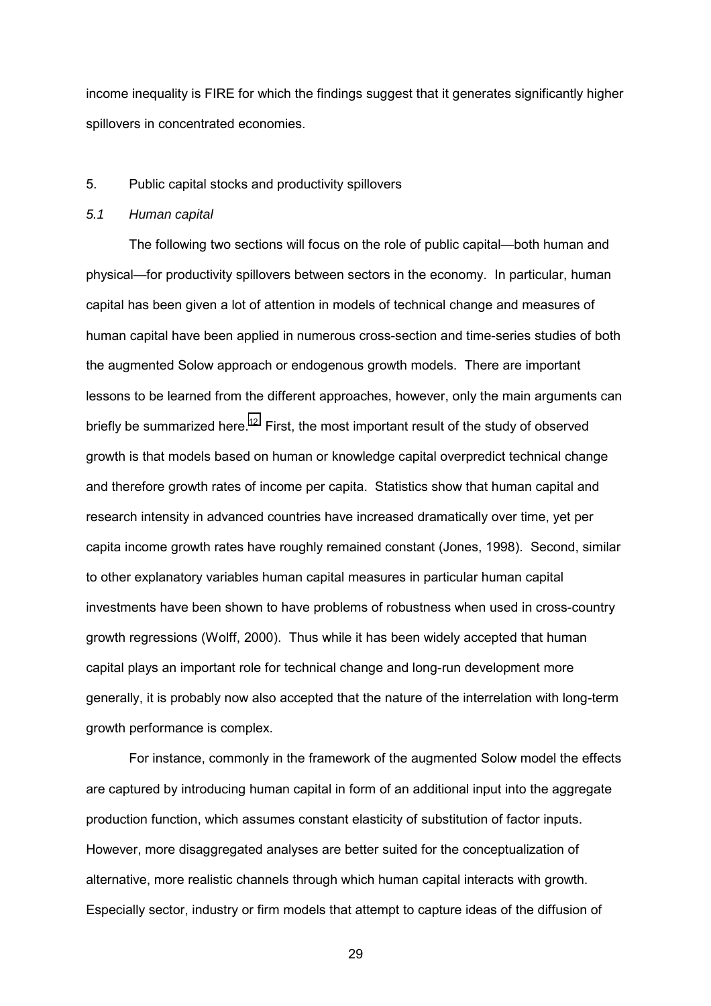income inequality is FIRE for which the findings suggest that it generates significantly higher spillovers in concentrated economies.

## 5. Public capital stocks and productivity spillovers

## *5.1 Human capital*

The following two sections will focus on the role of public capital—both human and physical—for productivity spillovers between sectors in the economy. In particular, human capital has been given a lot of attention in models of technical change and measures of human capital have been applied in numerous cross-section and time-series studies of both the augmented Solow approach or endogenous growth models. There are important lessons to be learned from the different approaches, however, only the main arguments can briefly be summarized here.<sup>12</sup> First, the most important result of the study of observed growth is that models based on human or knowledge capital overpredict technical change and therefore growth rates of income per capita. Statistics show that human capital and research intensity in advanced countries have increased dramatically over time, yet per capita income growth rates have roughly remained constant (Jones, 1998). Second, similar to other explanatory variables human capital measures in particular human capital investments have been shown to have problems of robustness when used in cross-country growth regressions (Wolff, 2000). Thus while it has been widely accepted that human capital plays an important role for technical change and long-run development more generally, it is probably now also accepted that the nature of the interrelation with long-term growth performance is complex.

For instance, commonly in the framework of the augmented Solow model the effects are captured by introducing human capital in form of an additional input into the aggregate production function, which assumes constant elasticity of substitution of factor inputs. However, more disaggregated analyses are better suited for the conceptualization of alternative, more realistic channels through which human capital interacts with growth. Especially sector, industry or firm models that attempt to capture ideas of the diffusion of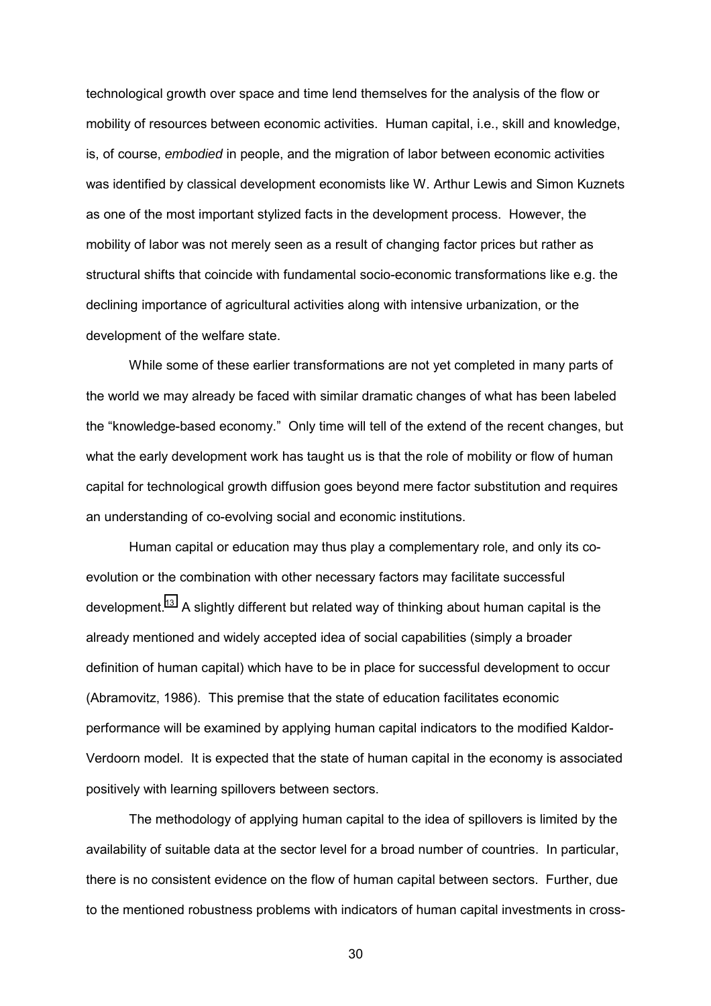technological growth over space and time lend themselves for the analysis of the flow or mobility of resources between economic activities. Human capital, i.e., skill and knowledge, is, of course, *embodied* in people, and the migration of labor between economic activities was identified by classical development economists like W. Arthur Lewis and Simon Kuznets as one of the most important stylized facts in the development process. However, the mobility of labor was not merely seen as a result of changing factor prices but rather as structural shifts that coincide with fundamental socio-economic transformations like e.g. the declining importance of agricultural activities along with intensive urbanization, or the development of the welfare state.

While some of these earlier transformations are not yet completed in many parts of the world we may already be faced with similar dramatic changes of what has been labeled the "knowledge-based economy." Only time will tell of the extend of the recent changes, but what the early development work has taught us is that the role of mobility or flow of human capital for technological growth diffusion goes beyond mere factor substitution and requires an understanding of co-evolving social and economic institutions.

Human capital or education may thus play a complementary role, and only its coevolution or the combination with other necessary factors may facilitate successful development.<sup>13</sup> A slightly different but related way of thinking about human capital is the already mentioned and widely accepted idea of social capabilities (simply a broader definition of human capital) which have to be in place for successful development to occur (Abramovitz, 1986). This premise that the state of education facilitates economic performance will be examined by applying human capital indicators to the modified Kaldor-Verdoorn model. It is expected that the state of human capital in the economy is associated positively with learning spillovers between sectors.

The methodology of applying human capital to the idea of spillovers is limited by the availability of suitable data at the sector level for a broad number of countries. In particular, there is no consistent evidence on the flow of human capital between sectors. Further, due to the mentioned robustness problems with indicators of human capital investments in cross-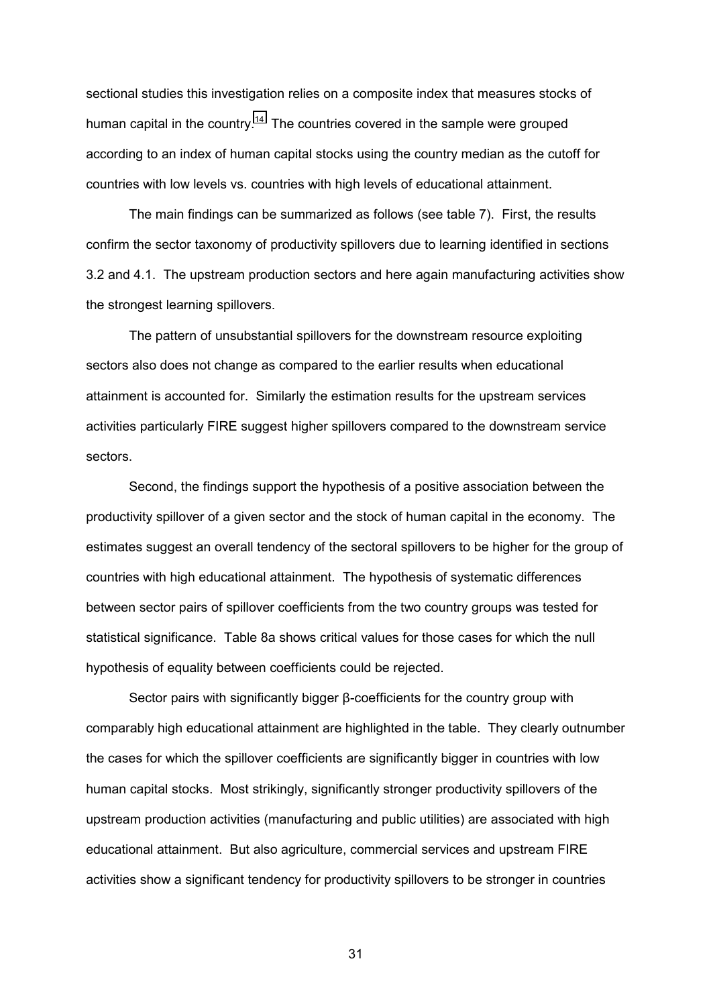sectional studies this investigation relies on a composite index that measures stocks of human capital in the country.<sup>14</sup> The countries covered in the sample were grouped according to an index of human capital stocks using the country median as the cutoff for countries with low levels vs. countries with high levels of educational attainment.

The main findings can be summarized as follows (see table 7). First, the results confirm the sector taxonomy of productivity spillovers due to learning identified in sections 3.2 and 4.1. The upstream production sectors and here again manufacturing activities show the strongest learning spillovers.

The pattern of unsubstantial spillovers for the downstream resource exploiting sectors also does not change as compared to the earlier results when educational attainment is accounted for. Similarly the estimation results for the upstream services activities particularly FIRE suggest higher spillovers compared to the downstream service sectors.

Second, the findings support the hypothesis of a positive association between the productivity spillover of a given sector and the stock of human capital in the economy. The estimates suggest an overall tendency of the sectoral spillovers to be higher for the group of countries with high educational attainment. The hypothesis of systematic differences between sector pairs of spillover coefficients from the two country groups was tested for statistical significance. Table 8a shows critical values for those cases for which the null hypothesis of equality between coefficients could be rejected.

Sector pairs with significantly bigger β-coefficients for the country group with comparably high educational attainment are highlighted in the table. They clearly outnumber the cases for which the spillover coefficients are significantly bigger in countries with low human capital stocks. Most strikingly, significantly stronger productivity spillovers of the upstream production activities (manufacturing and public utilities) are associated with high educational attainment. But also agriculture, commercial services and upstream FIRE activities show a significant tendency for productivity spillovers to be stronger in countries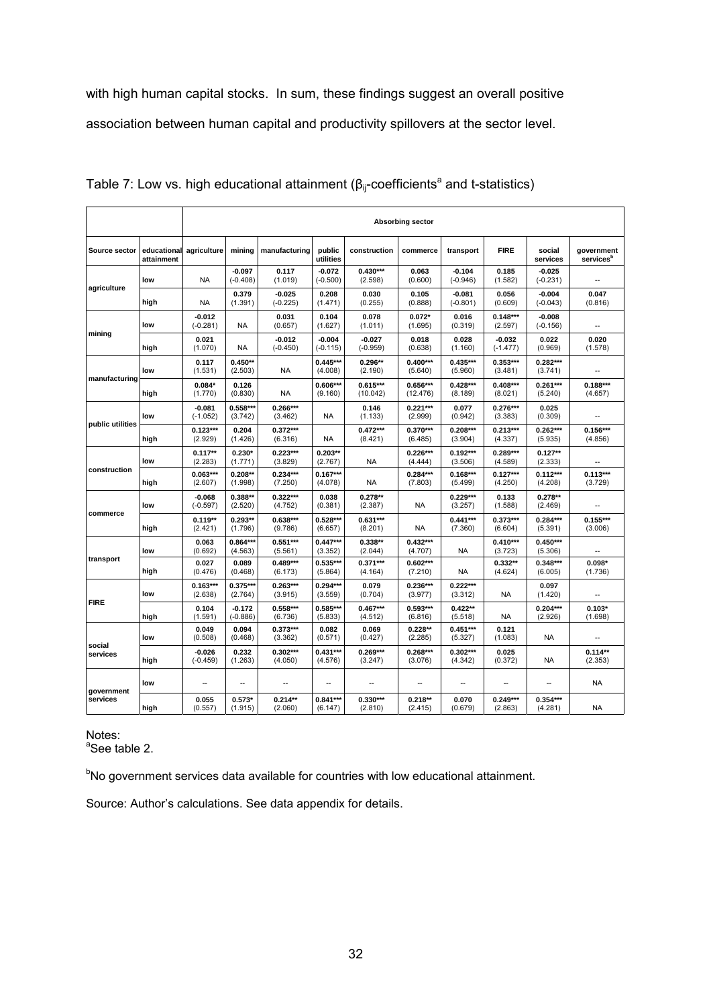with high human capital stocks. In sum, these findings suggest an overall positive association between human capital and productivity spillovers at the sector level.

|                                                             |                           | <b>Absorbing sector</b> |                        |                        |                        |                        |                        |                        |                        |                        |                                     |  |  |  |
|-------------------------------------------------------------|---------------------------|-------------------------|------------------------|------------------------|------------------------|------------------------|------------------------|------------------------|------------------------|------------------------|-------------------------------------|--|--|--|
| Source sector                                               | educational<br>attainment | agriculture             | mining                 | manufacturing          | public<br>utilities    | construction           | commerce               | transport              | <b>FIRE</b>            | social<br>services     | government<br>services <sup>b</sup> |  |  |  |
|                                                             | low                       | <b>NA</b>               | $-0.097$<br>$(-0.408)$ | 0.117<br>(1.019)       | $-0.072$<br>$(-0.500)$ | $0.430***$<br>(2.598)  | 0.063<br>(0.600)       | $-0.104$<br>$(-0.946)$ | 0.185<br>(1.582)       | $-0.025$<br>$(-0.231)$ |                                     |  |  |  |
| agriculture                                                 | high                      | <b>NA</b>               | 0.379<br>(1.391)       | $-0.025$<br>$(-0.225)$ | 0.208<br>(1.471)       | 0.030<br>(0.255)       | 0.105<br>(0.888)       | $-0.081$<br>$(-0.801)$ | 0.056<br>(0.609)       | $-0.004$<br>$(-0.043)$ | 0.047<br>(0.816)                    |  |  |  |
|                                                             | low                       | -0.012<br>$(-0.281)$    | NA                     | 0.031<br>(0.657)       | 0.104<br>(1.627)       | 0.078<br>(1.011)       | $0.072*$<br>(1.695)    | 0.016<br>(0.319)       | $0.148***$<br>(2.597)  | $-0.008$<br>$(-0.156)$ |                                     |  |  |  |
| mining<br>manufacturing<br>public utilities<br>construction | high                      | 0.021<br>(1.070)        | <b>NA</b>              | $-0.012$<br>$(-0.450)$ | $-0.004$<br>$(-0.115)$ | $-0.027$<br>$(-0.959)$ | 0.018<br>(0.638)       | 0.028<br>(1.160)       | $-0.032$<br>$(-1.477)$ | 0.022<br>(0.969)       | 0.020<br>(1.578)                    |  |  |  |
|                                                             | low                       | 0.117<br>(1.531)        | $0.450**$<br>(2.503)   | <b>NA</b>              | $0.445***$<br>(4.008)  | $0.296**$<br>(2.190)   | $0.400***$<br>(5.640)  | $0.435***$<br>(5.960)  | $0.353***$<br>(3.481)  | $0.282***$<br>(3.741)  |                                     |  |  |  |
|                                                             | high                      | $0.084*$<br>(1.770)     | 0.126<br>(0.830)       | <b>NA</b>              | 0.606***<br>(9.160)    | $0.615***$<br>(10.042) | $0.656***$<br>(12.476) | $0.428***$<br>(8.189)  | $0.408***$<br>(8.021)  | $0.261***$<br>(5.240)  | $0.188***$<br>(4.657)               |  |  |  |
|                                                             | low                       | $-0.081$<br>$(-1.052)$  | 0.558***<br>(3.742)    | $0.266***$<br>(3.462)  | NA                     | 0.146<br>(1.133)       | $0.221***$<br>(2.999)  | 0.077<br>(0.942)       | $0.276***$<br>(3.383)  | 0.025<br>(0.309)       |                                     |  |  |  |
|                                                             | high                      | $0.123***$<br>(2.929)   | 0.204<br>(1.426)       | $0.372***$<br>(6.316)  | <b>NA</b>              | $0.472***$<br>(8.421)  | $0.370***$<br>(6.485)  | $0.208***$<br>(3.904)  | $0.213***$<br>(4.337)  | $0.262***$<br>(5.935)  | $0.156***$<br>(4.856)               |  |  |  |
|                                                             | low                       | $0.117**$<br>(2.283)    | $0.230*$<br>(1.771)    | $0.223***$<br>(3.829)  | $0.203**$<br>(2.767)   | <b>NA</b>              | $0.226***$<br>(4.444)  | $0.192***$<br>(3.506)  | $0.289***$<br>(4.589)  | $0.127**$<br>(2.333)   |                                     |  |  |  |
|                                                             | high                      | $0.063***$<br>(2.607)   | $0.208**$<br>(1.998)   | $0.234***$<br>(7.250)  | $0.167***$<br>(4.078)  | <b>NA</b>              | $0.284***$<br>(7.803)  | $0.168***$<br>(5.499)  | $0.127***$<br>(4.250)  | $0.112***$<br>(4.208)  | $0.113***$<br>(3.729)               |  |  |  |
|                                                             | low                       | $-0.068$<br>$(-0.597)$  | $0.388**$<br>(2.520)   | $0.322***$<br>(4.752)  | 0.038<br>(0.381)       | $0.278**$<br>(2.387)   | NA                     | $0.229***$<br>(3.257)  | 0.133<br>(1.588)       | $0.278**$<br>(2.469)   |                                     |  |  |  |
| commerce                                                    | high                      | $0.119**$<br>(2.421)    | $0.293**$<br>(1.796)   | $0.638***$<br>(9.786)  | $0.528***$<br>(6.657)  | $0.631***$<br>(8.201)  | ΝA                     | $0.441***$<br>(7.360)  | $0.373***$<br>(6.604)  | $0.284***$<br>(5.391)  | $0.155***$<br>(3.006)               |  |  |  |
|                                                             | low                       | 0.063<br>(0.692)        | 0.864***<br>(4.563)    | $0.551***$<br>(5.561)  | $0.447***$<br>(3.352)  | $0.338**$<br>(2.044)   | $0.432***$<br>(4.707)  | <b>NA</b>              | $0.410***$<br>(3.723)  | $0.450***$<br>(5.306)  |                                     |  |  |  |
| transport                                                   | high                      | 0.027<br>(0.476)        | 0.089<br>(0.468)       | $0.489***$<br>(6.173)  | 0.535***<br>(5.864)    | $0.371***$<br>(4.164)  | $0.602***$<br>(7.210)  | <b>NA</b>              | $0.332**$<br>(4.624)   | $0.348***$<br>(6.005)  | $0.098*$<br>(1.736)                 |  |  |  |
| <b>FIRE</b>                                                 | low                       | $0.163***$<br>(2.638)   | 0.375***<br>(2.764)    | $0.263***$<br>(3.915)  | $0.294***$<br>(3.559)  | 0.079<br>(0.704)       | $0.236***$<br>(3.977)  | $0.222***$<br>(3.312)  | <b>NA</b>              | 0.097<br>(1.420)       |                                     |  |  |  |
|                                                             | high                      | 0.104<br>(1.591)        | $-0.172$<br>$(-0.886)$ | $0.558***$<br>(6.736)  | 0.585***<br>(5.833)    | $0.467***$<br>(4.512)  | $0.593***$<br>(6.816)  | $0.422**$<br>(5.518)   | <b>NA</b>              | $0.204***$<br>(2.926)  | $0.103*$<br>(1.698)                 |  |  |  |
|                                                             | low                       | 0.049<br>(0.508)        | 0.094<br>(0.468)       | $0.373***$<br>(3.362)  | 0.082<br>(0.571)       | 0.069<br>(0.427)       | $0.228**$<br>(2.285)   | $0.451***$<br>(5.327)  | 0.121<br>(1.083)       | NA                     |                                     |  |  |  |
| social<br>services                                          | high                      | $-0.026$<br>$(-0.459)$  | 0.232<br>(1.263)       | $0.302***$<br>(4.050)  | $0.431***$<br>(4.576)  | $0.269***$<br>(3.247)  | $0.268***$<br>(3.076)  | $0.302***$<br>(4.342)  | 0.025<br>(0.372)       | <b>NA</b>              | $0.114**$<br>(2.353)                |  |  |  |
| government                                                  | low                       |                         |                        |                        |                        |                        |                        |                        |                        |                        | <b>NA</b>                           |  |  |  |
| services                                                    | high                      | 0.055<br>(0.557)        | $0.573*$<br>(1.915)    | $0.214**$<br>(2.060)   | $0.841***$<br>(6.147)  | $0.330***$<br>(2.810)  | $0.218**$<br>(2.415)   | 0.070<br>(0.679)       | $0.249***$<br>(2.863)  | $0.354***$<br>(4.281)  | <b>NA</b>                           |  |  |  |

Table 7: Low vs. high educational attainment ( $\beta_{ij}$ -coefficients<sup>a</sup> and t-statistics)

Notes:

<sup>a</sup>See table 2.

<sup>b</sup>No government services data available for countries with low educational attainment.

Source: Author's calculations. See data appendix for details.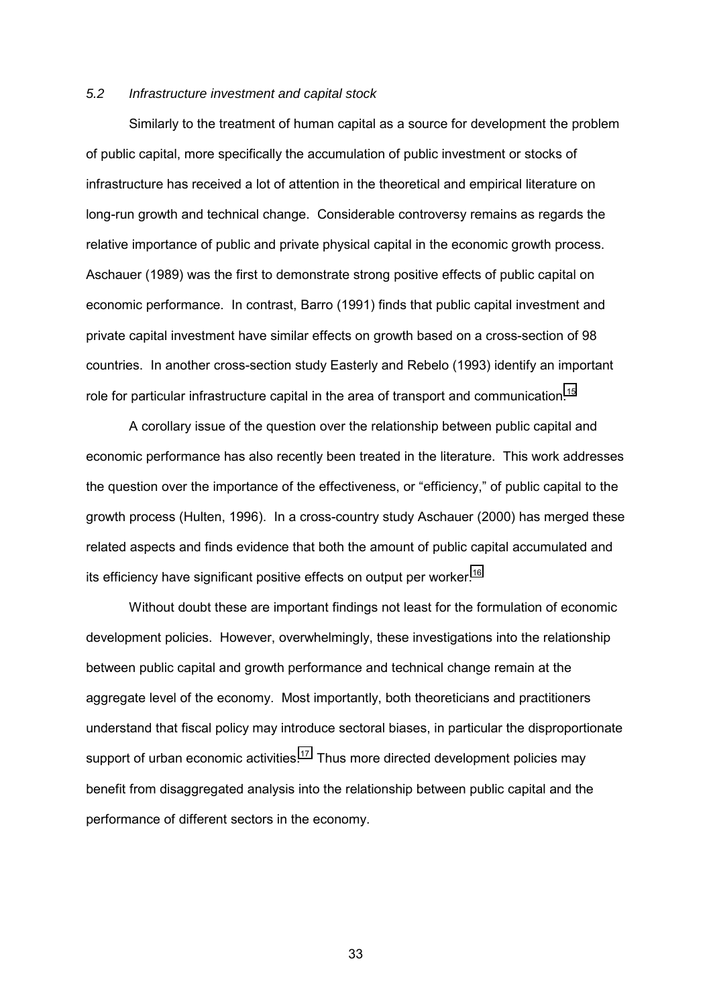### *5.2 Infrastructure investment and capital stock*

Similarly to the treatment of human capital as a source for development the problem of public capital, more specifically the accumulation of public investment or stocks of infrastructure has received a lot of attention in the theoretical and empirical literature on long-run growth and technical change. Considerable controversy remains as regards the relative importance of public and private physical capital in the economic growth process. Aschauer (1989) was the first to demonstrate strong positive effects of public capital on economic performance. In contrast, Barro (1991) finds that public capital investment and private capital investment have similar effects on growth based on a cross-section of 98 countries. In another cross-section study Easterly and Rebelo (1993) identify an important role for particular infrastructure capital in the area of transport and communication.<sup>[15](#page-48-0)</sup>

A corollary issue of the question over the relationship between public capital and economic performance has also recently been treated in the literature. This work addresses the question over the importance of the effectiveness, or "efficiency," of public capital to the growth process (Hulten, 1996). In a cross-country study Aschauer (2000) has merged these related aspects and finds evidence that both the amount of public capital accumulated and its efficiency have significant positive effects on output per worker.<sup>[16](#page-48-0)</sup>

Without doubt these are important findings not least for the formulation of economic development policies. However, overwhelmingly, these investigations into the relationship between public capital and growth performance and technical change remain at the aggregate level of the economy. Most importantly, both theoreticians and practitioners understand that fiscal policy may introduce sectoral biases, in particular the disproportionate support of urban economic activities.<sup>17</sup> Thus more directed development policies may benefit from disaggregated analysis into the relationship between public capital and the performance of different sectors in the economy.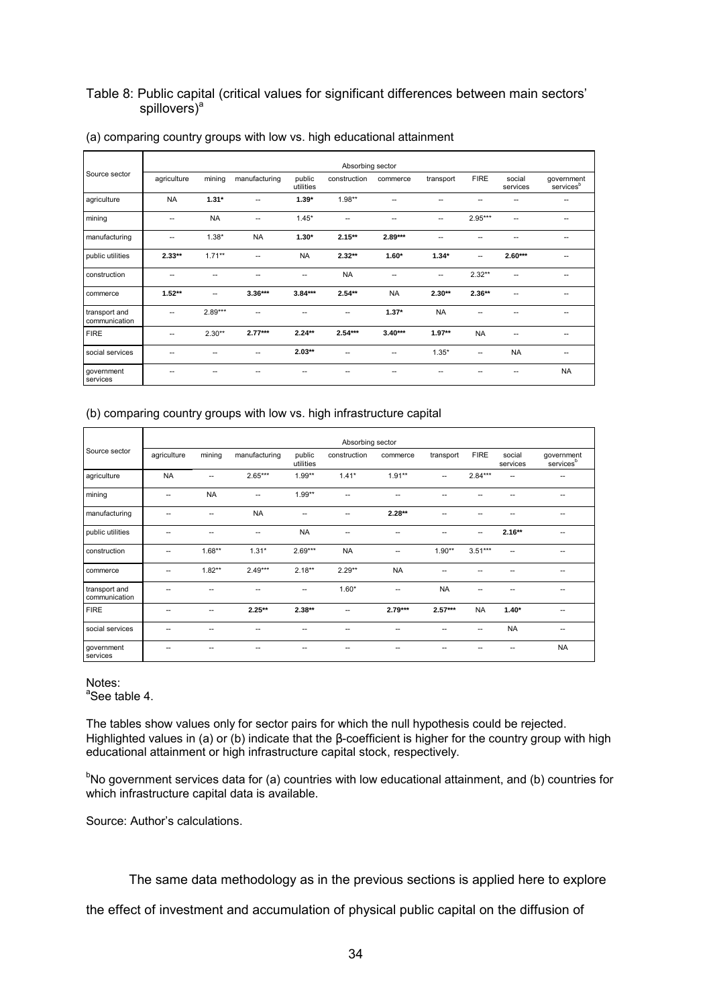## Table 8: Public capital (critical values for significant differences between main sectors' spillovers)<sup>a</sup>

|                                | Absorbing sector |           |               |                     |              |           |           |             |                    |                                     |  |
|--------------------------------|------------------|-----------|---------------|---------------------|--------------|-----------|-----------|-------------|--------------------|-------------------------------------|--|
| Source sector                  | agriculture      | mining    | manufacturing | public<br>utilities | construction | commerce  | transport | <b>FIRE</b> | social<br>services | government<br>services <sup>b</sup> |  |
| agriculture                    | <b>NA</b>        | $1.31*$   |               | $1.39*$             | $1.98**$     |           |           |             |                    |                                     |  |
| mining                         | --               | <b>NA</b> | --            | $1.45*$             | --           |           | --        | $2.95***$   | н.                 |                                     |  |
| manufacturing                  | --               | $1.38*$   | <b>NA</b>     | $1.30*$             | $2.15***$    | $2.89***$ |           |             |                    | --                                  |  |
| public utilities               | $2.33**$         | $1.71**$  | --            | <b>NA</b>           | $2.32**$     | $1.60*$   | $1.34*$   | --          | $2.60***$          | --                                  |  |
| construction                   | --               |           | --            | --                  | <b>NA</b>    | --        | --        | $2.32**$    | --                 | --                                  |  |
| commerce                       | $1.52**$         | --        | $3.36***$     | $3.84***$           | $2.54**$     | <b>NA</b> | $2.30**$  | $2.36**$    | --                 | --                                  |  |
| transport and<br>communication |                  | $2.89***$ | --            | ۰.                  | --           | $1.37*$   | <b>NA</b> |             |                    | --                                  |  |
| <b>FIRE</b>                    | --               | $2.30**$  | $2.77***$     | $2.24**$            | $2.54***$    | $3.40***$ | $1.97**$  | <b>NA</b>   | --                 | --                                  |  |
| social services                |                  |           | ٠.            | $2.03**$            | --           | --        | $1.35*$   | --          | <b>NA</b>          | $\overline{\phantom{a}}$            |  |
| government<br>services         |                  |           |               |                     |              |           |           |             |                    | <b>NA</b>                           |  |

### (a) comparing country groups with low vs. high educational attainment

## (b) comparing country groups with low vs. high infrastructure capital

|                                | Absorbing sector |           |                        |                     |              |           |           |             |                    |                                     |  |
|--------------------------------|------------------|-----------|------------------------|---------------------|--------------|-----------|-----------|-------------|--------------------|-------------------------------------|--|
| Source sector                  | agriculture      | mining    | manufacturing          | public<br>utilities | construction | commerce  | transport | <b>FIRE</b> | social<br>services | government<br>services <sup>b</sup> |  |
| agriculture                    | <b>NA</b>        | --        | $2.65***$              | $1.99**$            | $1.41*$      | $1.91**$  | н.        | $2.84***$   | --                 |                                     |  |
| mining                         | --               | <b>NA</b> | --                     | $1.99**$            | ٠.           | --        |           |             |                    | --                                  |  |
| manufacturing                  | --               | --        | <b>NA</b>              | --                  | --           | $2.28**$  |           |             |                    | --                                  |  |
| public utilities               | --               | --        | $\qquad \qquad \cdots$ | <b>NA</b>           | --           |           |           | --          | $2.16**$           | --                                  |  |
| construction                   | --               | $1.68**$  | $1.31*$                | $2.69***$           | <b>NA</b>    |           | $1.90**$  | $3.51***$   | --                 |                                     |  |
| commerce                       | --               | $1.82**$  | $2.49***$              | $2.18**$            | $2.29**$     | <b>NA</b> |           |             |                    |                                     |  |
| transport and<br>communication |                  |           | --                     | --                  | $1.60*$      | --        | <b>NA</b> |             |                    | --                                  |  |
| <b>FIRE</b>                    |                  | --        | $2.25**$               | $2.38**$            | --           | $2.79***$ | $2.57***$ | <b>NA</b>   | $1.40*$            | --                                  |  |
| social services                | --               | --        | --                     | --                  | ۰.           |           |           | --          | <b>NA</b>          | $\overline{\phantom{m}}$            |  |
| government<br>services         |                  |           |                        |                     |              |           |           |             |                    | <b>NA</b>                           |  |

### Notes: <sup>a</sup>See table 4.

The tables show values only for sector pairs for which the null hypothesis could be rejected. Highlighted values in (a) or (b) indicate that the β-coefficient is higher for the country group with high educational attainment or high infrastructure capital stock, respectively.

<sup>b</sup>No government services data for (a) countries with low educational attainment, and (b) countries for which infrastructure capital data is available.

Source: Author's calculations.

The same data methodology as in the previous sections is applied here to explore

the effect of investment and accumulation of physical public capital on the diffusion of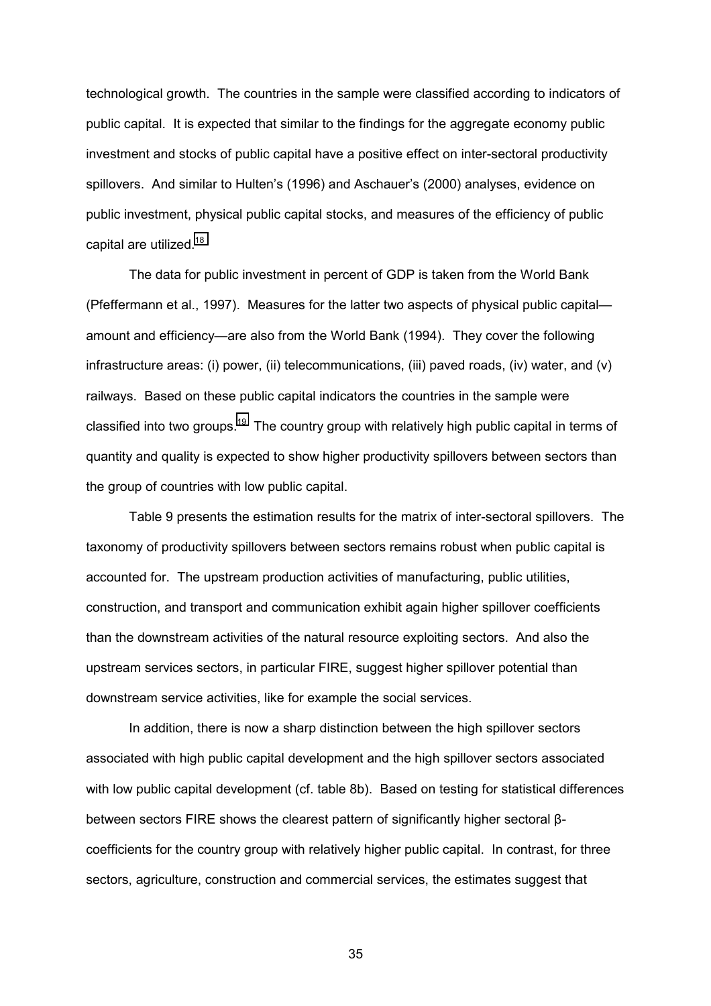technological growth. The countries in the sample were classified according to indicators of public capital. It is expected that similar to the findings for the aggregate economy public investment and stocks of public capital have a positive effect on inter-sectoral productivity spillovers. And similar to Hulten's (1996) and Aschauer's (2000) analyses, evidence on public investment, physical public capital stocks, and measures of the efficiency of public capital are utilized.<sup>18</sup>

The data for public investment in percent of GDP is taken from the World Bank (Pfeffermann et al., 1997). Measures for the latter two aspects of physical public capitalamount and efficiency—are also from the World Bank (1994). They cover the following infrastructure areas: (i) power, (ii) telecommunications, (iii) paved roads, (iv) water, and (v) railways. Based on these public capital indicators the countries in the sample were classified into two groups.<sup>19</sup> The country group with relatively high public capital in terms of quantity and quality is expected to show higher productivity spillovers between sectors than the group of countries with low public capital.

Table 9 presents the estimation results for the matrix of inter-sectoral spillovers. The taxonomy of productivity spillovers between sectors remains robust when public capital is accounted for. The upstream production activities of manufacturing, public utilities, construction, and transport and communication exhibit again higher spillover coefficients than the downstream activities of the natural resource exploiting sectors. And also the upstream services sectors, in particular FIRE, suggest higher spillover potential than downstream service activities, like for example the social services.

In addition, there is now a sharp distinction between the high spillover sectors associated with high public capital development and the high spillover sectors associated with low public capital development (cf. table 8b). Based on testing for statistical differences between sectors FIRE shows the clearest pattern of significantly higher sectoral βcoefficients for the country group with relatively higher public capital. In contrast, for three sectors, agriculture, construction and commercial services, the estimates suggest that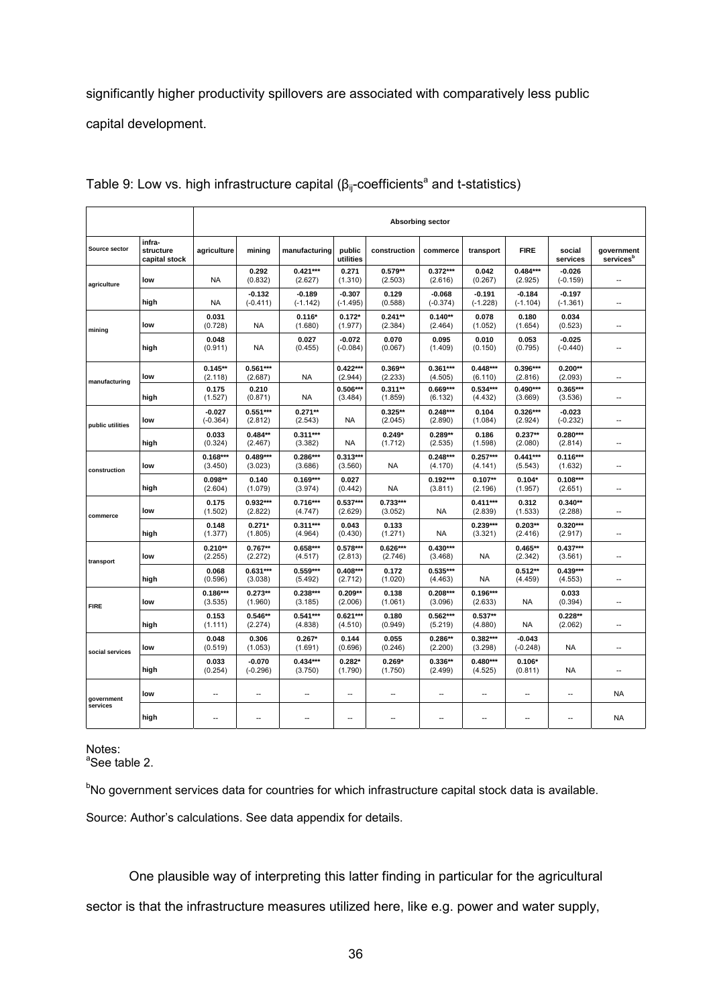significantly higher productivity spillovers are associated with comparatively less public capital development.

|                  |                                      | <b>Absorbing sector</b>  |                          |                        |                          |                       |                        |                        |                          |                          |                                     |
|------------------|--------------------------------------|--------------------------|--------------------------|------------------------|--------------------------|-----------------------|------------------------|------------------------|--------------------------|--------------------------|-------------------------------------|
| Source sector    | infra-<br>structure<br>capital stock | agriculture              | minina                   | manufacturing          | public<br>utilities      | construction          | commerce               | transport              | <b>FIRE</b>              | social<br>services       | government<br>services <sup>t</sup> |
| agriculture      | low                                  | <b>NA</b>                | 0.292<br>(0.832)         | $0.421***$<br>(2.627)  | 0.271<br>(1.310)         | $0.579**$<br>(2.503)  | $0.372***$<br>(2.616)  | 0.042<br>(0.267)       | $0.484***$<br>(2.925)    | $-0.026$<br>$(-0.159)$   |                                     |
|                  | high                                 | <b>NA</b>                | $-0.132$<br>$(-0.411)$   | $-0.189$<br>$(-1.142)$ | $-0.307$<br>$(-1.495)$   | 0.129<br>(0.588)      | $-0.068$<br>$(-0.374)$ | $-0.191$<br>$(-1.228)$ | $-0.184$<br>$(-1.104)$   | $-0.197$<br>$(-1.361)$   | $\sim$                              |
| mining           | low                                  | 0.031<br>(0.728)         | <b>NA</b>                | $0.116*$<br>(1.680)    | $0.172*$<br>(1.977)      | $0.241**$<br>(2.384)  | $0.140**$<br>(2.464)   | 0.078<br>(1.052)       | 0.180<br>(1.654)         | 0.034<br>(0.523)         | $\overline{a}$                      |
|                  | hiah                                 | 0.048<br>(0.911)         | <b>NA</b>                | 0.027<br>(0.455)       | $-0.072$<br>$(-0.084)$   | 0.070<br>(0.067)      | 0.095<br>(1.409)       | 0.010<br>(0.150)       | 0.053<br>(0.795)         | $-0.025$<br>$(-0.440)$   | ц,                                  |
| manufacturing    | low                                  | $0.145**$<br>(2.118)     | $0.561***$<br>(2.687)    | <b>NA</b>              | $0.422***$<br>(2.944)    | $0.369**$<br>(2.233)  | $0.361***$<br>(4.505)  | $0.448***$<br>(6.110)  | $0.396***$<br>(2.816)    | $0.200**$<br>(2.093)     |                                     |
|                  | high                                 | 0.175<br>(1.527)         | 0.210<br>(0.871)         | <b>NA</b>              | $0.506***$<br>(3.484)    | $0.311**$<br>(1.859)  | $0.669***$<br>(6.132)  | $0.534***$<br>(4.432)  | $0.490***$<br>(3.669)    | $0.365***$<br>(3.536)    | $\overline{\phantom{a}}$            |
| public utilities | low                                  | $-0.027$<br>$(-0.364)$   | $0.551***$<br>(2.812)    | $0.271**$<br>(2.543)   | <b>NA</b>                | $0.325**$<br>(2.045)  | $0.248***$<br>(2.890)  | 0.104<br>(1.084)       | $0.326***$<br>(2.924)    | $-0.023$<br>$(-0.232)$   | $\overline{a}$                      |
|                  | high                                 | 0.033<br>(0.324)         | $0.484**$<br>(2.467)     | $0.311***$<br>(3.382)  | <b>NA</b>                | $0.249*$<br>(1.712)   | $0.289**$<br>(2.535)   | 0.186<br>(1.598)       | $0.237**$<br>(2.080)     | $0.280***$<br>(2.814)    | $\overline{a}$                      |
| construction     | low                                  | $0.168***$<br>(3.450)    | $0.489***$<br>(3.023)    | 0.286***<br>(3.686)    | $0.313***$<br>(3.560)    | <b>NA</b>             | $0.248***$<br>(4.170)  | $0.257***$<br>(4.141)  | $0.441***$<br>(5.543)    | $0.116***$<br>(1.632)    | $\overline{a}$                      |
|                  | high                                 | $0.098**$<br>(2.604)     | 0.140<br>(1.079)         | $0.169***$<br>(3.974)  | 0.027<br>(0.442)         | <b>NA</b>             | $0.192***$<br>(3.811)  | $0.107**$<br>(2.196)   | $0.104*$<br>(1.957)      | $0.108***$<br>(2.651)    | $\sim$                              |
| commerce         | low                                  | 0.175<br>(1.502)         | $0.932***$<br>(2.822)    | $0.716***$<br>(4.747)  | $0.537***$<br>(2.629)    | $0.733***$<br>(3.052) | <b>NA</b>              | $0.411***$<br>(2.839)  | 0.312<br>(1.533)         | $0.340**$<br>(2.288)     |                                     |
|                  | high                                 | 0.148<br>(1.377)         | $0.271*$<br>(1.805)      | $0.311***$<br>(4.964)  | 0.043<br>(0.430)         | 0.133<br>(1.271)      | <b>NA</b>              | $0.239***$<br>(3.321)  | $0.203**$<br>(2.416)     | $0.320***$<br>(2.917)    | $\overline{a}$                      |
| transport        | low                                  | $0.210**$<br>(2.255)     | $0.767**$<br>(2.272)     | $0.658***$<br>(4.517)  | $0.578***$<br>(2.813)    | $0.626***$<br>(2.746) | $0.430***$<br>(3.468)  | <b>NA</b>              | $0.465**$<br>(2.342)     | $0.437***$<br>(3.561)    | Ξ.                                  |
|                  | high                                 | 0.068<br>(0.596)         | $0.631***$<br>(3.038)    | $0.559***$<br>(5.492)  | $0.408***$<br>(2.712)    | 0.172<br>(1.020)      | $0.535***$<br>(4.463)  | <b>NA</b>              | $0.512**$<br>(4.459)     | $0.439***$<br>(4.553)    | $\overline{a}$                      |
| <b>FIRE</b>      | low                                  | $0.186***$<br>(3.535)    | $0.273**$<br>(1.960)     | $0.238***$<br>(3.185)  | $0.209**$<br>(2.006)     | 0.138<br>(1.061)      | $0.208***$<br>(3.096)  | $0.196***$<br>(2.633)  | <b>NA</b>                | 0.033<br>(0.394)         | $\overline{a}$                      |
|                  | high                                 | 0.153<br>(1.111)         | $0.546**$<br>(2.274)     | $0.541***$<br>(4.838)  | $0.621***$<br>(4.510)    | 0.180<br>(0.949)      | $0.562***$<br>(5.219)  | $0.537**$<br>(4.880)   | <b>NA</b>                | $0.228**$<br>(2.062)     | $\qquad \qquad -$                   |
| social services  | low                                  | 0.048<br>(0.519)         | 0.306<br>(1.053)         | $0.267*$<br>(1.691)    | 0.144<br>(0.696)         | 0.055<br>(0.246)      | $0.286**$<br>(2.200)   | $0.382***$<br>(3.298)  | $-0.043$<br>$(-0.248)$   | <b>NA</b>                | Ξ.                                  |
|                  | high                                 | 0.033<br>(0.254)         | $-0.070$<br>$(-0.296)$   | $0.434***$<br>(3.750)  | $0.282*$<br>(1.790)      | $0.269*$<br>(1.750)   | $0.336**$<br>(2.499)   | $0.480***$<br>(4.525)  | $0.106*$<br>(0.811)      | <b>NA</b>                | $\overline{a}$                      |
| government       | low                                  | $\overline{\phantom{a}}$ | $\overline{\phantom{a}}$ | --                     | $\overline{\phantom{a}}$ | --                    | ٠.                     | --                     | $\overline{\phantom{a}}$ | $\overline{\phantom{a}}$ | <b>NA</b>                           |
| services         | high                                 | $\overline{a}$           | $\overline{a}$           | $\overline{a}$         | $\overline{a}$           | $\overline{a}$        | Ξ.                     | Ξ.                     | Ξ.                       | $\overline{a}$           | <b>NA</b>                           |

Table 9: Low vs. high infrastructure capital ( $\beta_{ij}$ -coefficients<sup>a</sup> and t-statistics)

Notes:

<sup>a</sup>See table 2.

<sup>b</sup>No government services data for countries for which infrastructure capital stock data is available.

Source: Author's calculations. See data appendix for details.

One plausible way of interpreting this latter finding in particular for the agricultural sector is that the infrastructure measures utilized here, like e.g. power and water supply,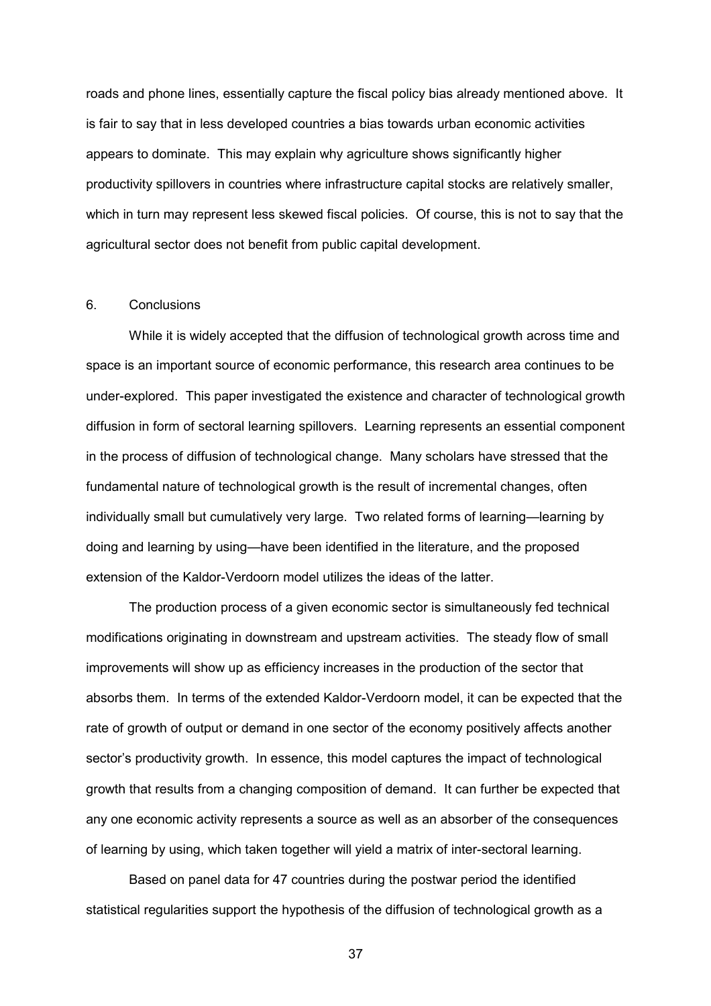roads and phone lines, essentially capture the fiscal policy bias already mentioned above. It is fair to say that in less developed countries a bias towards urban economic activities appears to dominate. This may explain why agriculture shows significantly higher productivity spillovers in countries where infrastructure capital stocks are relatively smaller, which in turn may represent less skewed fiscal policies. Of course, this is not to say that the agricultural sector does not benefit from public capital development.

## 6. Conclusions

While it is widely accepted that the diffusion of technological growth across time and space is an important source of economic performance, this research area continues to be under-explored. This paper investigated the existence and character of technological growth diffusion in form of sectoral learning spillovers. Learning represents an essential component in the process of diffusion of technological change. Many scholars have stressed that the fundamental nature of technological growth is the result of incremental changes, often individually small but cumulatively very large. Two related forms of learning—learning by doing and learning by using—have been identified in the literature, and the proposed extension of the Kaldor-Verdoorn model utilizes the ideas of the latter.

The production process of a given economic sector is simultaneously fed technical modifications originating in downstream and upstream activities. The steady flow of small improvements will show up as efficiency increases in the production of the sector that absorbs them. In terms of the extended Kaldor-Verdoorn model, it can be expected that the rate of growth of output or demand in one sector of the economy positively affects another sector's productivity growth. In essence, this model captures the impact of technological growth that results from a changing composition of demand. It can further be expected that any one economic activity represents a source as well as an absorber of the consequences of learning by using, which taken together will yield a matrix of inter-sectoral learning.

Based on panel data for 47 countries during the postwar period the identified statistical regularities support the hypothesis of the diffusion of technological growth as a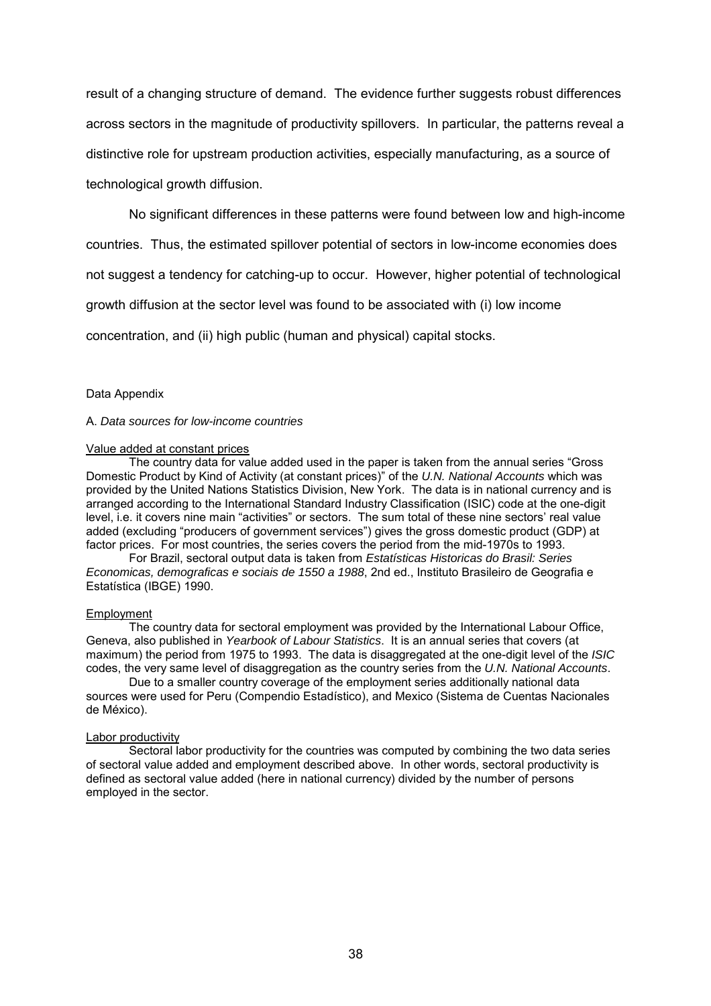result of a changing structure of demand. The evidence further suggests robust differences across sectors in the magnitude of productivity spillovers. In particular, the patterns reveal a distinctive role for upstream production activities, especially manufacturing, as a source of technological growth diffusion.

No significant differences in these patterns were found between low and high-income

countries. Thus, the estimated spillover potential of sectors in low-income economies does

not suggest a tendency for catching-up to occur. However, higher potential of technological

growth diffusion at the sector level was found to be associated with (i) low income

concentration, and (ii) high public (human and physical) capital stocks.

### Data Appendix

A. *Data sources for low-income countries*

#### Value added at constant prices

The country data for value added used in the paper is taken from the annual series "Gross" Domestic Product by Kind of Activity (at constant prices)" of the U.N. National Accounts which was provided by the United Nations Statistics Division, New York. The data is in national currency and is arranged according to the International Standard Industry Classification (ISIC) code at the one-digit level, i.e. it covers nine main "activities" or sectors. The sum total of these nine sectors' real value added (excluding "producers of government services") gives the gross domestic product (GDP) at factor prices. For most countries, the series covers the period from the mid-1970s to 1993.

 For Brazil, sectoral output data is taken from *Estatísticas Historicas do Brasil: Series Economicas, demograficas e sociais de 1550 a 1988*, 2nd ed., Instituto Brasileiro de Geografia e Estatística (IBGE) 1990.

#### Employment

The country data for sectoral employment was provided by the International Labour Office, Geneva, also published in *Yearbook of Labour Statistics*. It is an annual series that covers (at maximum) the period from 1975 to 1993. The data is disaggregated at the one-digit level of the *ISIC* codes, the very same level of disaggregation as the country series from the *U.N. National Accounts*.

 Due to a smaller country coverage of the employment series additionally national data sources were used for Peru (Compendio Estadístico), and Mexico (Sistema de Cuentas Nacionales de México).

### Labor productivity

Sectoral labor productivity for the countries was computed by combining the two data series of sectoral value added and employment described above. In other words, sectoral productivity is defined as sectoral value added (here in national currency) divided by the number of persons employed in the sector.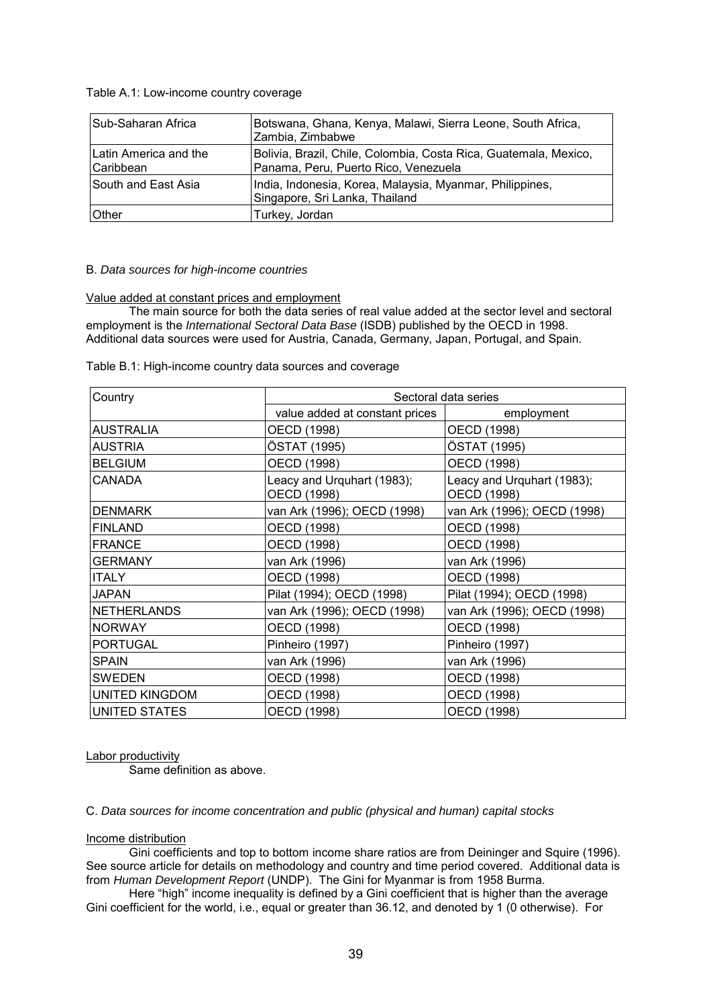Table A.1: Low-income country coverage

| Sub-Saharan Africa                   | Botswana, Ghana, Kenya, Malawi, Sierra Leone, South Africa,<br>Zambia, Zimbabwe                          |
|--------------------------------------|----------------------------------------------------------------------------------------------------------|
| Latin America and the<br>l Caribbean | Bolivia, Brazil, Chile, Colombia, Costa Rica, Guatemala, Mexico,<br>Panama, Peru, Puerto Rico, Venezuela |
| South and East Asia                  | India, Indonesia, Korea, Malaysia, Myanmar, Philippines,<br>Singapore, Sri Lanka, Thailand               |
| <b>Other</b>                         | Turkey, Jordan                                                                                           |

## B. *Data sources for high-income countries*

### Value added at constant prices and employment

The main source for both the data series of real value added at the sector level and sectoral employment is the *International Sectoral Data Base* (ISDB) published by the OECD in 1998. Additional data sources were used for Austria, Canada, Germany, Japan, Portugal, and Spain.

Table B.1: High-income country data sources and coverage

| Country               | Sectoral data series                      |                                           |  |  |  |  |
|-----------------------|-------------------------------------------|-------------------------------------------|--|--|--|--|
|                       | value added at constant prices            | employment                                |  |  |  |  |
| AUSTRALIA             | OECD (1998)                               | OECD (1998)                               |  |  |  |  |
| AUSTRIA               | ÖSTAT (1995)                              | ÖSTAT (1995)                              |  |  |  |  |
| <b>BELGIUM</b>        | OECD (1998)                               | OECD (1998)                               |  |  |  |  |
| CANADA                | Leacy and Urquhart (1983);<br>OECD (1998) | Leacy and Urquhart (1983);<br>OECD (1998) |  |  |  |  |
| <b>DENMARK</b>        | van Ark (1996); OECD (1998)               | van Ark (1996); OECD (1998)               |  |  |  |  |
| <b>FINLAND</b>        | OECD (1998)                               | OECD (1998)                               |  |  |  |  |
| <b>FRANCE</b>         | OECD (1998)                               | OECD (1998)                               |  |  |  |  |
| GERMANY               | van Ark (1996)                            | van Ark (1996)                            |  |  |  |  |
| <b>ITALY</b>          | OECD (1998)                               | OECD (1998)                               |  |  |  |  |
| JAPAN                 | Pilat (1994); OECD (1998)                 | Pilat (1994); OECD (1998)                 |  |  |  |  |
| <b>NETHERLANDS</b>    | van Ark (1996); OECD (1998)               | van Ark (1996); OECD (1998)               |  |  |  |  |
| <b>NORWAY</b>         | OECD (1998)                               | OECD (1998)                               |  |  |  |  |
| PORTUGAL              | Pinheiro (1997)                           | Pinheiro (1997)                           |  |  |  |  |
| SPAIN                 | van Ark (1996)                            | van Ark (1996)                            |  |  |  |  |
| <b>SWEDEN</b>         | OECD (1998)                               | OECD (1998)                               |  |  |  |  |
| <b>UNITED KINGDOM</b> | OECD (1998)                               | OECD (1998)                               |  |  |  |  |
| UNITED STATES         | OECD (1998)                               | OECD (1998)                               |  |  |  |  |

#### Labor productivity

Same definition as above.

C. *Data sources for income concentration and public (physical and human) capital stocks*

### Income distribution

Gini coefficients and top to bottom income share ratios are from Deininger and Squire (1996). See source article for details on methodology and country and time period covered. Additional data is from *Human Development Report* (UNDP). The Gini for Myanmar is from 1958 Burma.

Here "high" income inequality is defined by a Gini coefficient that is higher than the average Gini coefficient for the world, i.e., equal or greater than 36.12, and denoted by 1 (0 otherwise). For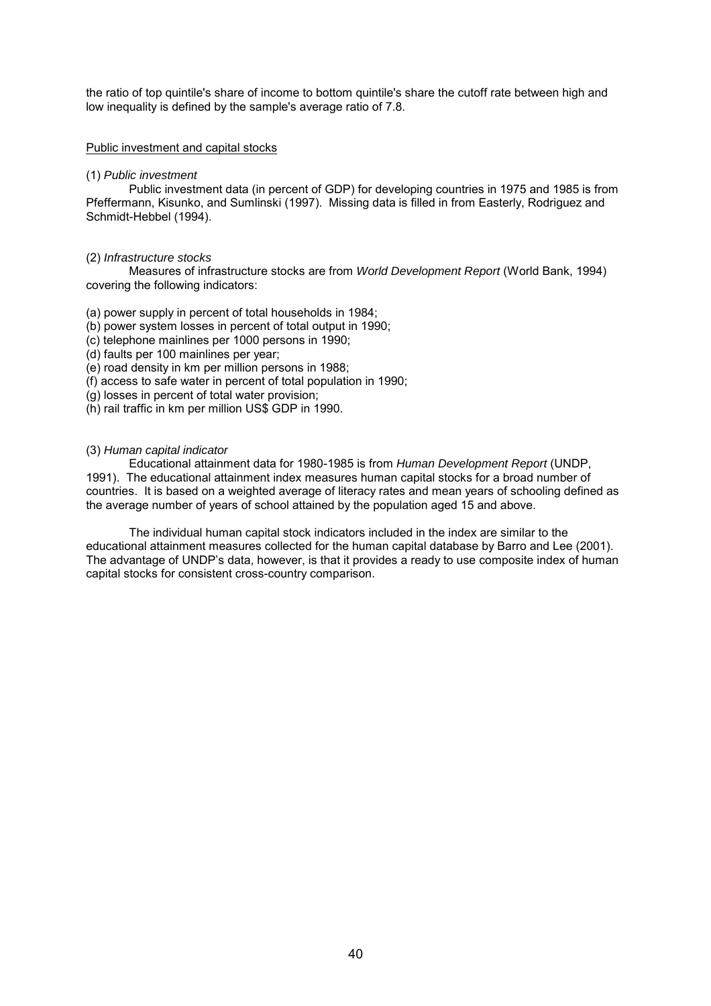the ratio of top quintile's share of income to bottom quintile's share the cutoff rate between high and low inequality is defined by the sample's average ratio of 7.8.

### Public investment and capital stocks

### (1) *Public investment*

Public investment data (in percent of GDP) for developing countries in 1975 and 1985 is from Pfeffermann, Kisunko, and Sumlinski (1997). Missing data is filled in from Easterly, Rodriguez and Schmidt-Hebbel (1994).

### (2) *Infrastructure stocks*

Measures of infrastructure stocks are from *World Development Report* (World Bank, 1994) covering the following indicators:

(a) power supply in percent of total households in 1984;

(b) power system losses in percent of total output in 1990;

(c) telephone mainlines per 1000 persons in 1990;

(d) faults per 100 mainlines per year;

(e) road density in km per million persons in 1988;

(f) access to safe water in percent of total population in 1990;

(g) losses in percent of total water provision;

(h) rail traffic in km per million US\$ GDP in 1990.

### (3) *Human capital indicator*

Educational attainment data for 1980-1985 is from *Human Development Report* (UNDP, 1991). The educational attainment index measures human capital stocks for a broad number of countries. It is based on a weighted average of literacy rates and mean years of schooling defined as the average number of years of school attained by the population aged 15 and above.

The individual human capital stock indicators included in the index are similar to the educational attainment measures collected for the human capital database by Barro and Lee (2001). The advantage of UNDP's data, however, is that it provides a ready to use composite index of human capital stocks for consistent cross-country comparison.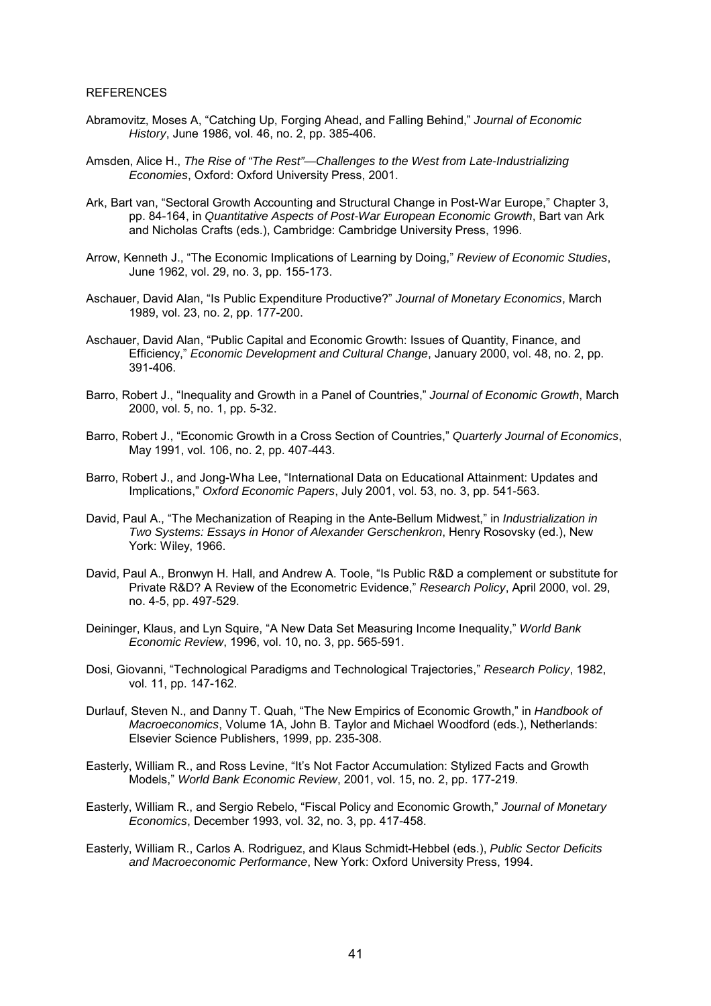#### **REFERENCES**

- Abramovitz, Moses A, "Catching Up, Forging Ahead, and Falling Behind," Journal of Economic *History*, June 1986, vol. 46, no. 2, pp. 385-406.
- Amsden, Alice H., *The Rise of "The Rest"—Challenges to the West from Late-Industrializing Economies*, Oxford: Oxford University Press, 2001.
- Ark, Bart van, "Sectoral Growth Accounting and Structural Change in Post-War Europe," Chapter 3, pp. 84-164, in *Quantitative Aspects of Post-War European Economic Growth*, Bart van Ark and Nicholas Crafts (eds.), Cambridge: Cambridge University Press, 1996.
- Arrow, Kenneth J., "The Economic Implications of Learning by Doing," Review of Economic Studies, June 1962, vol. 29, no. 3, pp. 155-173.
- Aschauer, David Alan, "Is Public Expenditure Productive?" Journal of Monetary Economics, March 1989, vol. 23, no. 2, pp. 177-200.
- Aschauer, David Alan, "Public Capital and Economic Growth: Issues of Quantity, Finance, and Efficiency,î *Economic Development and Cultural Change*, January 2000, vol. 48, no. 2, pp. 391-406.
- Barro, Robert J., "Inequality and Growth in a Panel of Countries," Journal of Economic Growth, March 2000, vol. 5, no. 1, pp. 5-32.
- Barro, Robert J., "Economic Growth in a Cross Section of Countries," Quarterly Journal of Economics, May 1991, vol. 106, no. 2, pp. 407-443.
- Barro, Robert J., and Jong-Wha Lee, "International Data on Educational Attainment: Updates and Implications,î *Oxford Economic Papers*, July 2001, vol. 53, no. 3, pp. 541-563.
- David, Paul A., "The Mechanization of Reaping in the Ante-Bellum Midwest," in *Industrialization in Two Systems: Essays in Honor of Alexander Gerschenkron*, Henry Rosovsky (ed.), New York: Wiley, 1966.
- David, Paul A., Bronwyn H. Hall, and Andrew A. Toole, "Is Public R&D a complement or substitute for Private R&D? A Review of the Econometric Evidence,î *Research Policy*, April 2000, vol. 29, no. 4-5, pp. 497-529.
- Deininger, Klaus, and Lyn Squire, "A New Data Set Measuring Income Inequality," *World Bank Economic Review*, 1996, vol. 10, no. 3, pp. 565-591.
- Dosi, Giovanni, "Technological Paradigms and Technological Trajectories," *Research Policy*, 1982, vol. 11, pp. 147-162.
- Durlauf, Steven N., and Danny T. Quah, "The New Empirics of Economic Growth," in *Handbook of Macroeconomics*, Volume 1A, John B. Taylor and Michael Woodford (eds.), Netherlands: Elsevier Science Publishers, 1999, pp. 235-308.
- Easterly, William R., and Ross Levine, "It's Not Factor Accumulation: Stylized Facts and Growth Models,î *World Bank Economic Review*, 2001, vol. 15, no. 2, pp. 177-219.
- Easterly, William R., and Sergio Rebelo, "Fiscal Policy and Economic Growth," *Journal of Monetary Economics*, December 1993, vol. 32, no. 3, pp. 417-458.
- Easterly, William R., Carlos A. Rodriguez, and Klaus Schmidt-Hebbel (eds.), *Public Sector Deficits and Macroeconomic Performance*, New York: Oxford University Press, 1994.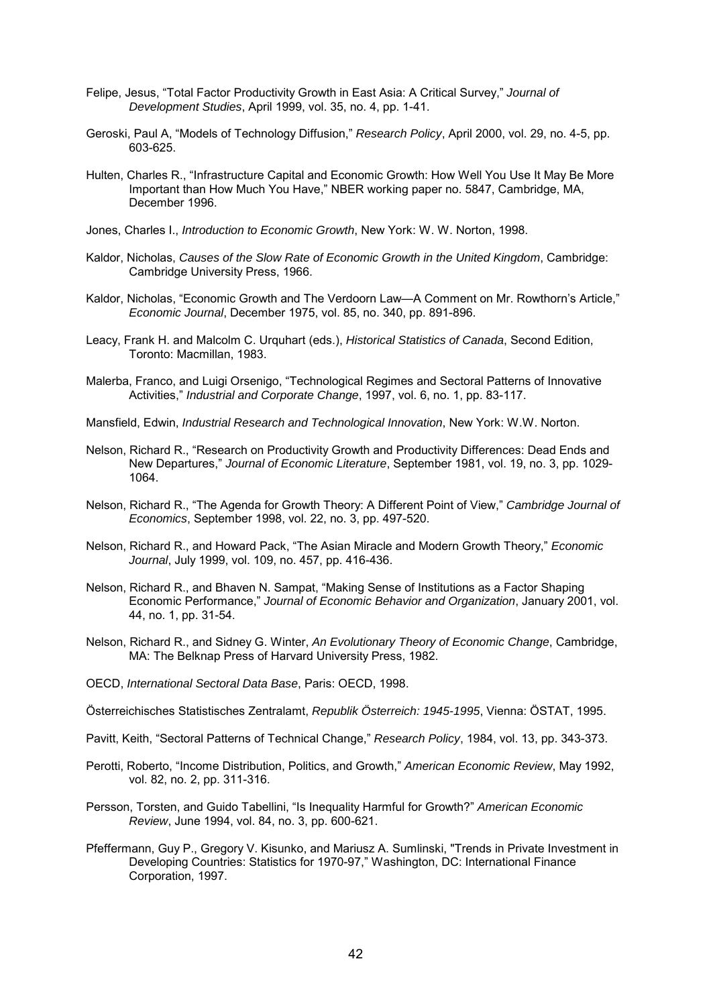- Felipe, Jesus, "Total Factor Productivity Growth in East Asia: A Critical Survey," Journal of *Development Studies*, April 1999, vol. 35, no. 4, pp. 1-41.
- Geroski, Paul A, "Models of Technology Diffusion," *Research Policy*, April 2000, vol. 29, no. 4-5, pp. 603-625.
- Hulten, Charles R., "Infrastructure Capital and Economic Growth: How Well You Use It May Be More Important than How Much You Have," NBER working paper no. 5847, Cambridge, MA, December 1996.
- Jones, Charles I., *Introduction to Economic Growth*, New York: W. W. Norton, 1998.
- Kaldor, Nicholas, *Causes of the Slow Rate of Economic Growth in the United Kingdom*, Cambridge: Cambridge University Press, 1966.
- Kaldor, Nicholas, "Economic Growth and The Verdoorn Law—A Comment on Mr. Rowthorn's Article." *Economic Journal*, December 1975, vol. 85, no. 340, pp. 891-896.
- Leacy, Frank H. and Malcolm C. Urquhart (eds.), *Historical Statistics of Canada*, Second Edition, Toronto: Macmillan, 1983.
- Malerba, Franco, and Luigi Orsenigo, "Technological Regimes and Sectoral Patterns of Innovative Activities,î *Industrial and Corporate Change*, 1997, vol. 6, no. 1, pp. 83-117.
- Mansfield, Edwin, *Industrial Research and Technological Innovation*, New York: W.W. Norton.
- Nelson, Richard R., "Research on Productivity Growth and Productivity Differences: Dead Ends and New Departures," Journal of Economic Literature, September 1981, vol. 19, no. 3, pp. 1029-1064.
- Nelson, Richard R., "The Agenda for Growth Theory: A Different Point of View," *Cambridge Journal of Economics*, September 1998, vol. 22, no. 3, pp. 497-520.
- Nelson, Richard R., and Howard Pack, "The Asian Miracle and Modern Growth Theory," *Economic Journal*, July 1999, vol. 109, no. 457, pp. 416-436.
- Nelson, Richard R., and Bhaven N. Sampat, "Making Sense of Institutions as a Factor Shaping Economic Performance,î *Journal of Economic Behavior and Organization*, January 2001, vol. 44, no. 1, pp. 31-54.
- Nelson, Richard R., and Sidney G. Winter, *An Evolutionary Theory of Economic Change*, Cambridge, MA: The Belknap Press of Harvard University Press, 1982.
- OECD, *International Sectoral Data Base*, Paris: OECD, 1998.

Österreichisches Statistisches Zentralamt, *Republik Österreich: 1945-1995*, Vienna: ÖSTAT, 1995.

- Pavitt, Keith, "Sectoral Patterns of Technical Change," Research Policy, 1984, vol. 13, pp. 343-373.
- Perotti, Roberto, "Income Distribution, Politics, and Growth," American Economic Review, May 1992, vol. 82, no. 2, pp. 311-316.
- Persson, Torsten, and Guido Tabellini, "Is Inequality Harmful for Growth?" American Economic *Review*, June 1994, vol. 84, no. 3, pp. 600-621.
- Pfeffermann, Guy P., Gregory V. Kisunko, and Mariusz A. Sumlinski, "Trends in Private Investment in Developing Countries: Statistics for 1970-97," Washington, DC: International Finance Corporation, 1997.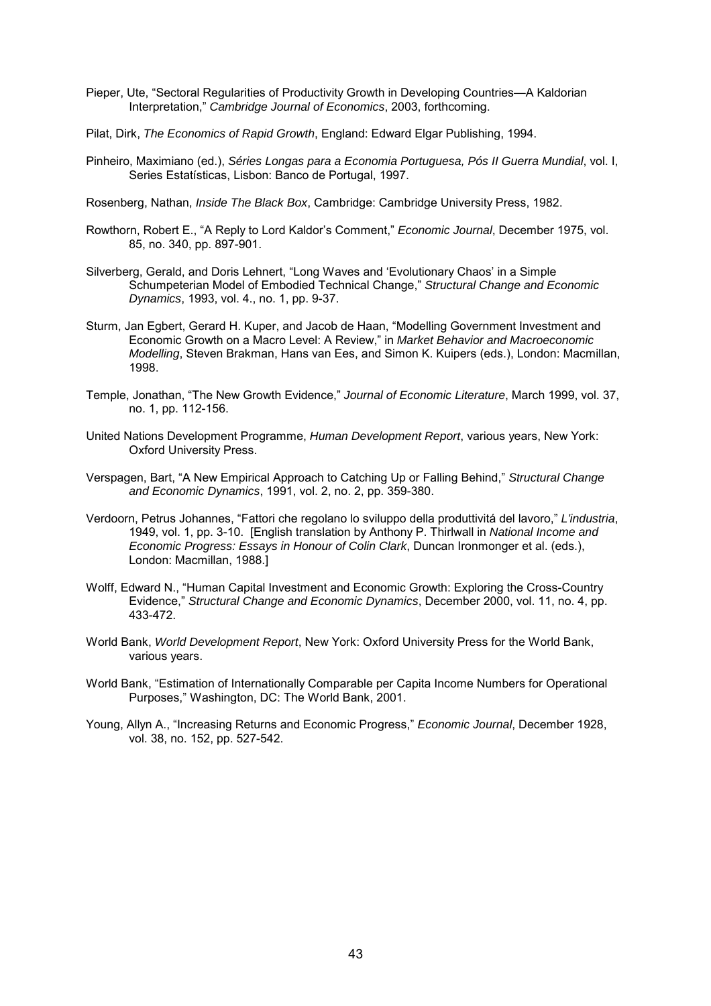- Pieper, Ute, "Sectoral Regularities of Productivity Growth in Developing Countries—A Kaldorian Interpretation,<sup>n</sup> Cambridge Journal of Economics, 2003, forthcoming.
- Pilat, Dirk, *The Economics of Rapid Growth*, England: Edward Elgar Publishing, 1994.
- Pinheiro, Maximiano (ed.), *Séries Longas para a Economia Portuguesa, Pós II Guerra Mundial*, vol. I, Series Estatísticas, Lisbon: Banco de Portugal, 1997.
- Rosenberg, Nathan, *Inside The Black Box*, Cambridge: Cambridge University Press, 1982.
- Rowthorn, Robert E., "A Reply to Lord Kaldor's Comment," *Economic Journal*, December 1975, vol. 85, no. 340, pp. 897-901.
- Silverberg, Gerald, and Doris Lehnert, "Long Waves and 'Evolutionary Chaos' in a Simple Schumpeterian Model of Embodied Technical Change,î *Structural Change and Economic Dynamics*, 1993, vol. 4., no. 1, pp. 9-37.
- Sturm, Jan Egbert, Gerard H. Kuper, and Jacob de Haan, "Modelling Government Investment and Economic Growth on a Macro Level: A Review," in Market Behavior and Macroeconomic *Modelling*, Steven Brakman, Hans van Ees, and Simon K. Kuipers (eds.), London: Macmillan, 1998.
- Temple, Jonathan, "The New Growth Evidence," Journal of Economic Literature, March 1999, vol. 37, no. 1, pp. 112-156.
- United Nations Development Programme, *Human Development Report*, various years, New York: Oxford University Press.
- Verspagen, Bart, "A New Empirical Approach to Catching Up or Falling Behind," *Structural Change and Economic Dynamics*, 1991, vol. 2, no. 2, pp. 359-380.
- Verdoorn, Petrus Johannes, "Fattori che regolano lo sviluppo della produttivitá del lavoro," L'industria, 1949, vol. 1, pp. 3-10. [English translation by Anthony P. Thirlwall in *National Income and Economic Progress: Essays in Honour of Colin Clark*, Duncan Ironmonger et al. (eds.), London: Macmillan, 1988.]
- Wolff, Edward N., "Human Capital Investment and Economic Growth: Exploring the Cross-Country Evidence,î *Structural Change and Economic Dynamics*, December 2000, vol. 11, no. 4, pp. 433-472.
- World Bank, *World Development Report*, New York: Oxford University Press for the World Bank, various years.
- World Bank, "Estimation of Internationally Comparable per Capita Income Numbers for Operational Purposes," Washington, DC: The World Bank, 2001.
- Young, Allyn A., "Increasing Returns and Economic Progress," *Economic Journal*, December 1928, vol. 38, no. 152, pp. 527-542.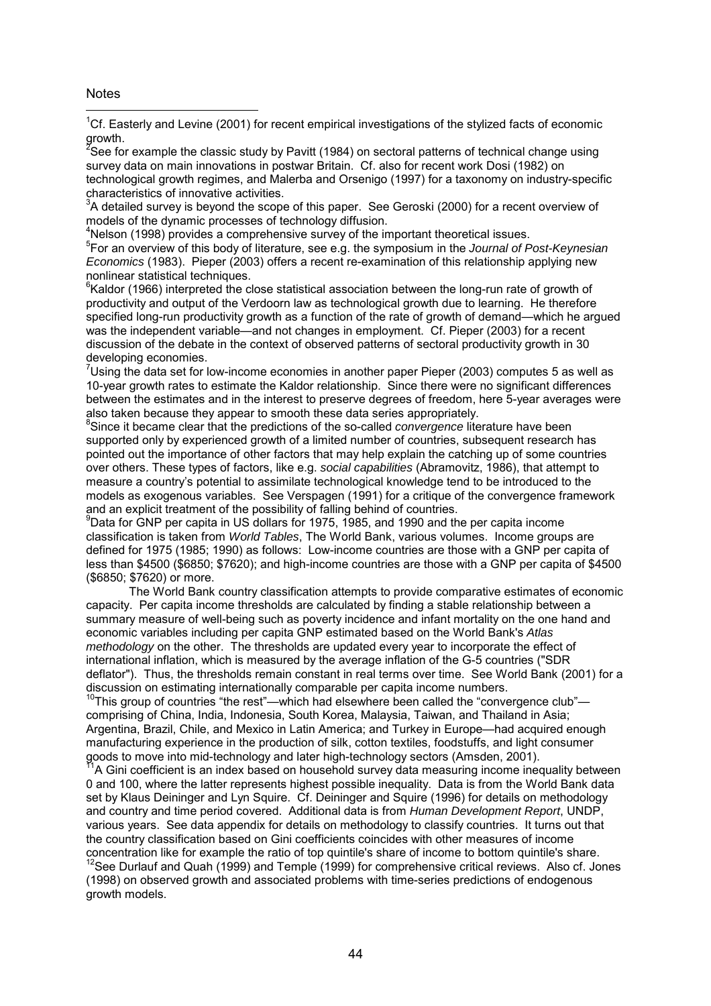### Notes

 $\overline{a}$ 

<sup>1</sup>Cf. Easterly and Levine (2001) for recent empirical investigations of the stylized facts of economic

growth.<br><sup>2</sup>See for example the classic study by Pavitt (1984) on sectoral patterns of technical change using survey data on main innovations in postwar Britain. Cf. also for recent work Dosi (1982) on technological growth regimes, and Malerba and Orsenigo (1997) for a taxonomy on industry-specific characteristics of innovative activities.

 $3$ A detailed survey is beyond the scope of this paper. See Geroski (2000) for a recent overview of models of the dynamic processes of technology diffusion.

<sup>4</sup>Nelson (1998) provides a comprehensive survey of the important theoretical issues.

5 For an overview of this body of literature, see e.g. the symposium in the *Journal of Post-Keynesian Economics* (1983). Pieper (2003) offers a recent re-examination of this relationship applying new nonlinear statistical techniques.

<sup>6</sup>Kaldor (1966) interpreted the close statistical association between the long-run rate of growth of productivity and output of the Verdoorn law as technological growth due to learning. He therefore specified long-run productivity growth as a function of the rate of growth of demand—which he argued was the independent variable—and not changes in employment. Cf. Pieper (2003) for a recent discussion of the debate in the context of observed patterns of sectoral productivity growth in 30 developing economies.

Using the data set for low-income economies in another paper Pieper (2003) computes 5 as well as 10-year growth rates to estimate the Kaldor relationship. Since there were no significant differences between the estimates and in the interest to preserve degrees of freedom, here 5-year averages were also taken because they appear to smooth these data series appropriately.

<sup>8</sup>Since it became clear that the predictions of the so-called *convergence* literature have been supported only by experienced growth of a limited number of countries, subsequent research has pointed out the importance of other factors that may help explain the catching up of some countries over others. These types of factors, like e.g. *social capabilities* (Abramovitz, 1986), that attempt to measure a countryís potential to assimilate technological knowledge tend to be introduced to the models as exogenous variables. See Verspagen (1991) for a critique of the convergence framework and an explicit treatment of the possibility of falling behind of countries.

9 Data for GNP per capita in US dollars for 1975, 1985, and 1990 and the per capita income classification is taken from *World Tables*, The World Bank, various volumes. Income groups are defined for 1975 (1985; 1990) as follows: Low-income countries are those with a GNP per capita of less than \$4500 (\$6850; \$7620); and high-income countries are those with a GNP per capita of \$4500 (\$6850; \$7620) or more.

The World Bank country classification attempts to provide comparative estimates of economic capacity. Per capita income thresholds are calculated by finding a stable relationship between a summary measure of well-being such as poverty incidence and infant mortality on the one hand and economic variables including per capita GNP estimated based on the World Bank's *Atlas methodology* on the other. The thresholds are updated every year to incorporate the effect of international inflation, which is measured by the average inflation of the G-5 countries ("SDR deflator"). Thus, the thresholds remain constant in real terms over time. See World Bank (2001) for a discussion on estimating internationally comparable per capita income numbers.

 $10$ This group of countries "the rest"—which had elsewhere been called the "convergence club" comprising of China, India, Indonesia, South Korea, Malaysia, Taiwan, and Thailand in Asia; Argentina, Brazil, Chile, and Mexico in Latin America; and Turkey in Europe—had acquired enough manufacturing experience in the production of silk, cotton textiles, foodstuffs, and light consumer goods to move into mid-technology and later high-technology sectors (Amsden, 2001).

 $11$ A Gini coefficient is an index based on household survey data measuring income inequality between 0 and 100, where the latter represents highest possible inequality. Data is from the World Bank data set by Klaus Deininger and Lyn Squire. Cf. Deininger and Squire (1996) for details on methodology and country and time period covered. Additional data is from *Human Development Report*, UNDP, various years. See data appendix for details on methodology to classify countries. It turns out that the country classification based on Gini coefficients coincides with other measures of income concentration like for example the ratio of top quintile's share of income to bottom quintile's share.

<sup>12</sup>See Durlauf and Quah (1999) and Temple (1999) for comprehensive critical reviews. Also cf. Jones (1998) on observed growth and associated problems with time-series predictions of endogenous growth models.